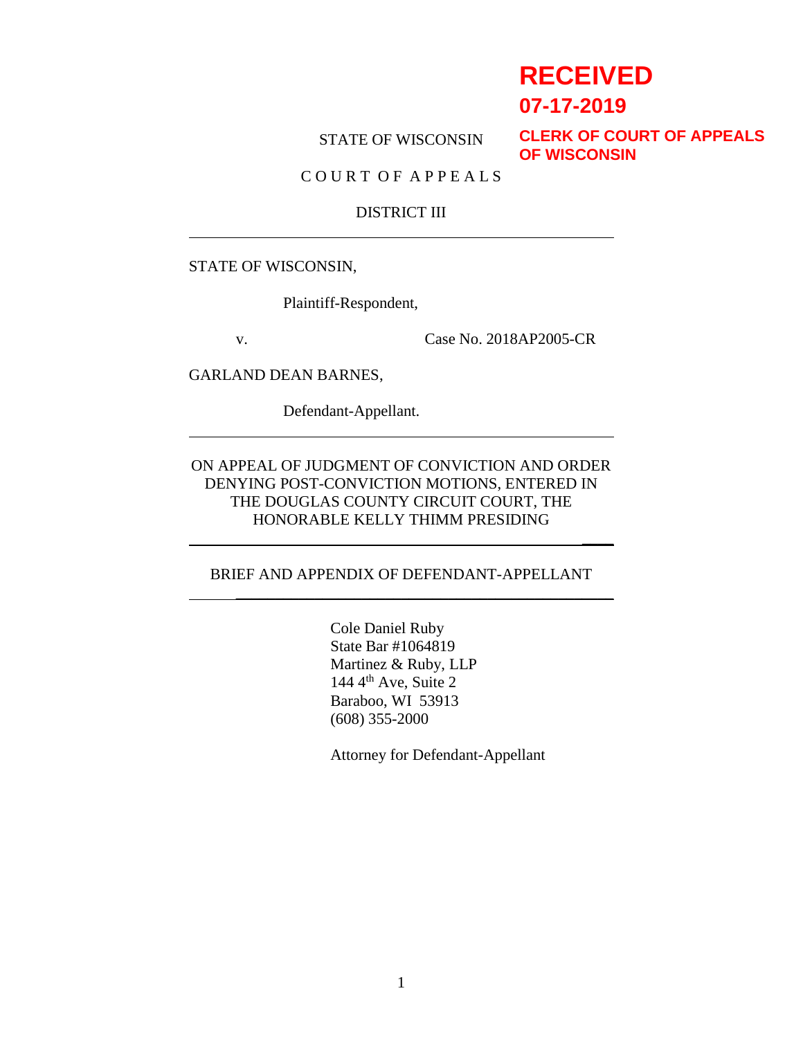# **RECEIVED**

 $\overline{\phantom{a}}$ 

**07-17-2019**

STATE OF WISCONSIN

**CLERK OF COURT OF APPEALS OF WISCONSIN**

C O U R T O F A P P E A L S

#### DISTRICT III

STATE OF WISCONSIN,

Plaintiff-Respondent,

v. Case No. 2018AP2005-CR

GARLAND DEAN BARNES,

Defendant-Appellant.

ON APPEAL OF JUDGMENT OF CONVICTION AND ORDER DENYING POST-CONVICTION MOTIONS, ENTERED IN THE DOUGLAS COUNTY CIRCUIT COURT, THE HONORABLE KELLY THIMM PRESIDING

#### BRIEF AND APPENDIX OF DEFENDANT-APPELLANT

\_\_\_\_\_\_\_\_\_\_\_\_\_\_\_\_\_\_\_\_\_\_\_\_\_\_\_\_\_\_\_\_\_\_\_\_\_\_\_\_\_\_\_\_\_\_\_\_

Cole Daniel Ruby State Bar #1064819 Martinez & Ruby, LLP 144  $4<sup>th</sup>$  Ave, Suite 2 Baraboo, WI 53913 (608) 355-2000

Attorney for Defendant-Appellant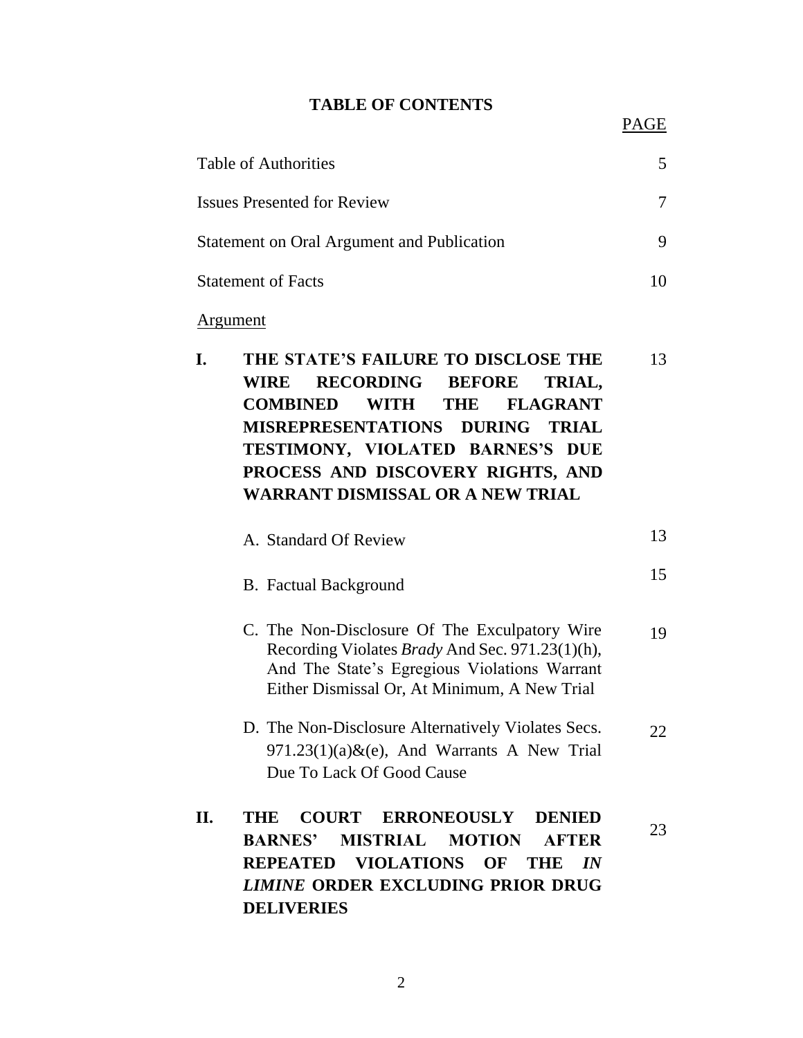#### **TABLE OF CONTENTS**

15

| <b>Table of Authorities</b>                | 5 |
|--------------------------------------------|---|
| <b>Issues Presented for Review</b>         |   |
| Statement on Oral Argument and Publication |   |
| <b>Statement of Facts</b>                  |   |

#### Argument

| I. | THE STATE'S FAILURE TO DISCLOSE THE | 13 |
|----|-------------------------------------|----|
|    | WIRE RECORDING BEFORE TRIAL,        |    |
|    | <b>COMBINED WITH THE FLAGRANT</b>   |    |
|    | MISREPRESENTATIONS DURING TRIAL     |    |
|    | TESTIMONY, VIOLATED BARNES'S DUE    |    |
|    | PROCESS AND DISCOVERY RIGHTS, AND   |    |
|    | WARRANT DISMISSAL OR A NEW TRIAL    |    |
|    |                                     |    |

| A. Standard Of Review |  |
|-----------------------|--|
|                       |  |

|  |  | <b>B.</b> Factual Background |
|--|--|------------------------------|
|--|--|------------------------------|

- C. The Non-Disclosure Of The Exculpatory Wire Recording Violates *Brady* And Sec. 971.23(1)(h), And The State's Egregious Violations Warrant Either Dismissal Or, At Minimum, A New Trial 19
- D. The Non-Disclosure Alternatively Violates Secs.  $971.23(1)(a)$ &(e), And Warrants A New Trial Due To Lack Of Good Cause 22
- **II. THE COURT ERRONEOUSLY DENIED BARNES' MISTRIAL MOTION AFTER REPEATED VIOLATIONS OF THE** *IN LIMINE* **ORDER EXCLUDING PRIOR DRUG DELIVERIES** 23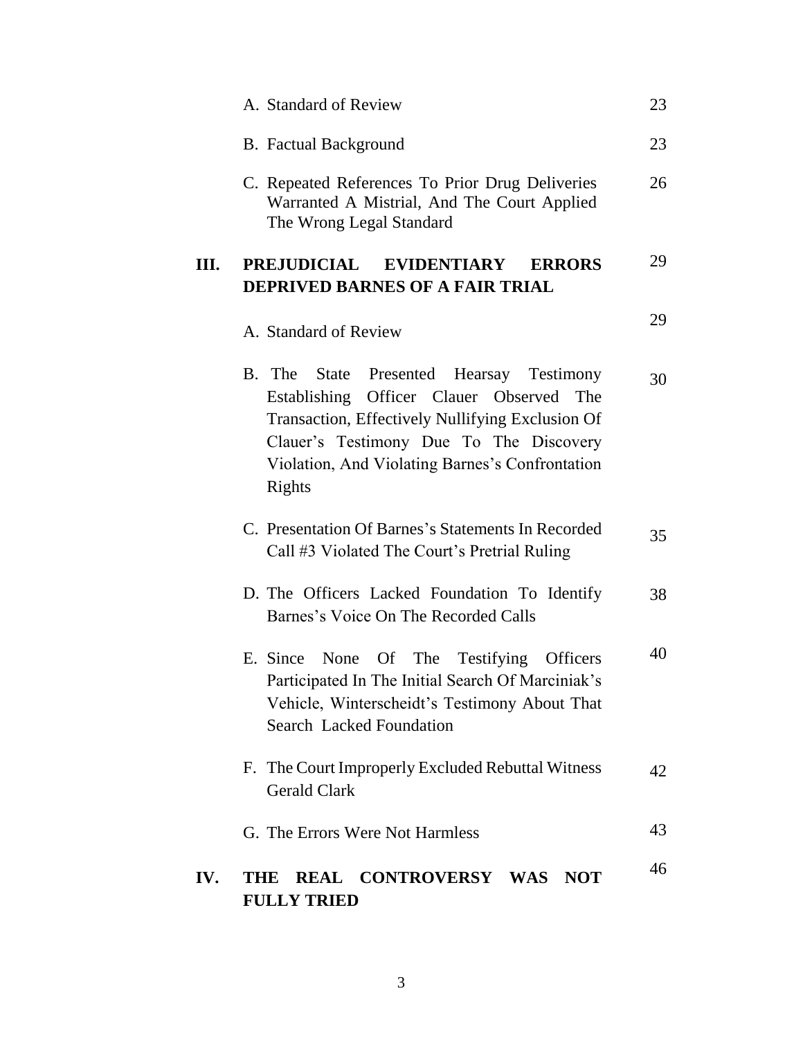|     | A. Standard of Review                                                                                                                                                                                                                               | 23 |
|-----|-----------------------------------------------------------------------------------------------------------------------------------------------------------------------------------------------------------------------------------------------------|----|
|     | <b>B.</b> Factual Background                                                                                                                                                                                                                        | 23 |
|     | C. Repeated References To Prior Drug Deliveries<br>Warranted A Mistrial, And The Court Applied<br>The Wrong Legal Standard                                                                                                                          | 26 |
| Ш.  | PREJUDICIAL EVIDENTIARY<br><b>ERRORS</b><br><b>DEPRIVED BARNES OF A FAIR TRIAL</b>                                                                                                                                                                  | 29 |
|     | A. Standard of Review                                                                                                                                                                                                                               | 29 |
|     | B. The<br>State Presented Hearsay Testimony<br>Establishing Officer Clauer Observed The<br>Transaction, Effectively Nullifying Exclusion Of<br>Clauer's Testimony Due To The Discovery<br>Violation, And Violating Barnes's Confrontation<br>Rights | 30 |
|     | C. Presentation Of Barnes's Statements In Recorded<br>Call #3 Violated The Court's Pretrial Ruling                                                                                                                                                  | 35 |
|     | D. The Officers Lacked Foundation To Identify<br>Barnes's Voice On The Recorded Calls                                                                                                                                                               | 38 |
|     | E. Since None Of The Testifying<br><b>Officers</b><br>Participated In The Initial Search Of Marciniak's<br>Vehicle, Winterscheidt's Testimony About That<br><b>Search Lacked Foundation</b>                                                         | 40 |
|     | F. The Court Improperly Excluded Rebuttal Witness<br><b>Gerald Clark</b>                                                                                                                                                                            | 42 |
|     | G. The Errors Were Not Harmless                                                                                                                                                                                                                     | 43 |
| IV. | REAL CONTROVERSY WAS NOT<br>THE<br><b>FULLY TRIED</b>                                                                                                                                                                                               | 46 |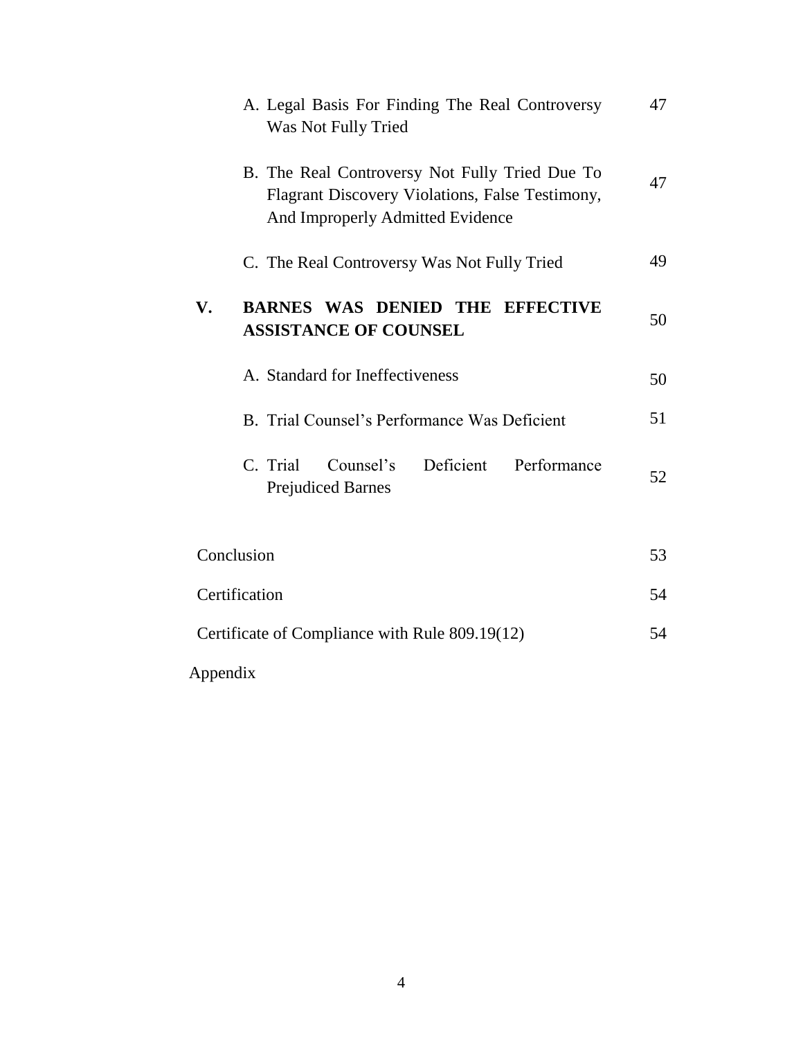| A. Legal Basis For Finding The Real Controversy<br>Was Not Fully Tried                                                                | 47 |
|---------------------------------------------------------------------------------------------------------------------------------------|----|
| B. The Real Controversy Not Fully Tried Due To<br>Flagrant Discovery Violations, False Testimony,<br>And Improperly Admitted Evidence | 47 |
| C. The Real Controversy Was Not Fully Tried                                                                                           | 49 |
| <b>BARNES WAS DENIED THE EFFECTIVE</b><br>V.<br><b>ASSISTANCE OF COUNSEL</b>                                                          | 50 |
| A. Standard for Ineffectiveness                                                                                                       | 50 |
| B. Trial Counsel's Performance Was Deficient                                                                                          | 51 |
| C. Trial<br>Deficient<br>Counsel's<br>Performance<br><b>Prejudiced Barnes</b>                                                         | 52 |
| Conclusion                                                                                                                            | 53 |
| Certification                                                                                                                         | 54 |
| Certificate of Compliance with Rule 809.19(12)                                                                                        | 54 |
| Appendix                                                                                                                              |    |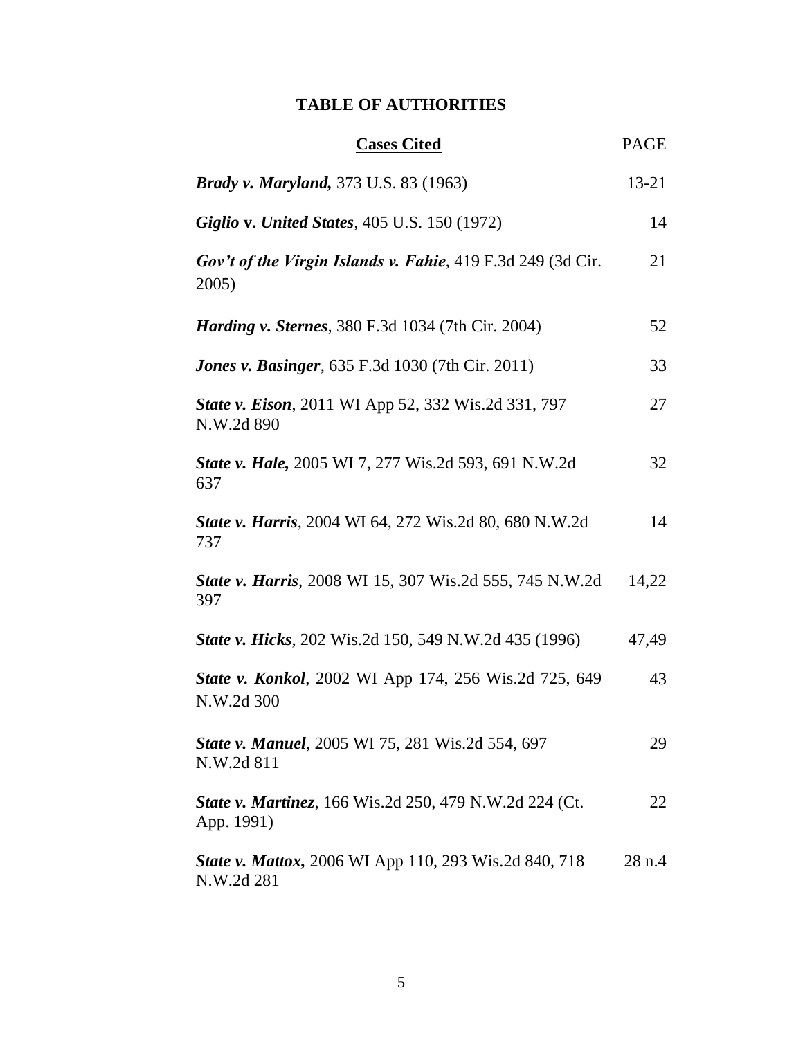# **TABLE OF AUTHORITIES**

| <b>Cases Cited</b>                                                           | PAGE      |
|------------------------------------------------------------------------------|-----------|
| <b>Brady v. Maryland, 373 U.S. 83 (1963)</b>                                 | $13 - 21$ |
| <b>Giglio v. United States, 405 U.S. 150 (1972)</b>                          | 14        |
| Gov't of the Virgin Islands v. Fahie, 419 F.3d 249 (3d Cir.<br>2005)         | 21        |
| <b>Harding v. Sternes, 380 F.3d 1034 (7th Cir. 2004)</b>                     | 52        |
| <b>Jones v. Basinger</b> , 635 F.3d 1030 (7th Cir. 2011)                     | 33        |
| State v. Eison, 2011 WI App 52, 332 Wis.2d 331, 797<br>N.W.2d 890            | 27        |
| <b>State v. Hale, 2005 WI 7, 277 Wis.2d 593, 691 N.W.2d</b><br>637           | 32        |
| <b>State v. Harris, 2004 WI 64, 272 Wis.2d 80, 680 N.W.2d</b><br>737         | 14        |
| <b>State v. Harris, 2008 WI 15, 307 Wis.2d 555, 745 N.W.2d</b><br>397        | 14,22     |
| <b>State v. Hicks</b> , 202 Wis.2d 150, 549 N.W.2d 435 (1996)                | 47,49     |
| State v. Konkol, 2002 WI App 174, 256 Wis.2d 725, 649<br>N.W.2d 300          | 43        |
| State v. Manuel, 2005 WI 75, 281 Wis.2d 554, 697<br>N.W.2d 811               | 29        |
| <b>State v. Martinez</b> , 166 Wis.2d 250, 479 N.W.2d 224 (Ct.<br>App. 1991) | 22        |
| <b>State v. Mattox, 2006 WI App 110, 293 Wis.2d 840, 718</b><br>N.W.2d 281   | 28n.4     |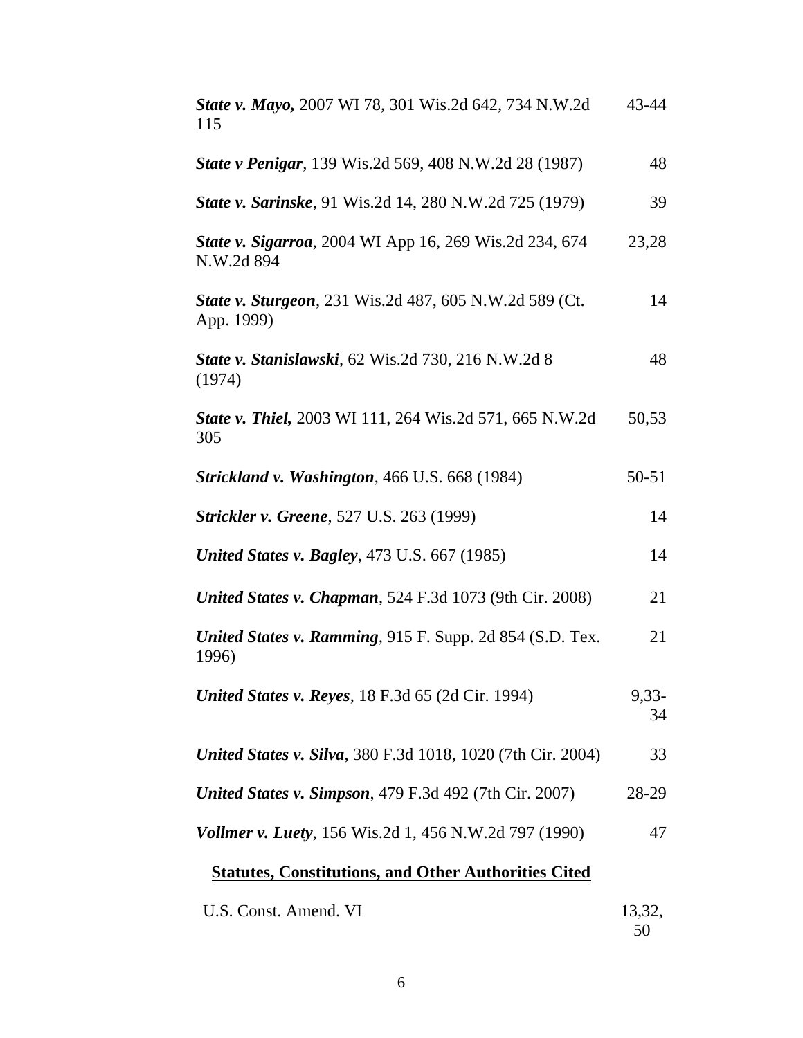| State v. Mayo, 2007 WI 78, 301 Wis.2d 642, 734 N.W.2d<br>115         | 43-44         |
|----------------------------------------------------------------------|---------------|
| <b>State v Penigar</b> , 139 Wis.2d 569, 408 N.W.2d 28 (1987)        | 48            |
| State v. Sarinske, 91 Wis.2d 14, 280 N.W.2d 725 (1979)               | 39            |
| State v. Sigarroa, 2004 WI App 16, 269 Wis.2d 234, 674<br>N.W.2d 894 | 23,28         |
| State v. Sturgeon, 231 Wis.2d 487, 605 N.W.2d 589 (Ct.<br>App. 1999) | 14            |
| State v. Stanislawski, 62 Wis.2d 730, 216 N.W.2d 8<br>(1974)         | 48            |
| State v. Thiel, 2003 WI 111, 264 Wis.2d 571, 665 N.W.2d<br>305       | 50,53         |
| <b>Strickland v. Washington</b> , 466 U.S. 668 (1984)                | $50 - 51$     |
| <b>Strickler v. Greene</b> , 527 U.S. 263 (1999)                     | 14            |
| <b>United States v. Bagley, 473 U.S. 667 (1985)</b>                  | 14            |
| <b>United States v. Chapman, 524 F.3d 1073 (9th Cir. 2008)</b>       | 21            |
| United States v. Ramming, 915 F. Supp. 2d 854 (S.D. Tex.<br>1996)    | 21            |
| <b>United States v. Reyes, 18 F.3d 65 (2d Cir. 1994)</b>             | $9,33-$<br>34 |
| <b>United States v. Silva</b> , 380 F.3d 1018, 1020 (7th Cir. 2004)  | 33            |
| <b>United States v. Simpson, 479 F.3d 492 (7th Cir. 2007)</b>        | 28-29         |
| <b>Vollmer v. Luety</b> , 156 Wis.2d 1, 456 N.W.2d 797 (1990)        | 47            |
| <b>Statutes, Constitutions, and Other Authorities Cited</b>          |               |
| U.S. Const. Amend. VI                                                | 13,32,        |

| onst. Amend. VI | 13,5 |
|-----------------|------|
|                 | 50   |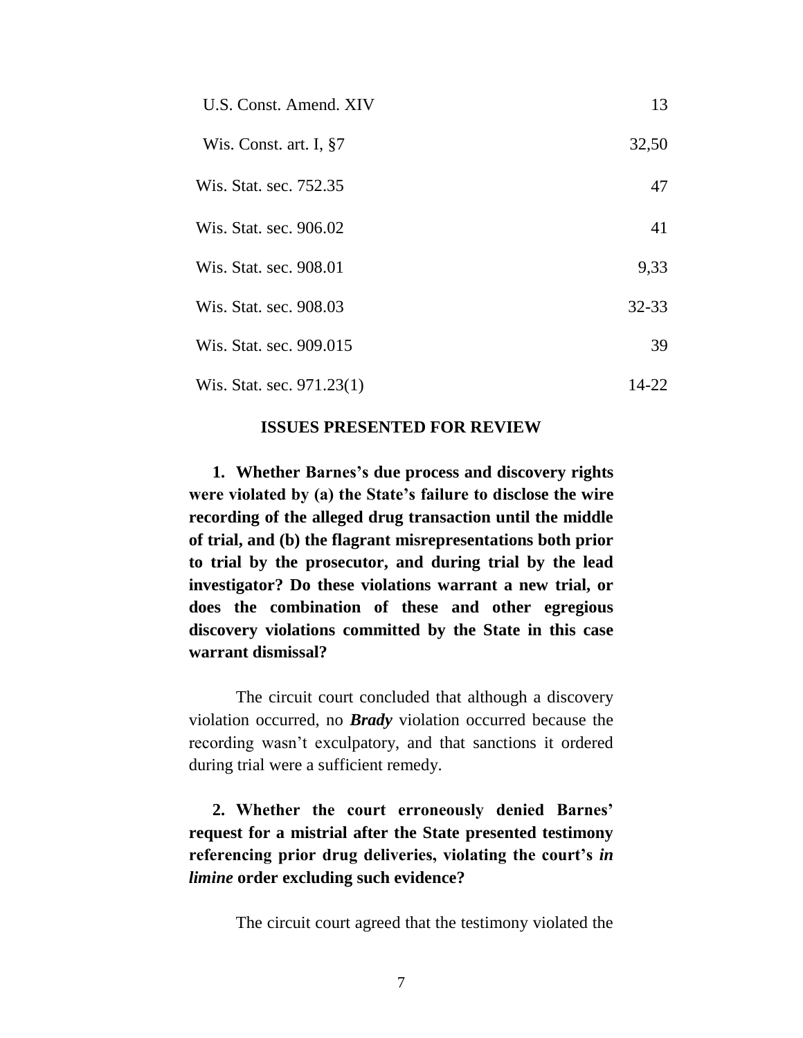| U.S. Const. Amend. XIV    | 13        |
|---------------------------|-----------|
| Wis. Const. art. I, §7    | 32,50     |
| Wis. Stat. sec. 752.35    | 47        |
| Wis. Stat. sec. 906.02    | 41        |
| Wis. Stat. sec. 908.01    | 9,33      |
| Wis. Stat. sec. 908.03    | $32 - 33$ |
| Wis. Stat. sec. 909.015   | 39        |
| Wis. Stat. sec. 971.23(1) | 14-22     |

#### **ISSUES PRESENTED FOR REVIEW**

**1. Whether Barnes's due process and discovery rights were violated by (a) the State's failure to disclose the wire recording of the alleged drug transaction until the middle of trial, and (b) the flagrant misrepresentations both prior to trial by the prosecutor, and during trial by the lead investigator? Do these violations warrant a new trial, or does the combination of these and other egregious discovery violations committed by the State in this case warrant dismissal?**

The circuit court concluded that although a discovery violation occurred, no *Brady* violation occurred because the recording wasn't exculpatory, and that sanctions it ordered during trial were a sufficient remedy.

**2. Whether the court erroneously denied Barnes' request for a mistrial after the State presented testimony referencing prior drug deliveries, violating the court's** *in limine* **order excluding such evidence?**

The circuit court agreed that the testimony violated the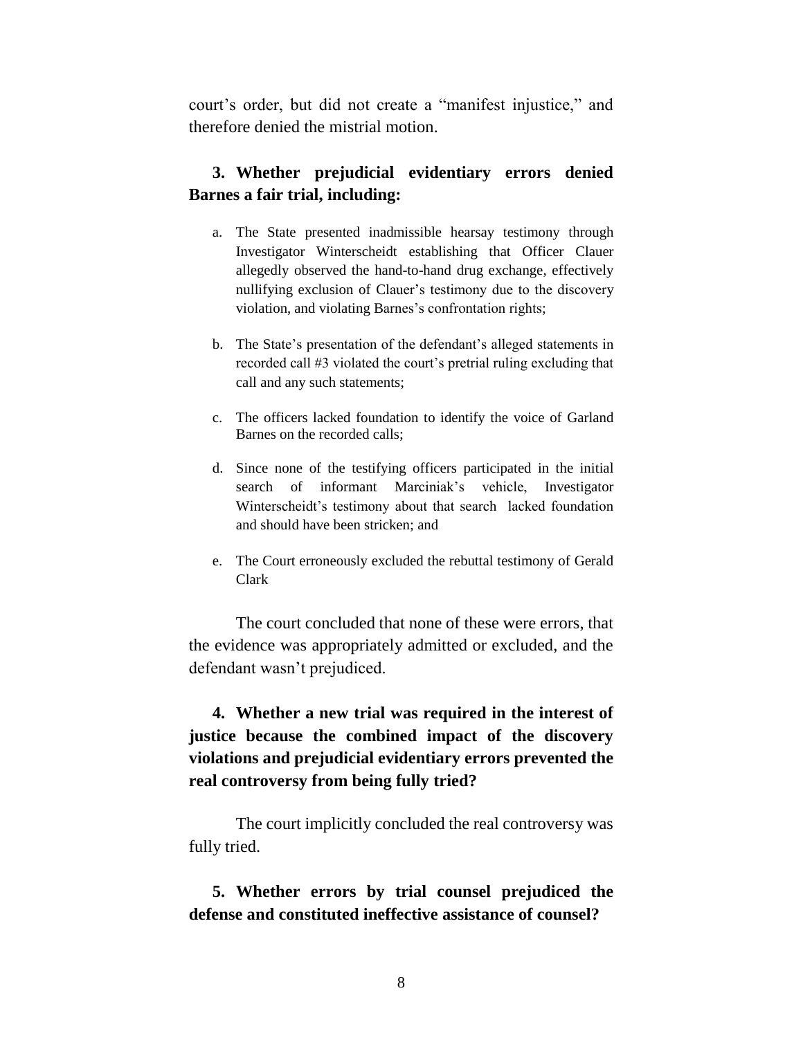court's order, but did not create a "manifest injustice," and therefore denied the mistrial motion.

### **3. Whether prejudicial evidentiary errors denied Barnes a fair trial, including:**

- a. The State presented inadmissible hearsay testimony through Investigator Winterscheidt establishing that Officer Clauer allegedly observed the hand-to-hand drug exchange, effectively nullifying exclusion of Clauer's testimony due to the discovery violation, and violating Barnes's confrontation rights;
- b. The State's presentation of the defendant's alleged statements in recorded call #3 violated the court's pretrial ruling excluding that call and any such statements;
- c. The officers lacked foundation to identify the voice of Garland Barnes on the recorded calls;
- d. Since none of the testifying officers participated in the initial search of informant Marciniak's vehicle, Investigator Winterscheidt's testimony about that search lacked foundation and should have been stricken; and
- e. The Court erroneously excluded the rebuttal testimony of Gerald Clark

The court concluded that none of these were errors, that the evidence was appropriately admitted or excluded, and the defendant wasn't prejudiced.

**4. Whether a new trial was required in the interest of justice because the combined impact of the discovery violations and prejudicial evidentiary errors prevented the real controversy from being fully tried?**

The court implicitly concluded the real controversy was fully tried.

**5. Whether errors by trial counsel prejudiced the defense and constituted ineffective assistance of counsel?**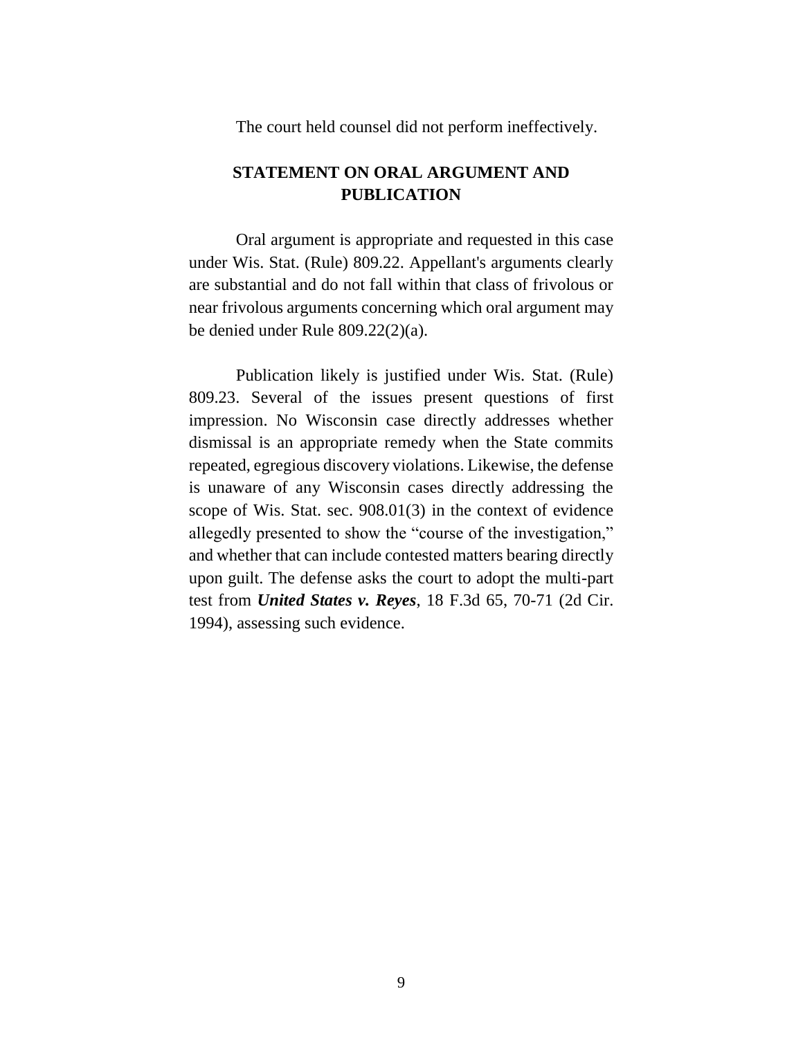The court held counsel did not perform ineffectively.

# **STATEMENT ON ORAL ARGUMENT AND PUBLICATION**

Oral argument is appropriate and requested in this case under Wis. Stat. (Rule) 809.22. Appellant's arguments clearly are substantial and do not fall within that class of frivolous or near frivolous arguments concerning which oral argument may be denied under Rule 809.22(2)(a).

Publication likely is justified under Wis. Stat. (Rule) 809.23. Several of the issues present questions of first impression. No Wisconsin case directly addresses whether dismissal is an appropriate remedy when the State commits repeated, egregious discovery violations. Likewise, the defense is unaware of any Wisconsin cases directly addressing the scope of Wis. Stat. sec. 908.01(3) in the context of evidence allegedly presented to show the "course of the investigation," and whether that can include contested matters bearing directly upon guilt. The defense asks the court to adopt the multi-part test from *United States v. Reyes*, 18 F.3d 65, 70-71 (2d Cir. 1994), assessing such evidence.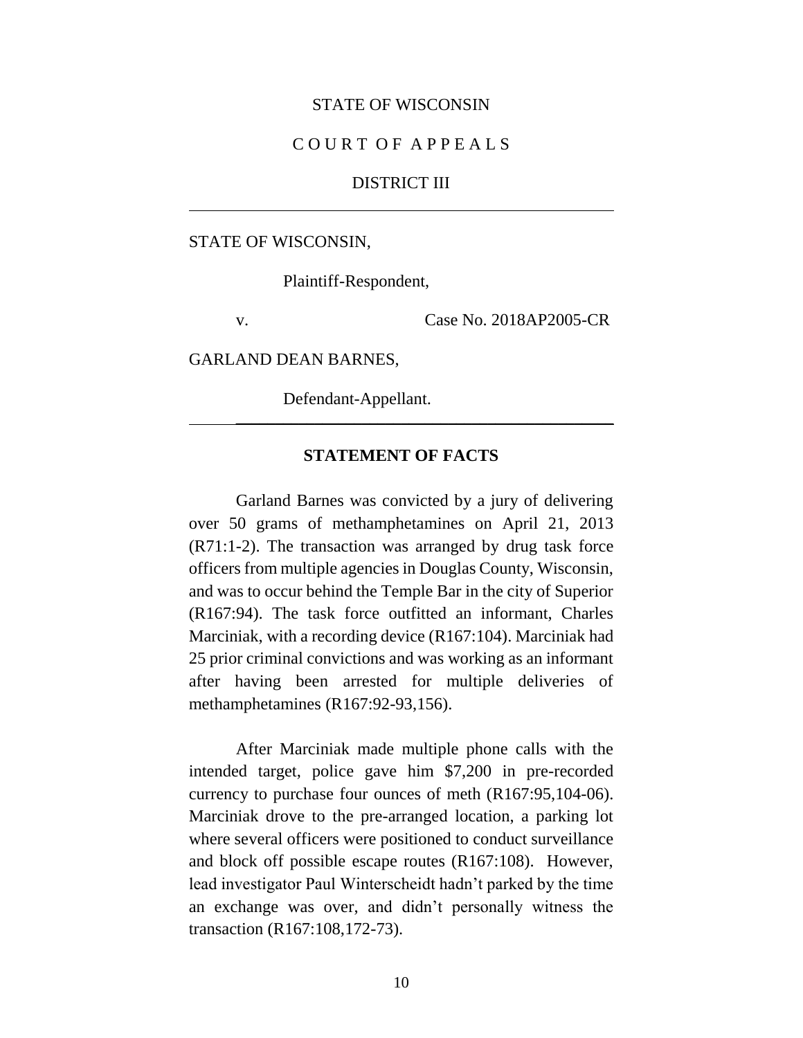#### STATE OF WISCONSIN

#### C O U R T O F A P P E A L S

#### DISTRICT III

#### STATE OF WISCONSIN,

Plaintiff-Respondent,

v. Case No. 2018AP2005-CR

GARLAND DEAN BARNES,

Defendant-Appellant.

### **STATEMENT OF FACTS**

\_\_\_\_\_\_\_\_\_\_\_\_\_\_\_\_\_\_\_\_\_\_\_\_\_\_\_\_\_\_\_\_\_\_\_\_\_\_\_\_\_\_\_\_\_\_\_\_

Garland Barnes was convicted by a jury of delivering over 50 grams of methamphetamines on April 21, 2013 (R71:1-2). The transaction was arranged by drug task force officers from multiple agencies in Douglas County, Wisconsin, and was to occur behind the Temple Bar in the city of Superior (R167:94). The task force outfitted an informant, Charles Marciniak, with a recording device (R167:104). Marciniak had 25 prior criminal convictions and was working as an informant after having been arrested for multiple deliveries of methamphetamines (R167:92-93,156).

After Marciniak made multiple phone calls with the intended target, police gave him \$7,200 in pre-recorded currency to purchase four ounces of meth (R167:95,104-06). Marciniak drove to the pre-arranged location, a parking lot where several officers were positioned to conduct surveillance and block off possible escape routes (R167:108). However, lead investigator Paul Winterscheidt hadn't parked by the time an exchange was over, and didn't personally witness the transaction (R167:108,172-73).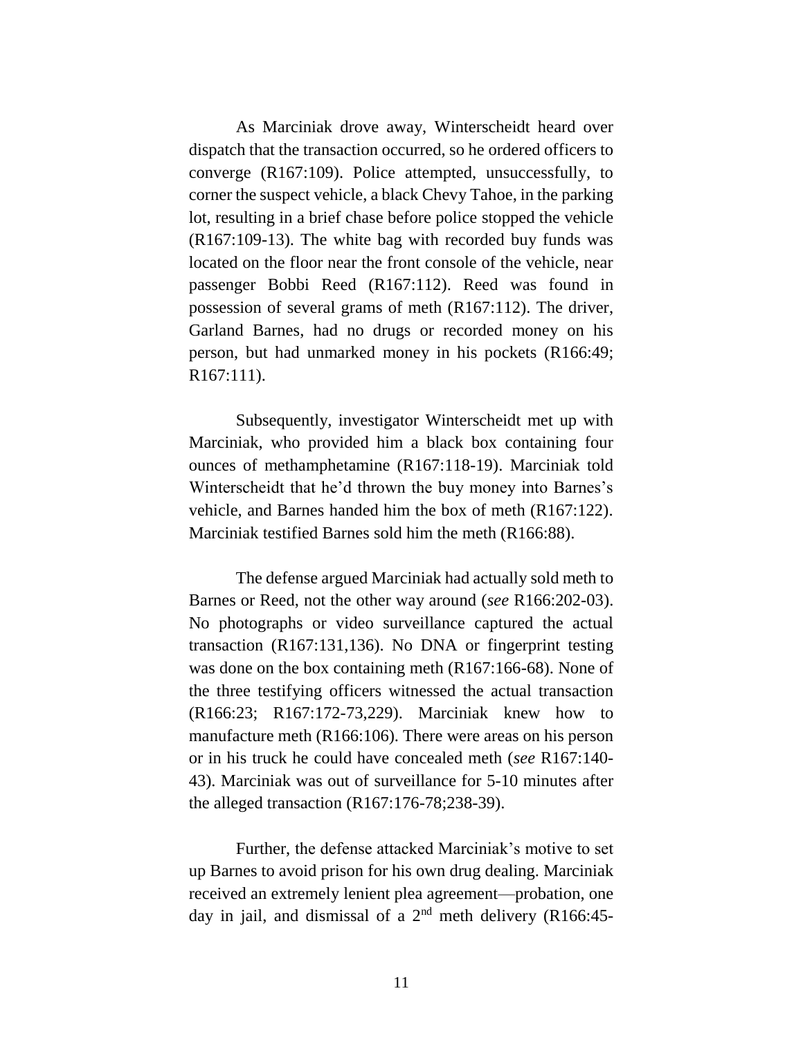As Marciniak drove away, Winterscheidt heard over dispatch that the transaction occurred, so he ordered officers to converge (R167:109). Police attempted, unsuccessfully, to corner the suspect vehicle, a black Chevy Tahoe, in the parking lot, resulting in a brief chase before police stopped the vehicle (R167:109-13). The white bag with recorded buy funds was located on the floor near the front console of the vehicle, near passenger Bobbi Reed (R167:112). Reed was found in possession of several grams of meth (R167:112). The driver, Garland Barnes, had no drugs or recorded money on his person, but had unmarked money in his pockets (R166:49; R167:111).

Subsequently, investigator Winterscheidt met up with Marciniak, who provided him a black box containing four ounces of methamphetamine (R167:118-19). Marciniak told Winterscheidt that he'd thrown the buy money into Barnes's vehicle, and Barnes handed him the box of meth (R167:122). Marciniak testified Barnes sold him the meth (R166:88).

The defense argued Marciniak had actually sold meth to Barnes or Reed, not the other way around (*see* R166:202-03). No photographs or video surveillance captured the actual transaction (R167:131,136). No DNA or fingerprint testing was done on the box containing meth (R167:166-68). None of the three testifying officers witnessed the actual transaction (R166:23; R167:172-73,229). Marciniak knew how to manufacture meth (R166:106). There were areas on his person or in his truck he could have concealed meth (*see* R167:140- 43). Marciniak was out of surveillance for 5-10 minutes after the alleged transaction (R167:176-78;238-39).

Further, the defense attacked Marciniak's motive to set up Barnes to avoid prison for his own drug dealing. Marciniak received an extremely lenient plea agreement—probation, one day in jail, and dismissal of a  $2<sup>nd</sup>$  meth delivery (R166:45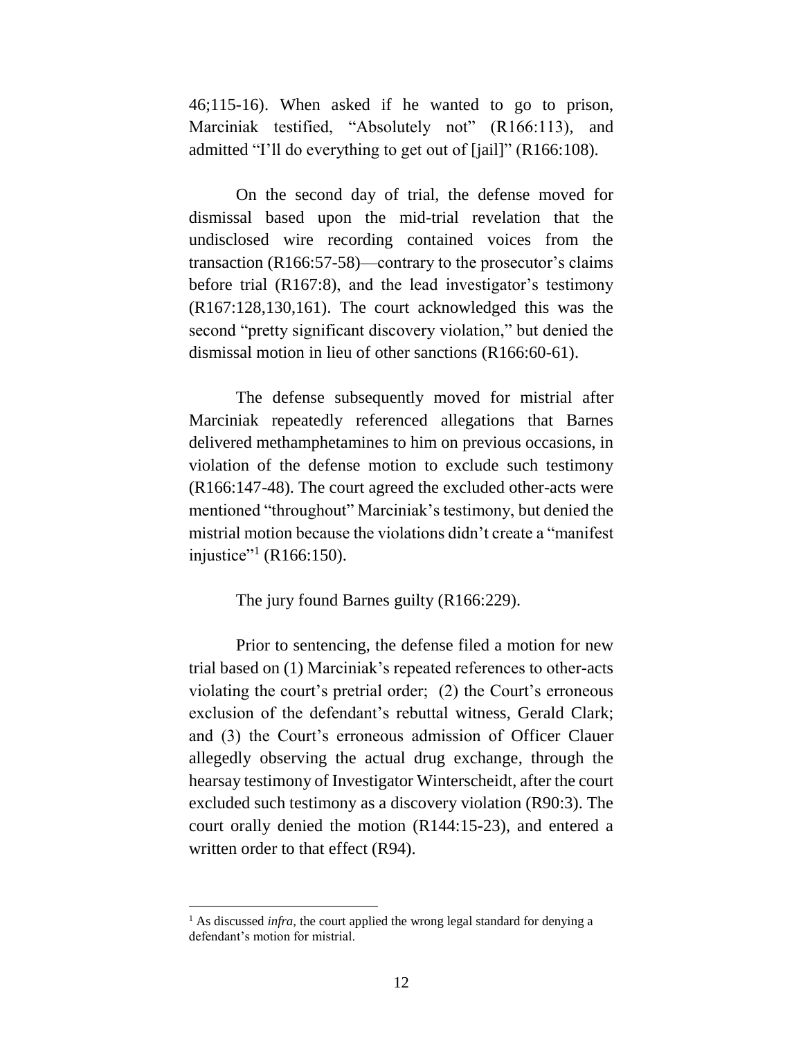46;115-16). When asked if he wanted to go to prison, Marciniak testified, "Absolutely not" (R166:113), and admitted "I'll do everything to get out of [jail]" (R166:108).

On the second day of trial, the defense moved for dismissal based upon the mid-trial revelation that the undisclosed wire recording contained voices from the transaction (R166:57-58)—contrary to the prosecutor's claims before trial (R167:8), and the lead investigator's testimony (R167:128,130,161). The court acknowledged this was the second "pretty significant discovery violation," but denied the dismissal motion in lieu of other sanctions (R166:60-61).

The defense subsequently moved for mistrial after Marciniak repeatedly referenced allegations that Barnes delivered methamphetamines to him on previous occasions, in violation of the defense motion to exclude such testimony (R166:147-48). The court agreed the excluded other-acts were mentioned "throughout" Marciniak's testimony, but denied the mistrial motion because the violations didn't create a "manifest injustice"<sup>1</sup> (R166:150).

The jury found Barnes guilty (R166:229).

Prior to sentencing, the defense filed a motion for new trial based on (1) Marciniak's repeated references to other-acts violating the court's pretrial order; (2) the Court's erroneous exclusion of the defendant's rebuttal witness, Gerald Clark; and (3) the Court's erroneous admission of Officer Clauer allegedly observing the actual drug exchange, through the hearsay testimony of Investigator Winterscheidt, after the court excluded such testimony as a discovery violation (R90:3). The court orally denied the motion (R144:15-23), and entered a written order to that effect (R94).

 $\overline{a}$ 

<sup>&</sup>lt;sup>1</sup> As discussed *infra*, the court applied the wrong legal standard for denying a defendant's motion for mistrial.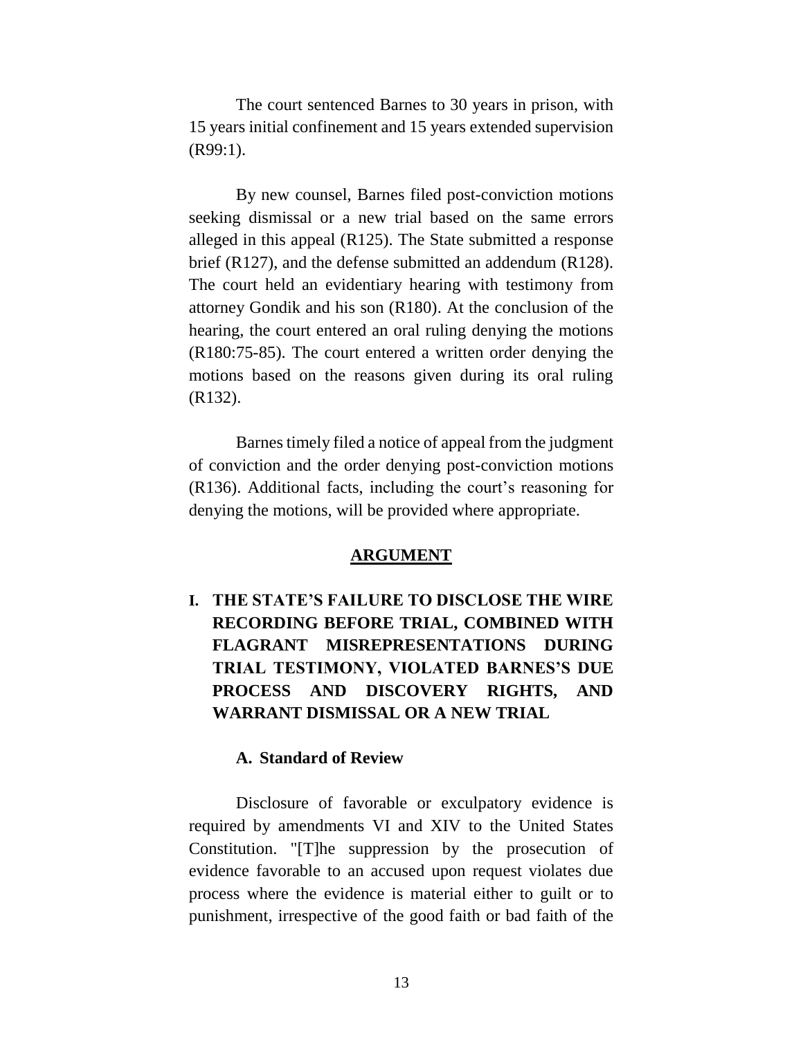The court sentenced Barnes to 30 years in prison, with 15 years initial confinement and 15 years extended supervision (R99:1).

By new counsel, Barnes filed post-conviction motions seeking dismissal or a new trial based on the same errors alleged in this appeal (R125). The State submitted a response brief (R127), and the defense submitted an addendum (R128). The court held an evidentiary hearing with testimony from attorney Gondik and his son (R180). At the conclusion of the hearing, the court entered an oral ruling denying the motions (R180:75-85). The court entered a written order denying the motions based on the reasons given during its oral ruling (R132).

Barnes timely filed a notice of appeal from the judgment of conviction and the order denying post-conviction motions (R136). Additional facts, including the court's reasoning for denying the motions, will be provided where appropriate.

#### **ARGUMENT**

**I. THE STATE'S FAILURE TO DISCLOSE THE WIRE RECORDING BEFORE TRIAL, COMBINED WITH FLAGRANT MISREPRESENTATIONS DURING TRIAL TESTIMONY, VIOLATED BARNES'S DUE PROCESS AND DISCOVERY RIGHTS, AND WARRANT DISMISSAL OR A NEW TRIAL** 

#### **A. Standard of Review**

Disclosure of favorable or exculpatory evidence is required by amendments VI and XIV to the United States Constitution. "[T]he suppression by the prosecution of evidence favorable to an accused upon request violates due process where the evidence is material either to guilt or to punishment, irrespective of the good faith or bad faith of the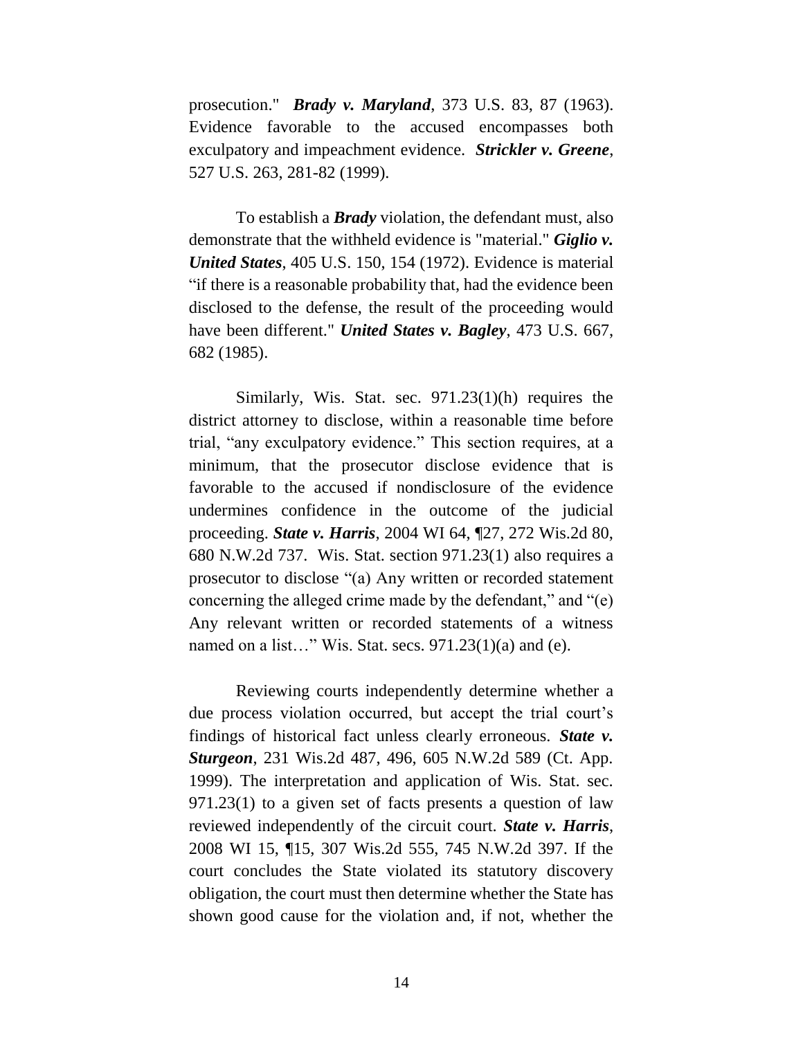prosecution." *Brady v. Maryland*, 373 U.S. 83, 87 (1963). Evidence favorable to the accused encompasses both exculpatory and impeachment evidence. *Strickler v. Greene*, 527 U.S. 263, 281-82 (1999).

To establish a *Brady* violation, the defendant must, also demonstrate that the withheld evidence is "material." *Giglio v. United States*, 405 U.S. 150, 154 (1972). Evidence is material "if there is a reasonable probability that, had the evidence been disclosed to the defense, the result of the proceeding would have been different." *United States v. Bagley*, 473 U.S. 667, 682 (1985).

Similarly, Wis. Stat. sec. 971.23(1)(h) requires the district attorney to disclose, within a reasonable time before trial, "any exculpatory evidence." This section requires, at a minimum, that the prosecutor disclose evidence that is favorable to the accused if nondisclosure of the evidence undermines confidence in the outcome of the judicial proceeding. *State v. Harris*, 2004 WI 64, ¶27, 272 Wis.2d 80, 680 N.W.2d 737. Wis. Stat. section 971.23(1) also requires a prosecutor to disclose "(a) Any written or recorded statement concerning the alleged crime made by the defendant," and "(e) Any relevant written or recorded statements of a witness named on a list..." Wis. Stat. secs.  $971.23(1)(a)$  and (e).

Reviewing courts independently determine whether a due process violation occurred, but accept the trial court's findings of historical fact unless clearly erroneous. *State v. Sturgeon*, 231 Wis.2d 487, 496, 605 N.W.2d 589 (Ct. App. 1999). The interpretation and application of Wis. Stat. sec. 971.23(1) to a given set of facts presents a question of law reviewed independently of the circuit court. *State v. Harris*, 2008 WI 15, ¶15, 307 Wis.2d 555, 745 N.W.2d 397. If the court concludes the State violated its statutory discovery obligation, the court must then determine whether the State has shown good cause for the violation and, if not, whether the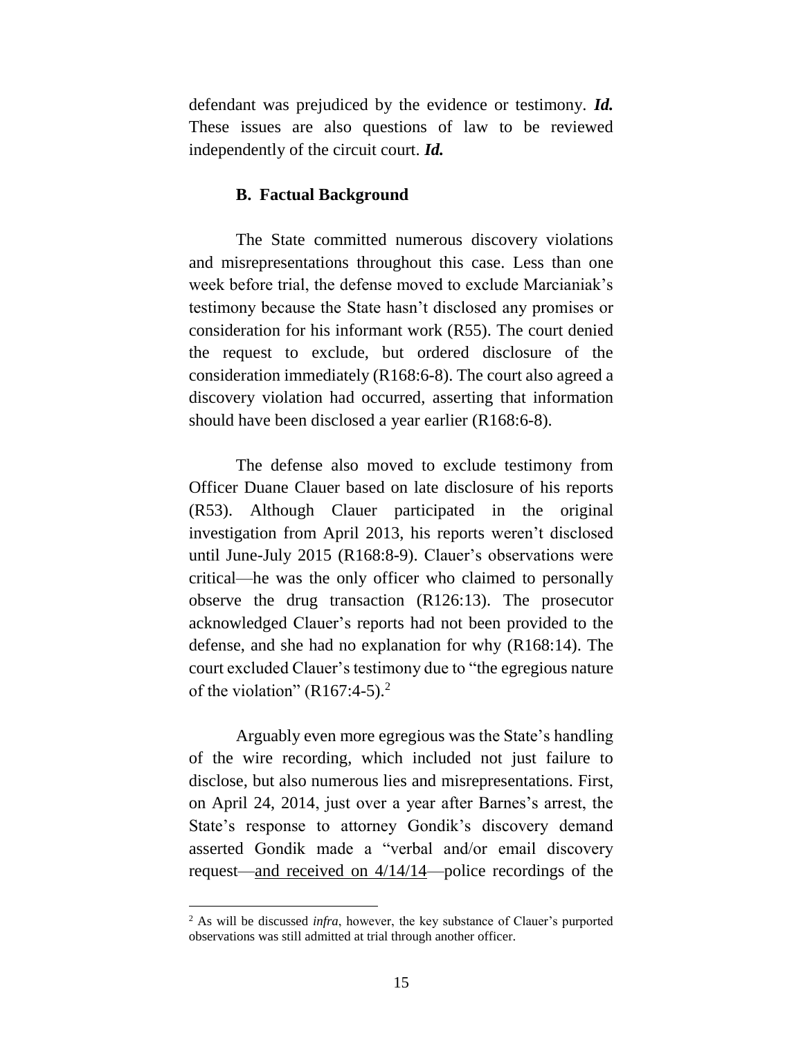defendant was prejudiced by the evidence or testimony. *Id.* These issues are also questions of law to be reviewed independently of the circuit court. *Id.*

#### **B. Factual Background**

The State committed numerous discovery violations and misrepresentations throughout this case. Less than one week before trial, the defense moved to exclude Marcianiak's testimony because the State hasn't disclosed any promises or consideration for his informant work (R55). The court denied the request to exclude, but ordered disclosure of the consideration immediately (R168:6-8). The court also agreed a discovery violation had occurred, asserting that information should have been disclosed a year earlier (R168:6-8).

The defense also moved to exclude testimony from Officer Duane Clauer based on late disclosure of his reports (R53). Although Clauer participated in the original investigation from April 2013, his reports weren't disclosed until June-July 2015 (R168:8-9). Clauer's observations were critical—he was the only officer who claimed to personally observe the drug transaction (R126:13). The prosecutor acknowledged Clauer's reports had not been provided to the defense, and she had no explanation for why (R168:14). The court excluded Clauer's testimony due to "the egregious nature of the violation"  $(R167:4-5)$ .<sup>2</sup>

Arguably even more egregious was the State's handling of the wire recording, which included not just failure to disclose, but also numerous lies and misrepresentations. First, on April 24, 2014, just over a year after Barnes's arrest, the State's response to attorney Gondik's discovery demand asserted Gondik made a "verbal and/or email discovery request—and received on 4/14/14—police recordings of the

 $\overline{a}$ 

<sup>2</sup> As will be discussed *infra*, however, the key substance of Clauer's purported observations was still admitted at trial through another officer.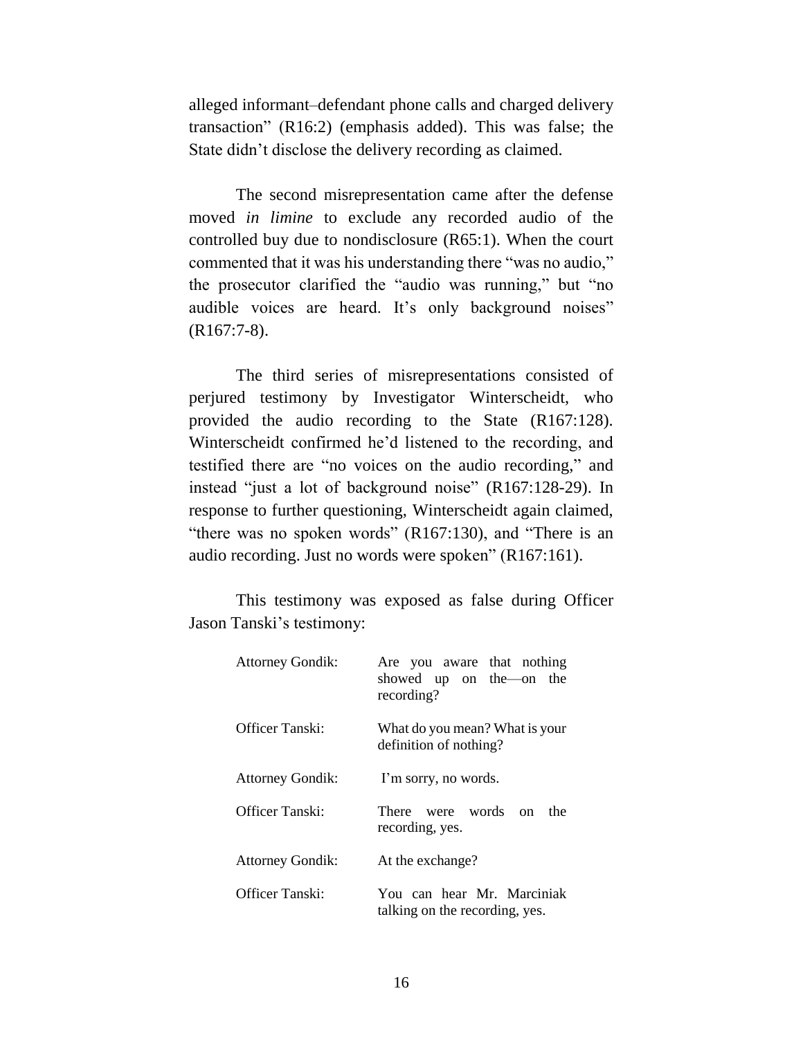alleged informant–defendant phone calls and charged delivery transaction" (R16:2) (emphasis added). This was false; the State didn't disclose the delivery recording as claimed.

The second misrepresentation came after the defense moved *in limine* to exclude any recorded audio of the controlled buy due to nondisclosure (R65:1). When the court commented that it was his understanding there "was no audio," the prosecutor clarified the "audio was running," but "no audible voices are heard. It's only background noises" (R167:7-8).

The third series of misrepresentations consisted of perjured testimony by Investigator Winterscheidt, who provided the audio recording to the State (R167:128). Winterscheidt confirmed he'd listened to the recording, and testified there are "no voices on the audio recording," and instead "just a lot of background noise" (R167:128-29). In response to further questioning, Winterscheidt again claimed, "there was no spoken words" (R167:130), and "There is an audio recording. Just no words were spoken" (R167:161).

This testimony was exposed as false during Officer Jason Tanski's testimony:

| <b>Attorney Gondik:</b> | Are you aware that nothing<br>showed up on the on the<br>recording? |
|-------------------------|---------------------------------------------------------------------|
| Officer Tanski:         | What do you mean? What is your<br>definition of nothing?            |
| <b>Attorney Gondik:</b> | I'm sorry, no words.                                                |
| Officer Tanski:         | There were words on<br>the<br>recording, yes.                       |
| <b>Attorney Gondik:</b> | At the exchange?                                                    |
| Officer Tanski:         | You can hear Mr. Marciniak<br>talking on the recording, yes.        |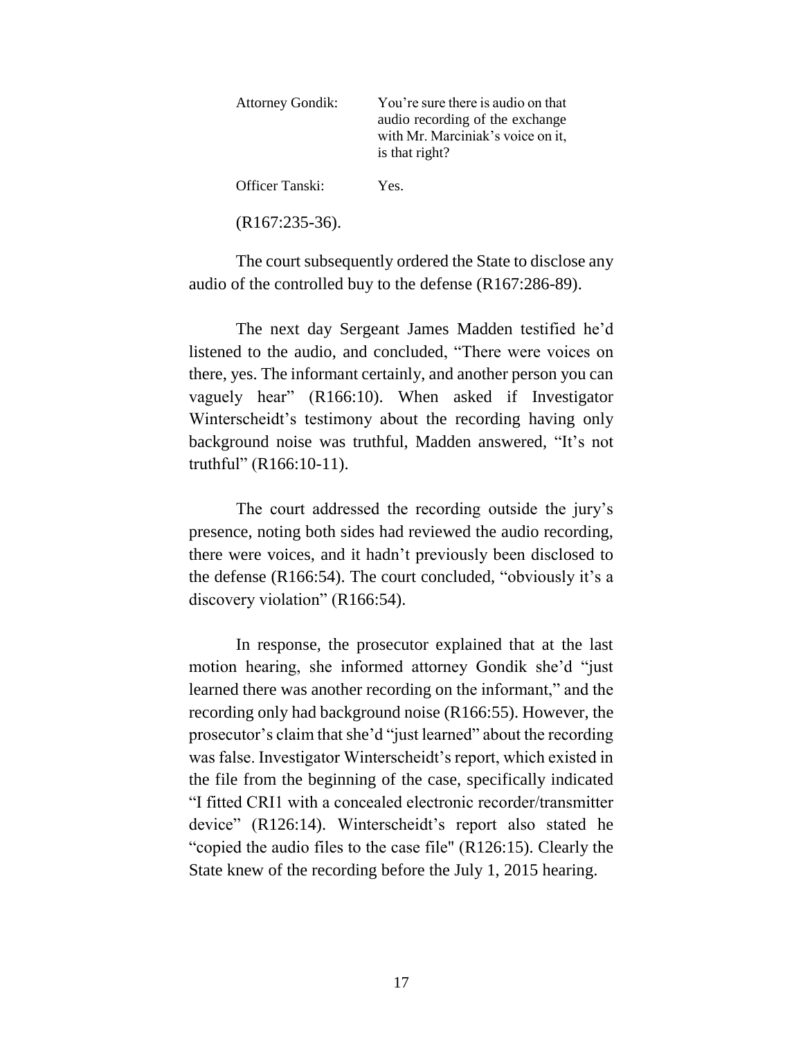| <b>Attorney Gondik:</b> | You're sure there is audio on that<br>audio recording of the exchange<br>with Mr. Marciniak's voice on it,<br>is that right? |
|-------------------------|------------------------------------------------------------------------------------------------------------------------------|
| Officer Tanski:         | Yes.                                                                                                                         |

(R167:235-36).

The court subsequently ordered the State to disclose any audio of the controlled buy to the defense (R167:286-89).

The next day Sergeant James Madden testified he'd listened to the audio, and concluded, "There were voices on there, yes. The informant certainly, and another person you can vaguely hear" (R166:10). When asked if Investigator Winterscheidt's testimony about the recording having only background noise was truthful, Madden answered, "It's not truthful" (R166:10-11).

The court addressed the recording outside the jury's presence, noting both sides had reviewed the audio recording, there were voices, and it hadn't previously been disclosed to the defense (R166:54). The court concluded, "obviously it's a discovery violation" (R166:54).

In response, the prosecutor explained that at the last motion hearing, she informed attorney Gondik she'd "just learned there was another recording on the informant," and the recording only had background noise (R166:55). However, the prosecutor's claim that she'd "just learned" about the recording was false. Investigator Winterscheidt's report, which existed in the file from the beginning of the case, specifically indicated "I fitted CRI1 with a concealed electronic recorder/transmitter device" (R126:14). Winterscheidt's report also stated he "copied the audio files to the case file" (R126:15). Clearly the State knew of the recording before the July 1, 2015 hearing.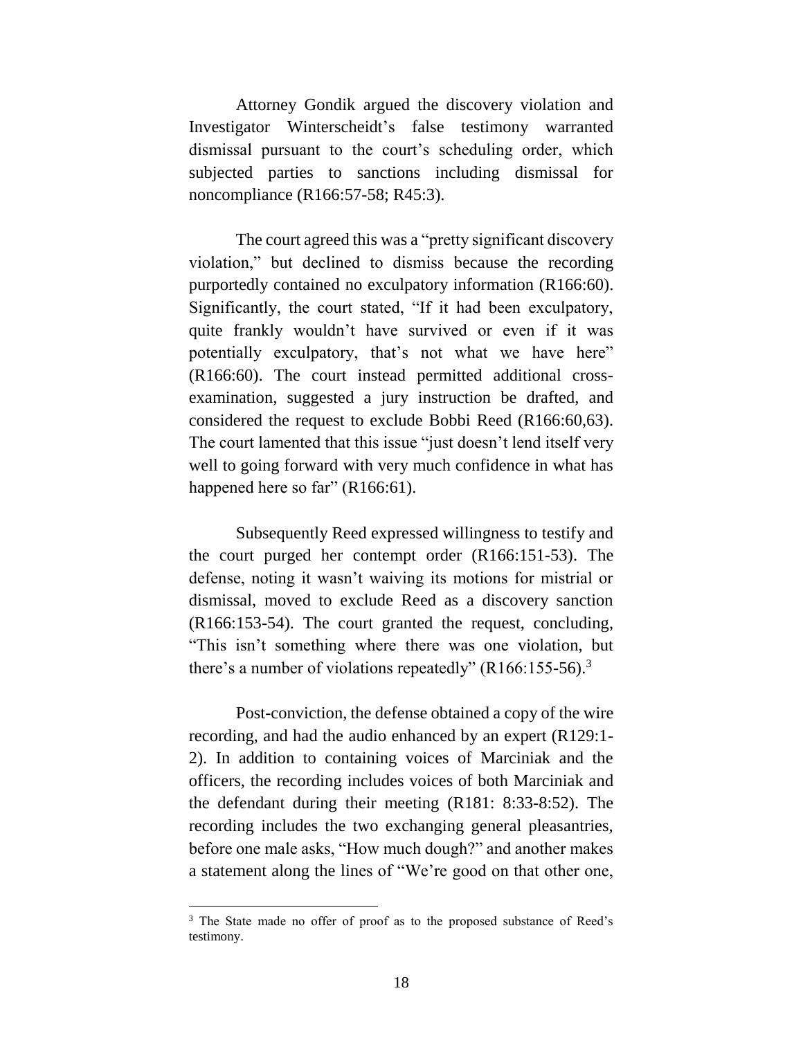Attorney Gondik argued the discovery violation and Investigator Winterscheidt's false testimony warranted dismissal pursuant to the court's scheduling order, which subjected parties to sanctions including dismissal for noncompliance (R166:57-58; R45:3).

The court agreed this was a "pretty significant discovery violation," but declined to dismiss because the recording purportedly contained no exculpatory information (R166:60). Significantly, the court stated, "If it had been exculpatory, quite frankly wouldn't have survived or even if it was potentially exculpatory, that's not what we have here" (R166:60). The court instead permitted additional crossexamination, suggested a jury instruction be drafted, and considered the request to exclude Bobbi Reed (R166:60,63). The court lamented that this issue "just doesn't lend itself very well to going forward with very much confidence in what has happened here so far" (R166:61).

Subsequently Reed expressed willingness to testify and the court purged her contempt order (R166:151-53). The defense, noting it wasn't waiving its motions for mistrial or dismissal, moved to exclude Reed as a discovery sanction (R166:153-54). The court granted the request, concluding, "This isn't something where there was one violation, but there's a number of violations repeatedly"  $(R166:155-56).$ <sup>3</sup>

Post-conviction, the defense obtained a copy of the wire recording, and had the audio enhanced by an expert (R129:1- 2). In addition to containing voices of Marciniak and the officers, the recording includes voices of both Marciniak and the defendant during their meeting (R181: 8:33-8:52). The recording includes the two exchanging general pleasantries, before one male asks, "How much dough?" and another makes a statement along the lines of "We're good on that other one,

 $\overline{a}$ 

<sup>&</sup>lt;sup>3</sup> The State made no offer of proof as to the proposed substance of Reed's testimony.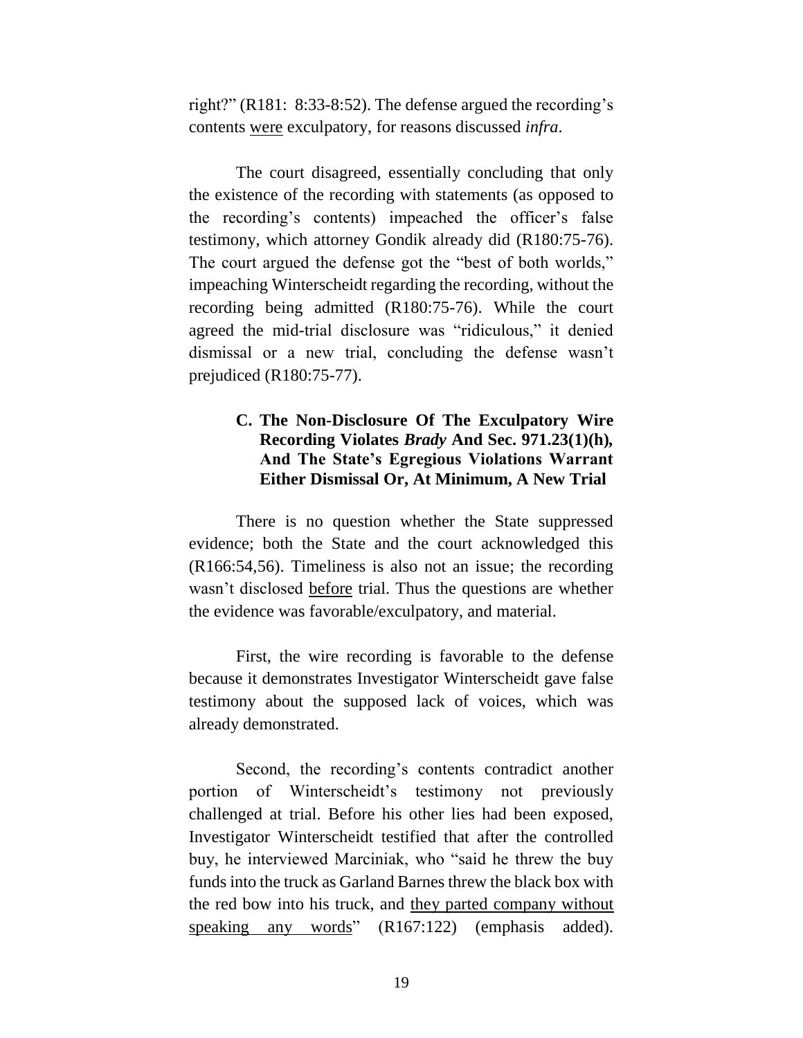right?" (R181: 8:33-8:52). The defense argued the recording's contents were exculpatory, for reasons discussed *infra*.

The court disagreed, essentially concluding that only the existence of the recording with statements (as opposed to the recording's contents) impeached the officer's false testimony, which attorney Gondik already did (R180:75-76). The court argued the defense got the "best of both worlds," impeaching Winterscheidt regarding the recording, without the recording being admitted (R180:75-76). While the court agreed the mid-trial disclosure was "ridiculous," it denied dismissal or a new trial, concluding the defense wasn't prejudiced (R180:75-77).

### **C. The Non-Disclosure Of The Exculpatory Wire Recording Violates** *Brady* **And Sec. 971.23(1)(h)***,*  **And The State's Egregious Violations Warrant Either Dismissal Or, At Minimum, A New Trial**

There is no question whether the State suppressed evidence; both the State and the court acknowledged this (R166:54,56). Timeliness is also not an issue; the recording wasn't disclosed before trial. Thus the questions are whether the evidence was favorable/exculpatory, and material.

First, the wire recording is favorable to the defense because it demonstrates Investigator Winterscheidt gave false testimony about the supposed lack of voices, which was already demonstrated.

Second, the recording's contents contradict another portion of Winterscheidt's testimony not previously challenged at trial. Before his other lies had been exposed, Investigator Winterscheidt testified that after the controlled buy, he interviewed Marciniak, who "said he threw the buy funds into the truck as Garland Barnes threw the black box with the red bow into his truck, and they parted company without speaking any words" (R167:122) (emphasis added).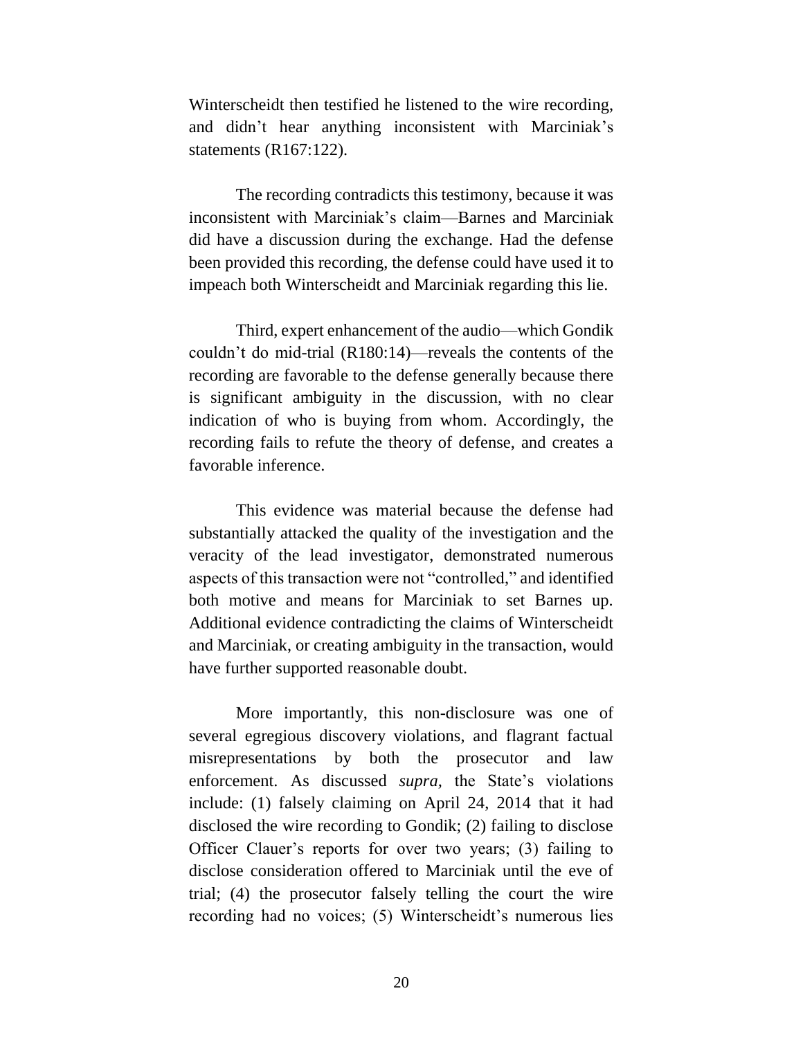Winterscheidt then testified he listened to the wire recording, and didn't hear anything inconsistent with Marciniak's statements (R167:122).

The recording contradicts this testimony, because it was inconsistent with Marciniak's claim—Barnes and Marciniak did have a discussion during the exchange. Had the defense been provided this recording, the defense could have used it to impeach both Winterscheidt and Marciniak regarding this lie.

Third, expert enhancement of the audio—which Gondik couldn't do mid-trial (R180:14)—reveals the contents of the recording are favorable to the defense generally because there is significant ambiguity in the discussion, with no clear indication of who is buying from whom. Accordingly, the recording fails to refute the theory of defense, and creates a favorable inference.

This evidence was material because the defense had substantially attacked the quality of the investigation and the veracity of the lead investigator, demonstrated numerous aspects of this transaction were not "controlled," and identified both motive and means for Marciniak to set Barnes up. Additional evidence contradicting the claims of Winterscheidt and Marciniak, or creating ambiguity in the transaction, would have further supported reasonable doubt.

More importantly, this non-disclosure was one of several egregious discovery violations, and flagrant factual misrepresentations by both the prosecutor and law enforcement. As discussed *supra,* the State's violations include: (1) falsely claiming on April 24, 2014 that it had disclosed the wire recording to Gondik; (2) failing to disclose Officer Clauer's reports for over two years; (3) failing to disclose consideration offered to Marciniak until the eve of trial; (4) the prosecutor falsely telling the court the wire recording had no voices; (5) Winterscheidt's numerous lies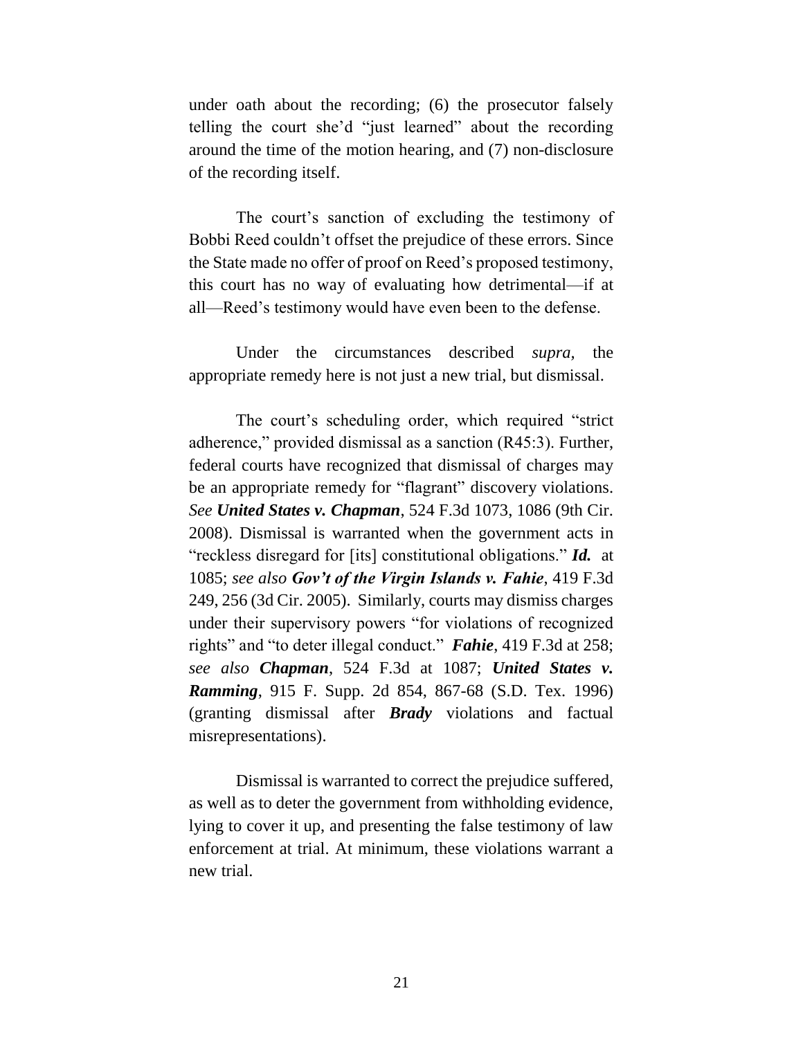under oath about the recording; (6) the prosecutor falsely telling the court she'd "just learned" about the recording around the time of the motion hearing, and (7) non-disclosure of the recording itself.

The court's sanction of excluding the testimony of Bobbi Reed couldn't offset the prejudice of these errors. Since the State made no offer of proof on Reed's proposed testimony, this court has no way of evaluating how detrimental—if at all—Reed's testimony would have even been to the defense.

Under the circumstances described *supra,* the appropriate remedy here is not just a new trial, but dismissal.

The court's scheduling order, which required "strict adherence," provided dismissal as a sanction (R45:3). Further, federal courts have recognized that dismissal of charges may be an appropriate remedy for "flagrant" discovery violations. *See United States v. Chapman*, 524 F.3d 1073, 1086 (9th Cir. 2008). Dismissal is warranted when the government acts in "reckless disregard for [its] constitutional obligations." *Id.* at 1085; *see also Gov't of the Virgin Islands v. Fahie*, 419 F.3d 249, 256 (3d Cir. 2005). Similarly, courts may dismiss charges under their supervisory powers "for violations of recognized rights" and "to deter illegal conduct." *Fahie*, 419 F.3d at 258; *see also Chapman*, 524 F.3d at 1087; *United States v. Ramming*, 915 F. Supp. 2d 854, 867-68 (S.D. Tex. 1996) (granting dismissal after *Brady* violations and factual misrepresentations).

Dismissal is warranted to correct the prejudice suffered, as well as to deter the government from withholding evidence, lying to cover it up, and presenting the false testimony of law enforcement at trial. At minimum, these violations warrant a new trial.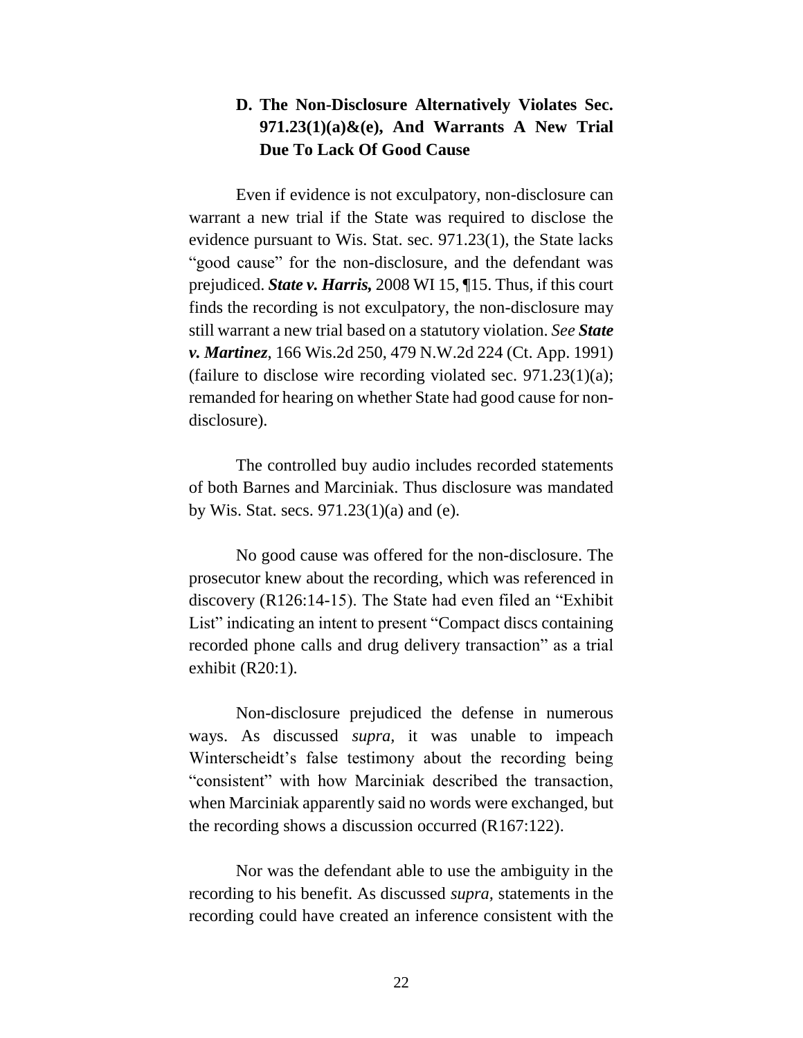# **D. The Non-Disclosure Alternatively Violates Sec. 971.23(1)(a)&(e), And Warrants A New Trial Due To Lack Of Good Cause**

Even if evidence is not exculpatory, non-disclosure can warrant a new trial if the State was required to disclose the evidence pursuant to Wis. Stat. sec. 971.23(1), the State lacks "good cause" for the non-disclosure, and the defendant was prejudiced. *State v. Harris,* 2008 WI 15, ¶15. Thus, if this court finds the recording is not exculpatory, the non-disclosure may still warrant a new trial based on a statutory violation. *See State v. Martinez*, 166 Wis.2d 250, 479 N.W.2d 224 (Ct. App. 1991) (failure to disclose wire recording violated sec.  $971.23(1)(a)$ ; remanded for hearing on whether State had good cause for nondisclosure).

The controlled buy audio includes recorded statements of both Barnes and Marciniak. Thus disclosure was mandated by Wis. Stat. secs.  $971.23(1)(a)$  and (e).

No good cause was offered for the non-disclosure. The prosecutor knew about the recording, which was referenced in discovery (R126:14-15). The State had even filed an "Exhibit List" indicating an intent to present "Compact discs containing recorded phone calls and drug delivery transaction" as a trial exhibit (R20:1).

Non-disclosure prejudiced the defense in numerous ways. As discussed *supra,* it was unable to impeach Winterscheidt's false testimony about the recording being "consistent" with how Marciniak described the transaction, when Marciniak apparently said no words were exchanged, but the recording shows a discussion occurred (R167:122).

Nor was the defendant able to use the ambiguity in the recording to his benefit. As discussed *supra,* statements in the recording could have created an inference consistent with the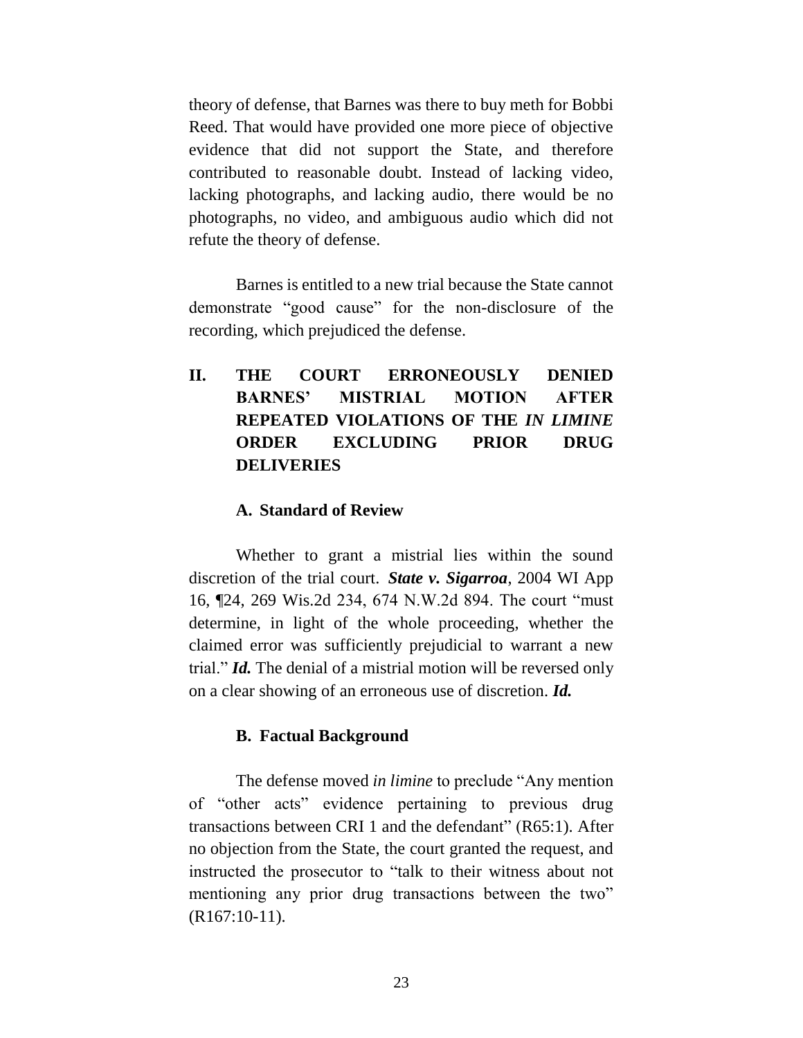theory of defense, that Barnes was there to buy meth for Bobbi Reed. That would have provided one more piece of objective evidence that did not support the State, and therefore contributed to reasonable doubt. Instead of lacking video, lacking photographs, and lacking audio, there would be no photographs, no video, and ambiguous audio which did not refute the theory of defense.

Barnes is entitled to a new trial because the State cannot demonstrate "good cause" for the non-disclosure of the recording, which prejudiced the defense.

**II. THE COURT ERRONEOUSLY DENIED BARNES' MISTRIAL MOTION AFTER REPEATED VIOLATIONS OF THE** *IN LIMINE*  **ORDER EXCLUDING PRIOR DRUG DELIVERIES**

### **A. Standard of Review**

Whether to grant a mistrial lies within the sound discretion of the trial court. *State v. Sigarroa*, 2004 WI App 16, ¶24, 269 Wis.2d 234, 674 N.W.2d 894. The court "must determine, in light of the whole proceeding, whether the claimed error was sufficiently prejudicial to warrant a new trial." *Id.* The denial of a mistrial motion will be reversed only on a clear showing of an erroneous use of discretion. *Id.*

### **B. Factual Background**

The defense moved *in limine* to preclude "Any mention of "other acts" evidence pertaining to previous drug transactions between CRI 1 and the defendant" (R65:1). After no objection from the State, the court granted the request, and instructed the prosecutor to "talk to their witness about not mentioning any prior drug transactions between the two" (R167:10-11).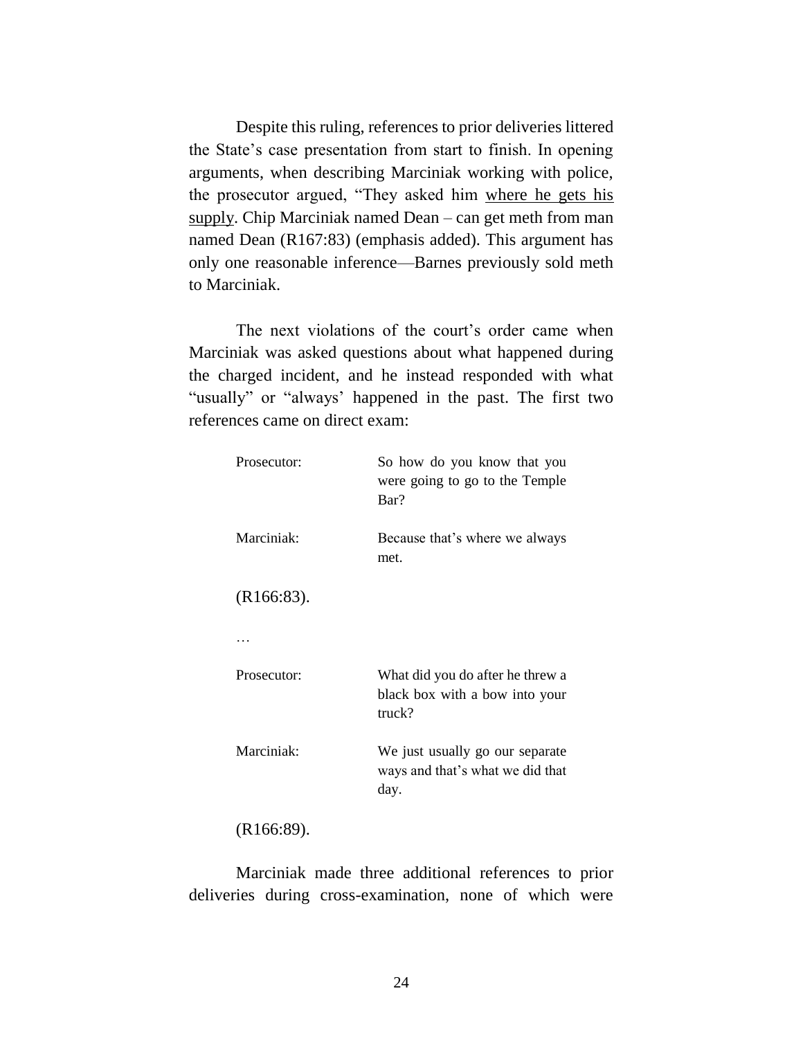Despite this ruling, references to prior deliveries littered the State's case presentation from start to finish. In opening arguments, when describing Marciniak working with police, the prosecutor argued, "They asked him where he gets his supply. Chip Marciniak named Dean – can get meth from man named Dean (R167:83) (emphasis added). This argument has only one reasonable inference—Barnes previously sold meth to Marciniak.

The next violations of the court's order came when Marciniak was asked questions about what happened during the charged incident, and he instead responded with what "usually" or "always' happened in the past. The first two references came on direct exam:

| Prosecutor:   | So how do you know that you<br>were going to go to the Temple<br>Bar?        |
|---------------|------------------------------------------------------------------------------|
| Marciniak:    | Because that's where we always<br>met.                                       |
| $(R166:83)$ . |                                                                              |
|               |                                                                              |
| Prosecutor:   | What did you do after he threw a<br>black box with a bow into your<br>truck? |
| Marciniak:    | We just usually go our separate<br>ways and that's what we did that<br>day.  |
| $(R166:89)$ . |                                                                              |

Marciniak made three additional references to prior deliveries during cross-examination, none of which were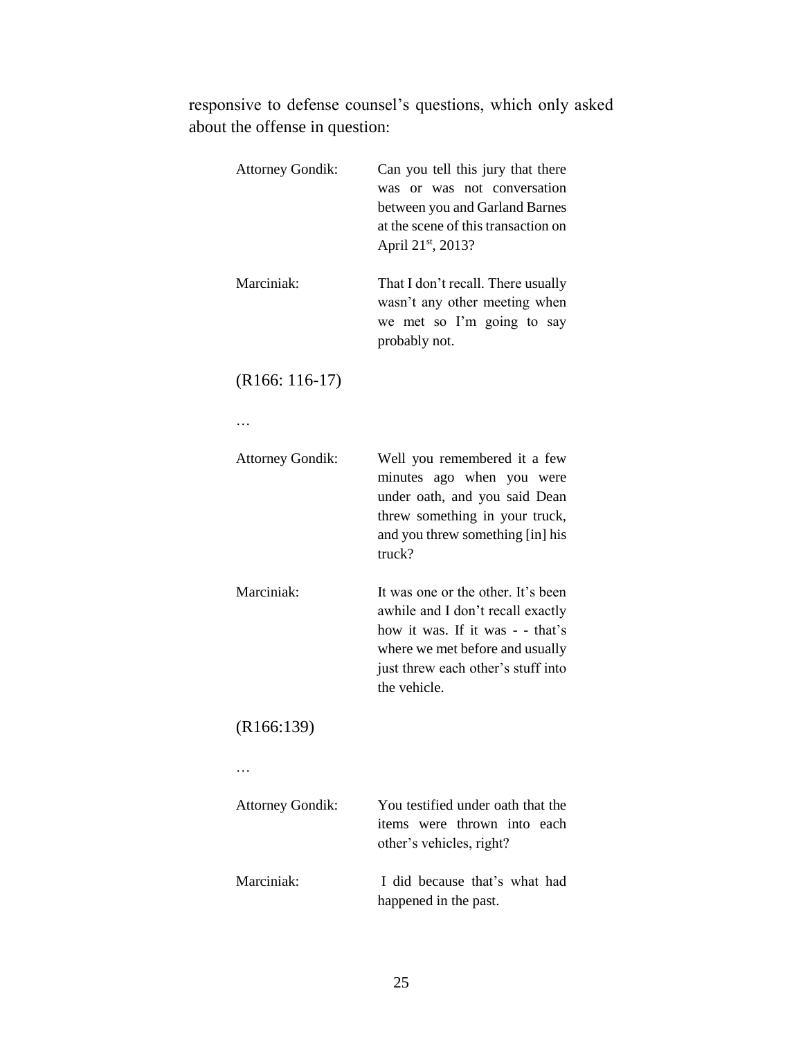responsive to defense counsel's questions, which only asked about the offense in question:

| <b>Attorney Gondik:</b> | Can you tell this jury that there<br>was or was not conversation<br>between you and Garland Barnes<br>at the scene of this transaction on<br>April 21st, 2013?                                       |
|-------------------------|------------------------------------------------------------------------------------------------------------------------------------------------------------------------------------------------------|
| Marciniak:              | That I don't recall. There usually<br>wasn't any other meeting when<br>we met so I'm going to say<br>probably not.                                                                                   |
| $(R166: 116-17)$        |                                                                                                                                                                                                      |
| .                       |                                                                                                                                                                                                      |
| <b>Attorney Gondik:</b> | Well you remembered it a few<br>minutes ago when you were<br>under oath, and you said Dean<br>threw something in your truck,<br>and you threw something [in] his<br>truck?                           |
| Marciniak:              | It was one or the other. It's been<br>awhile and I don't recall exactly<br>how it was. If it was - - that's<br>where we met before and usually<br>just threw each other's stuff into<br>the vehicle. |
| (R166:139)              |                                                                                                                                                                                                      |
|                         |                                                                                                                                                                                                      |
| <b>Attorney Gondik:</b> | You testified under oath that the<br>items were thrown into each<br>other's vehicles, right?                                                                                                         |
| Marciniak:              | I did because that's what had<br>happened in the past.                                                                                                                                               |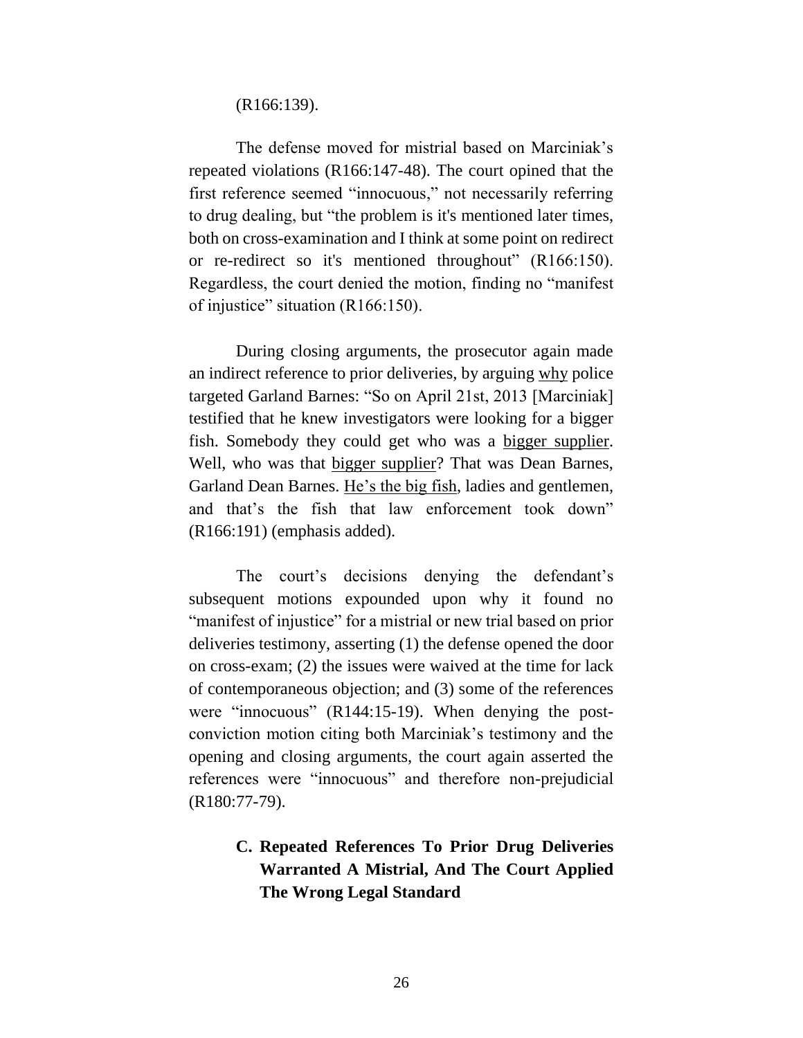(R166:139).

The defense moved for mistrial based on Marciniak's repeated violations (R166:147-48). The court opined that the first reference seemed "innocuous," not necessarily referring to drug dealing, but "the problem is it's mentioned later times, both on cross-examination and I think at some point on redirect or re-redirect so it's mentioned throughout" (R166:150). Regardless, the court denied the motion, finding no "manifest of injustice" situation (R166:150).

During closing arguments, the prosecutor again made an indirect reference to prior deliveries, by arguing why police targeted Garland Barnes: "So on April 21st, 2013 [Marciniak] testified that he knew investigators were looking for a bigger fish. Somebody they could get who was a bigger supplier. Well, who was that bigger supplier? That was Dean Barnes, Garland Dean Barnes. He's the big fish, ladies and gentlemen, and that's the fish that law enforcement took down" (R166:191) (emphasis added).

The court's decisions denying the defendant's subsequent motions expounded upon why it found no "manifest of injustice" for a mistrial or new trial based on prior deliveries testimony, asserting (1) the defense opened the door on cross-exam; (2) the issues were waived at the time for lack of contemporaneous objection; and (3) some of the references were "innocuous" (R144:15-19). When denying the postconviction motion citing both Marciniak's testimony and the opening and closing arguments, the court again asserted the references were "innocuous" and therefore non-prejudicial (R180:77-79).

# **C. Repeated References To Prior Drug Deliveries Warranted A Mistrial, And The Court Applied The Wrong Legal Standard**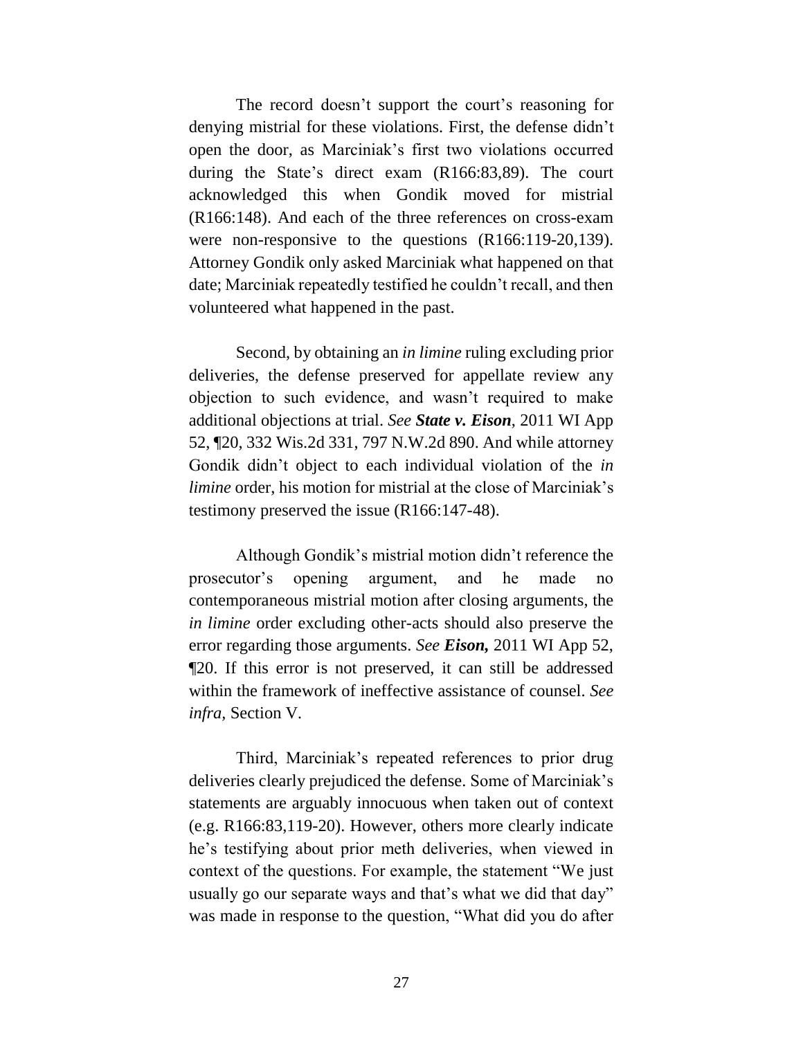The record doesn't support the court's reasoning for denying mistrial for these violations. First, the defense didn't open the door, as Marciniak's first two violations occurred during the State's direct exam (R166:83,89). The court acknowledged this when Gondik moved for mistrial (R166:148). And each of the three references on cross-exam were non-responsive to the questions (R166:119-20,139). Attorney Gondik only asked Marciniak what happened on that date; Marciniak repeatedly testified he couldn't recall, and then volunteered what happened in the past.

Second, by obtaining an *in limine* ruling excluding prior deliveries, the defense preserved for appellate review any objection to such evidence, and wasn't required to make additional objections at trial. *See State v. Eison*, 2011 WI App 52, ¶20, 332 Wis.2d 331, 797 N.W.2d 890. And while attorney Gondik didn't object to each individual violation of the *in limine* order, his motion for mistrial at the close of Marciniak's testimony preserved the issue (R166:147-48).

Although Gondik's mistrial motion didn't reference the prosecutor's opening argument, and he made no contemporaneous mistrial motion after closing arguments, the *in limine* order excluding other-acts should also preserve the error regarding those arguments. *See Eison,* 2011 WI App 52, ¶20. If this error is not preserved, it can still be addressed within the framework of ineffective assistance of counsel. *See infra,* Section V*.*

Third, Marciniak's repeated references to prior drug deliveries clearly prejudiced the defense. Some of Marciniak's statements are arguably innocuous when taken out of context (e.g. R166:83,119-20). However, others more clearly indicate he's testifying about prior meth deliveries, when viewed in context of the questions. For example, the statement "We just usually go our separate ways and that's what we did that day" was made in response to the question, "What did you do after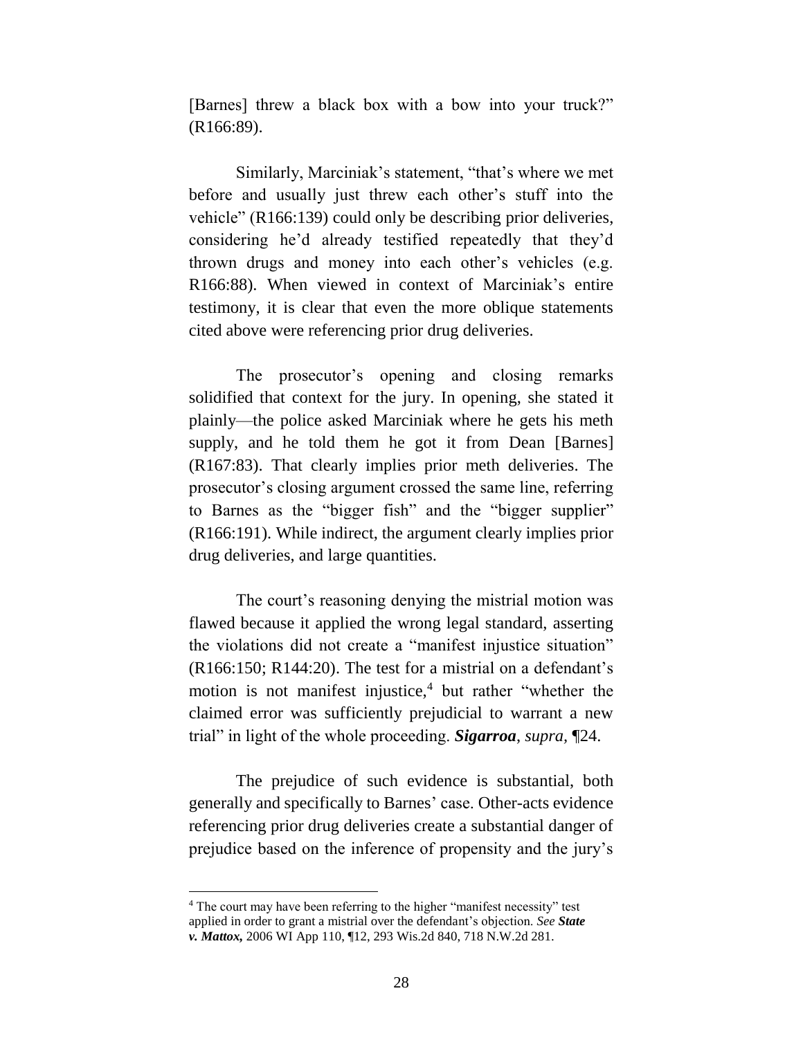[Barnes] threw a black box with a bow into your truck?" (R166:89).

Similarly, Marciniak's statement, "that's where we met before and usually just threw each other's stuff into the vehicle" (R166:139) could only be describing prior deliveries, considering he'd already testified repeatedly that they'd thrown drugs and money into each other's vehicles (e.g. R166:88). When viewed in context of Marciniak's entire testimony, it is clear that even the more oblique statements cited above were referencing prior drug deliveries.

The prosecutor's opening and closing remarks solidified that context for the jury. In opening, she stated it plainly—the police asked Marciniak where he gets his meth supply, and he told them he got it from Dean [Barnes] (R167:83). That clearly implies prior meth deliveries. The prosecutor's closing argument crossed the same line, referring to Barnes as the "bigger fish" and the "bigger supplier" (R166:191). While indirect, the argument clearly implies prior drug deliveries, and large quantities.

The court's reasoning denying the mistrial motion was flawed because it applied the wrong legal standard, asserting the violations did not create a "manifest injustice situation" (R166:150; R144:20). The test for a mistrial on a defendant's motion is not manifest injustice, $4$  but rather "whether the claimed error was sufficiently prejudicial to warrant a new trial" in light of the whole proceeding. *Sigarroa*, *supra,* ¶24.

The prejudice of such evidence is substantial, both generally and specifically to Barnes' case. Other-acts evidence referencing prior drug deliveries create a substantial danger of prejudice based on the inference of propensity and the jury's

 $\overline{a}$ 

<sup>&</sup>lt;sup>4</sup> The court may have been referring to the higher "manifest necessity" test applied in order to grant a mistrial over the defendant's objection. *See State v. Mattox,* 2006 WI App 110, ¶12, 293 Wis.2d 840, 718 N.W.2d 281.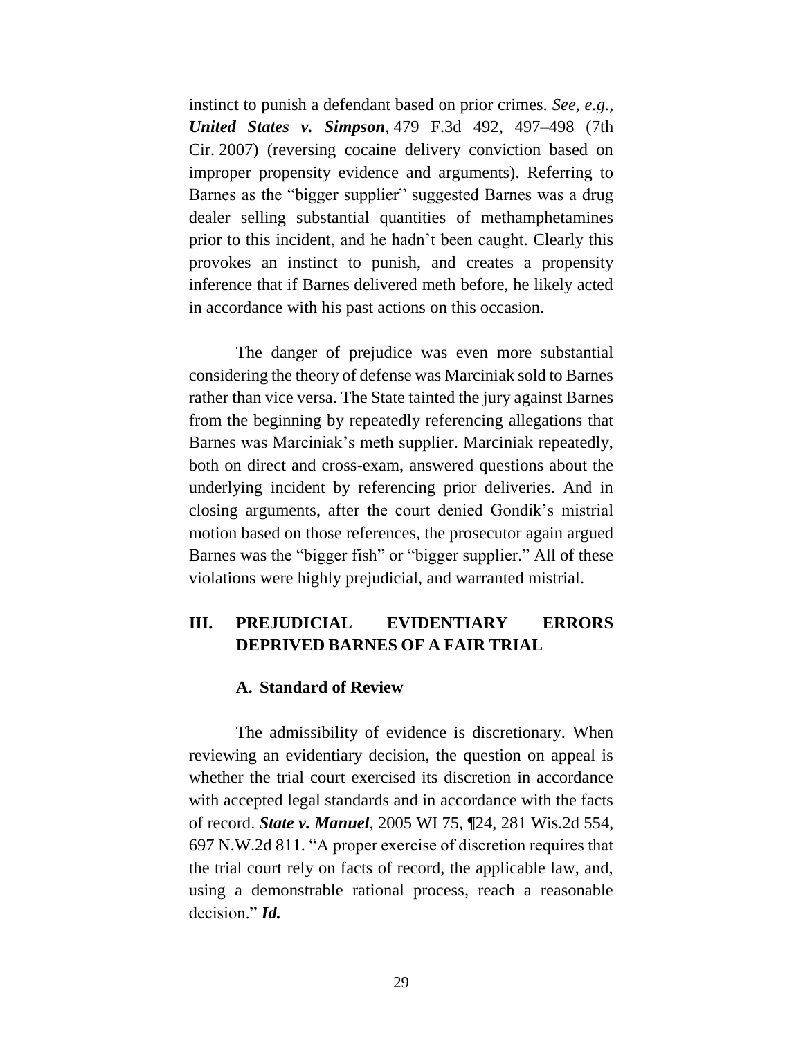instinct to punish a defendant based on prior crimes. *See, e.g., United States v. Simpson*, 479 F.3d 492, 497–498 (7th Cir. 2007) (reversing cocaine delivery conviction based on improper propensity evidence and arguments). Referring to Barnes as the "bigger supplier" suggested Barnes was a drug dealer selling substantial quantities of methamphetamines prior to this incident, and he hadn't been caught. Clearly this provokes an instinct to punish, and creates a propensity inference that if Barnes delivered meth before, he likely acted in accordance with his past actions on this occasion.

The danger of prejudice was even more substantial considering the theory of defense was Marciniak sold to Barnes rather than vice versa. The State tainted the jury against Barnes from the beginning by repeatedly referencing allegations that Barnes was Marciniak's meth supplier. Marciniak repeatedly, both on direct and cross-exam, answered questions about the underlying incident by referencing prior deliveries. And in closing arguments, after the court denied Gondik's mistrial motion based on those references, the prosecutor again argued Barnes was the "bigger fish" or "bigger supplier." All of these violations were highly prejudicial, and warranted mistrial.

# **III. PREJUDICIAL EVIDENTIARY ERRORS DEPRIVED BARNES OF A FAIR TRIAL**

#### **A. Standard of Review**

The admissibility of evidence is discretionary. When reviewing an evidentiary decision, the question on appeal is whether the trial court exercised its discretion in accordance with accepted legal standards and in accordance with the facts of record. *State v. Manuel*, 2005 WI 75, ¶24, 281 Wis.2d 554, 697 N.W.2d 811. "A proper exercise of discretion requires that the trial court rely on facts of record, the applicable law, and, using a demonstrable rational process, reach a reasonable decision." *Id.*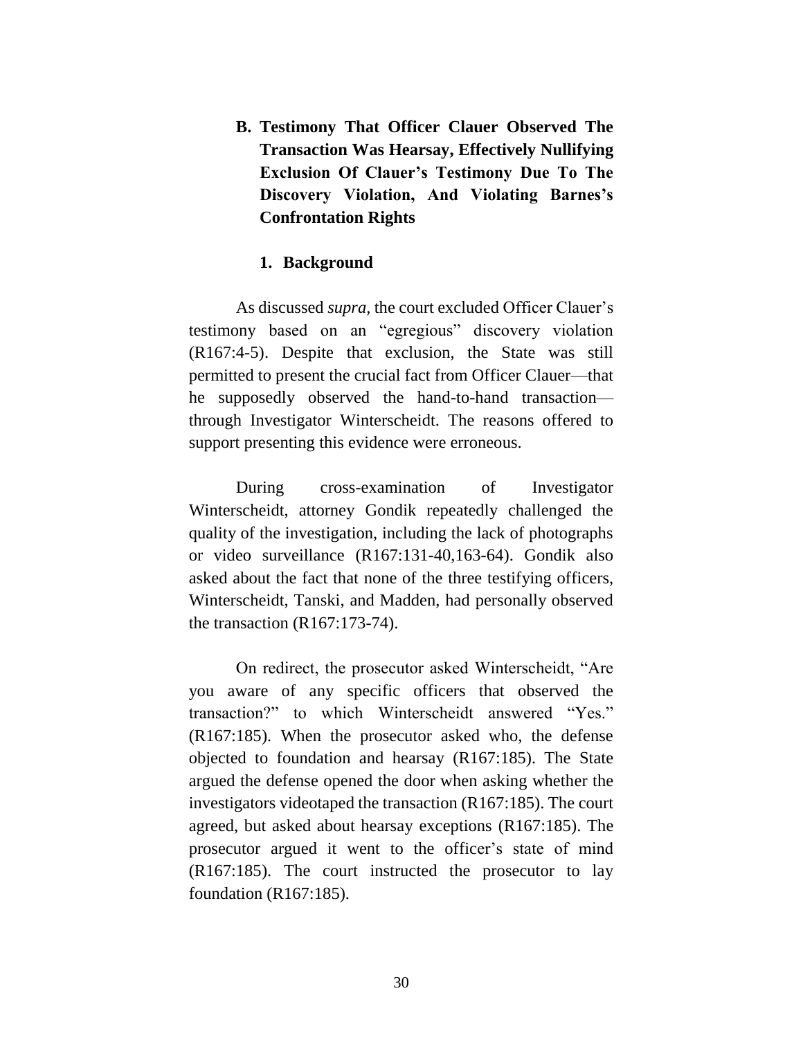**B. Testimony That Officer Clauer Observed The Transaction Was Hearsay, Effectively Nullifying Exclusion Of Clauer's Testimony Due To The Discovery Violation, And Violating Barnes's Confrontation Rights**

#### **1. Background**

As discussed *supra,* the court excluded Officer Clauer's testimony based on an "egregious" discovery violation (R167:4-5). Despite that exclusion, the State was still permitted to present the crucial fact from Officer Clauer—that he supposedly observed the hand-to-hand transaction through Investigator Winterscheidt. The reasons offered to support presenting this evidence were erroneous.

During cross-examination of Investigator Winterscheidt, attorney Gondik repeatedly challenged the quality of the investigation, including the lack of photographs or video surveillance (R167:131-40,163-64). Gondik also asked about the fact that none of the three testifying officers, Winterscheidt, Tanski, and Madden, had personally observed the transaction (R167:173-74).

On redirect, the prosecutor asked Winterscheidt, "Are you aware of any specific officers that observed the transaction?" to which Winterscheidt answered "Yes." (R167:185). When the prosecutor asked who, the defense objected to foundation and hearsay (R167:185). The State argued the defense opened the door when asking whether the investigators videotaped the transaction (R167:185). The court agreed, but asked about hearsay exceptions (R167:185). The prosecutor argued it went to the officer's state of mind (R167:185). The court instructed the prosecutor to lay foundation (R167:185).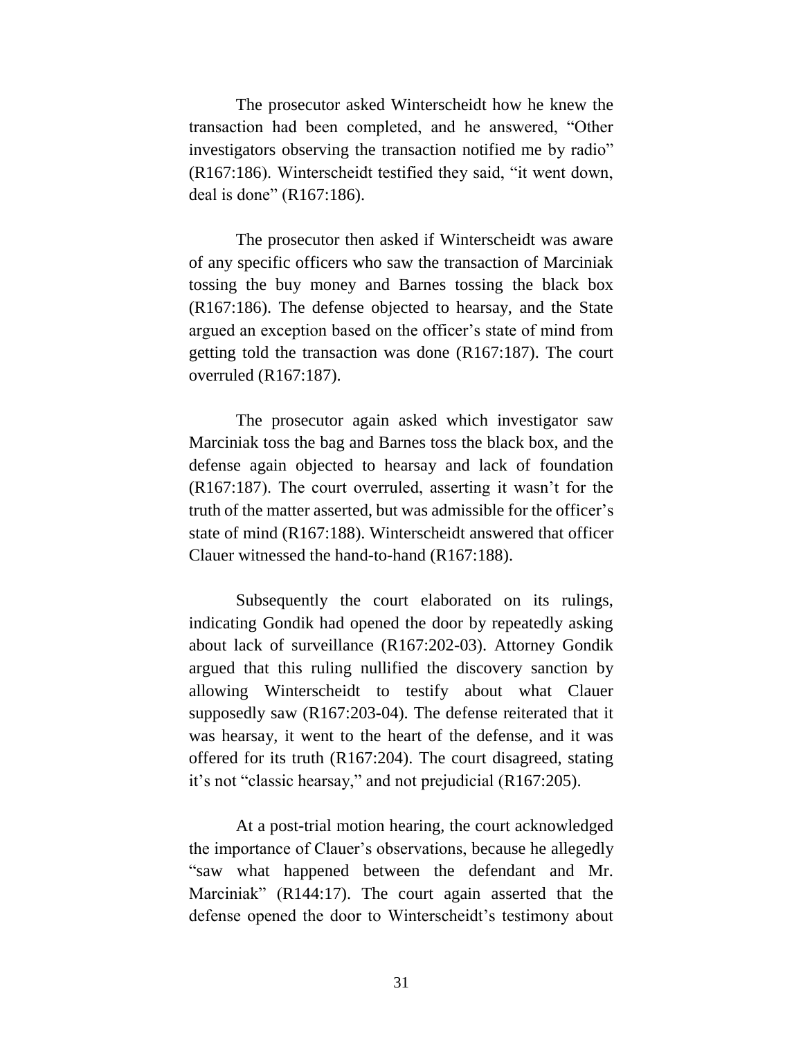The prosecutor asked Winterscheidt how he knew the transaction had been completed, and he answered, "Other investigators observing the transaction notified me by radio" (R167:186). Winterscheidt testified they said, "it went down, deal is done" (R167:186).

The prosecutor then asked if Winterscheidt was aware of any specific officers who saw the transaction of Marciniak tossing the buy money and Barnes tossing the black box (R167:186). The defense objected to hearsay, and the State argued an exception based on the officer's state of mind from getting told the transaction was done (R167:187). The court overruled (R167:187).

The prosecutor again asked which investigator saw Marciniak toss the bag and Barnes toss the black box, and the defense again objected to hearsay and lack of foundation (R167:187). The court overruled, asserting it wasn't for the truth of the matter asserted, but was admissible for the officer's state of mind (R167:188). Winterscheidt answered that officer Clauer witnessed the hand-to-hand (R167:188).

Subsequently the court elaborated on its rulings, indicating Gondik had opened the door by repeatedly asking about lack of surveillance (R167:202-03). Attorney Gondik argued that this ruling nullified the discovery sanction by allowing Winterscheidt to testify about what Clauer supposedly saw (R167:203-04). The defense reiterated that it was hearsay, it went to the heart of the defense, and it was offered for its truth (R167:204). The court disagreed, stating it's not "classic hearsay," and not prejudicial (R167:205).

At a post-trial motion hearing, the court acknowledged the importance of Clauer's observations, because he allegedly "saw what happened between the defendant and Mr. Marciniak" (R144:17). The court again asserted that the defense opened the door to Winterscheidt's testimony about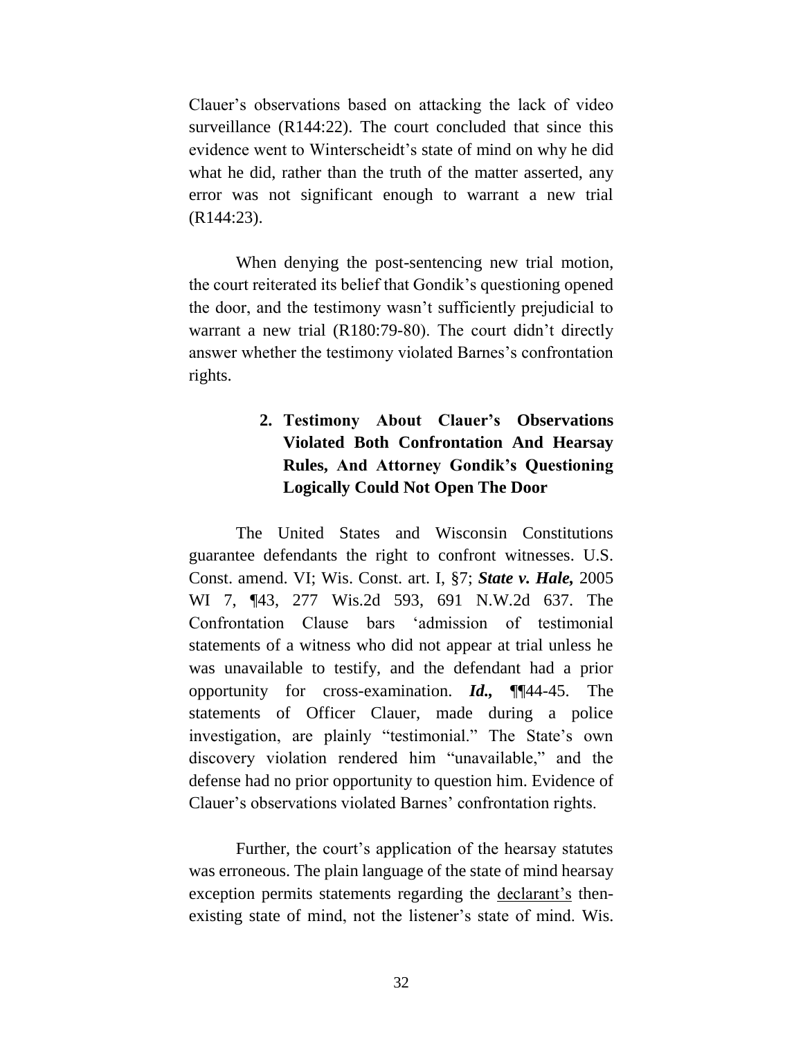Clauer's observations based on attacking the lack of video surveillance (R144:22). The court concluded that since this evidence went to Winterscheidt's state of mind on why he did what he did, rather than the truth of the matter asserted, any error was not significant enough to warrant a new trial (R144:23).

When denying the post-sentencing new trial motion, the court reiterated its belief that Gondik's questioning opened the door, and the testimony wasn't sufficiently prejudicial to warrant a new trial (R180:79-80). The court didn't directly answer whether the testimony violated Barnes's confrontation rights.

# **2. Testimony About Clauer's Observations Violated Both Confrontation And Hearsay Rules, And Attorney Gondik's Questioning Logically Could Not Open The Door**

The United States and Wisconsin Constitutions guarantee defendants the right to confront witnesses. U.S. Const. amend. VI; Wis. Const. art. I, §7; *State v. Hale,* 2005 WI 7, ¶43, 277 Wis.2d 593, 691 N.W.2d 637. The Confrontation Clause bars 'admission of testimonial statements of a witness who did not appear at trial unless he was unavailable to testify, and the defendant had a prior opportunity for cross-examination. *Id.,* ¶¶44-45. The statements of Officer Clauer, made during a police investigation, are plainly "testimonial." The State's own discovery violation rendered him "unavailable," and the defense had no prior opportunity to question him. Evidence of Clauer's observations violated Barnes' confrontation rights.

Further, the court's application of the hearsay statutes was erroneous. The plain language of the state of mind hearsay exception permits statements regarding the declarant's thenexisting state of mind, not the listener's state of mind. Wis.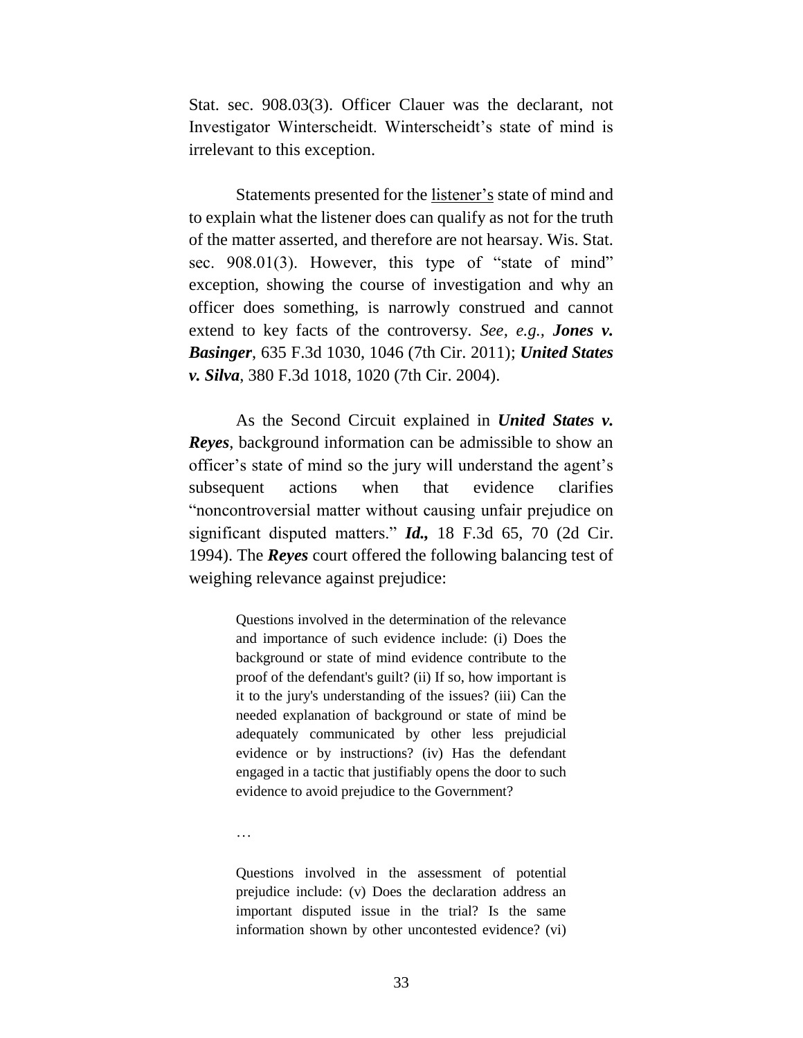Stat. sec. 908.03(3). Officer Clauer was the declarant, not Investigator Winterscheidt. Winterscheidt's state of mind is irrelevant to this exception.

Statements presented for the listener's state of mind and to explain what the listener does can qualify as not for the truth of the matter asserted, and therefore are not hearsay. Wis. Stat. sec. 908.01(3). However, this type of "state of mind" exception, showing the course of investigation and why an officer does something, is narrowly construed and cannot extend to key facts of the controversy. *See, e.g., Jones v. Basinger*, 635 F.3d 1030, 1046 (7th Cir. 2011); *United States v. Silva*, 380 F.3d 1018, 1020 (7th Cir. 2004).

As the Second Circuit explained in *United States v. Reyes*, background information can be admissible to show an officer's state of mind so the jury will understand the agent's subsequent actions when that evidence clarifies "noncontroversial matter without causing unfair prejudice on significant disputed matters." *Id.,* 18 F.3d 65, 70 (2d Cir. 1994). The *Reyes* court offered the following balancing test of weighing relevance against prejudice:

> Questions involved in the determination of the relevance and importance of such evidence include: (i) Does the background or state of mind evidence contribute to the proof of the defendant's guilt? (ii) If so, how important is it to the jury's understanding of the issues? (iii) Can the needed explanation of background or state of mind be adequately communicated by other less prejudicial evidence or by instructions? (iv) Has the defendant engaged in a tactic that justifiably opens the door to such evidence to avoid prejudice to the Government?

…

Questions involved in the assessment of potential prejudice include: (v) Does the declaration address an important disputed issue in the trial? Is the same information shown by other uncontested evidence? (vi)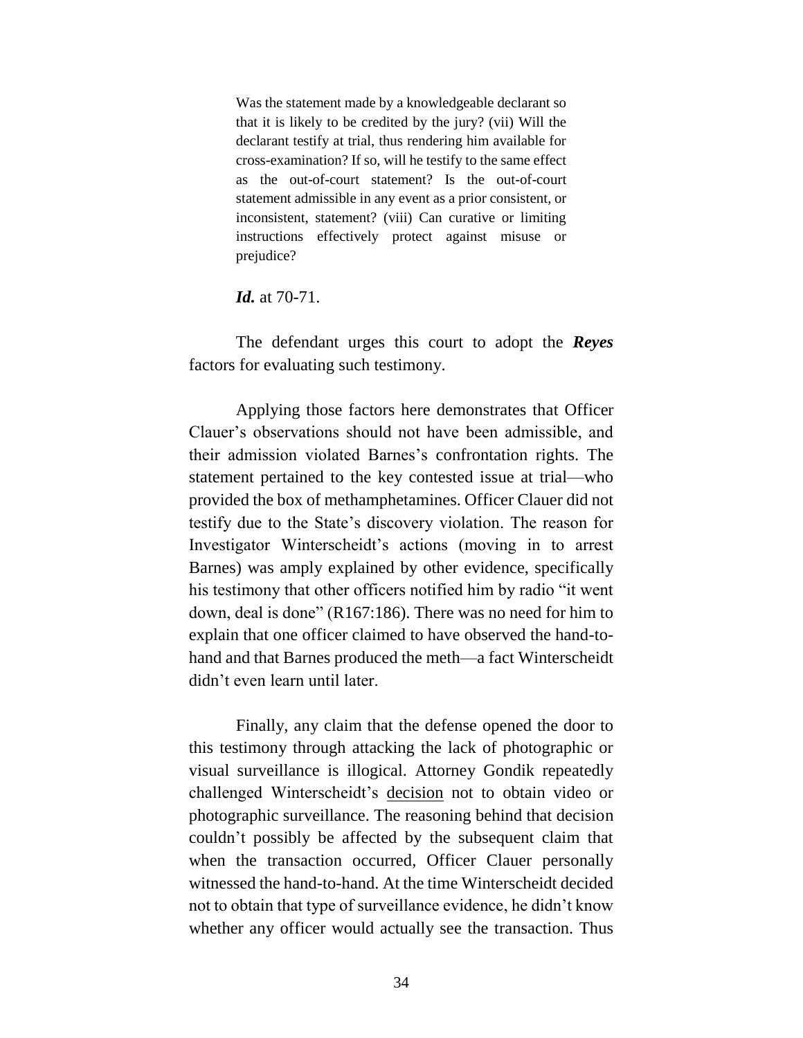Was the statement made by a knowledgeable declarant so that it is likely to be credited by the jury? (vii) Will the declarant testify at trial, thus rendering him available for cross-examination? If so, will he testify to the same effect as the out-of-court statement? Is the out-of-court statement admissible in any event as a prior consistent, or inconsistent, statement? (viii) Can curative or limiting instructions effectively protect against misuse or prejudice?

*Id.* at 70-71.

The defendant urges this court to adopt the *Reyes*  factors for evaluating such testimony.

Applying those factors here demonstrates that Officer Clauer's observations should not have been admissible, and their admission violated Barnes's confrontation rights. The statement pertained to the key contested issue at trial—who provided the box of methamphetamines. Officer Clauer did not testify due to the State's discovery violation. The reason for Investigator Winterscheidt's actions (moving in to arrest Barnes) was amply explained by other evidence, specifically his testimony that other officers notified him by radio "it went down, deal is done" (R167:186). There was no need for him to explain that one officer claimed to have observed the hand-tohand and that Barnes produced the meth—a fact Winterscheidt didn't even learn until later.

Finally, any claim that the defense opened the door to this testimony through attacking the lack of photographic or visual surveillance is illogical. Attorney Gondik repeatedly challenged Winterscheidt's decision not to obtain video or photographic surveillance. The reasoning behind that decision couldn't possibly be affected by the subsequent claim that when the transaction occurred, Officer Clauer personally witnessed the hand-to-hand. At the time Winterscheidt decided not to obtain that type of surveillance evidence, he didn't know whether any officer would actually see the transaction. Thus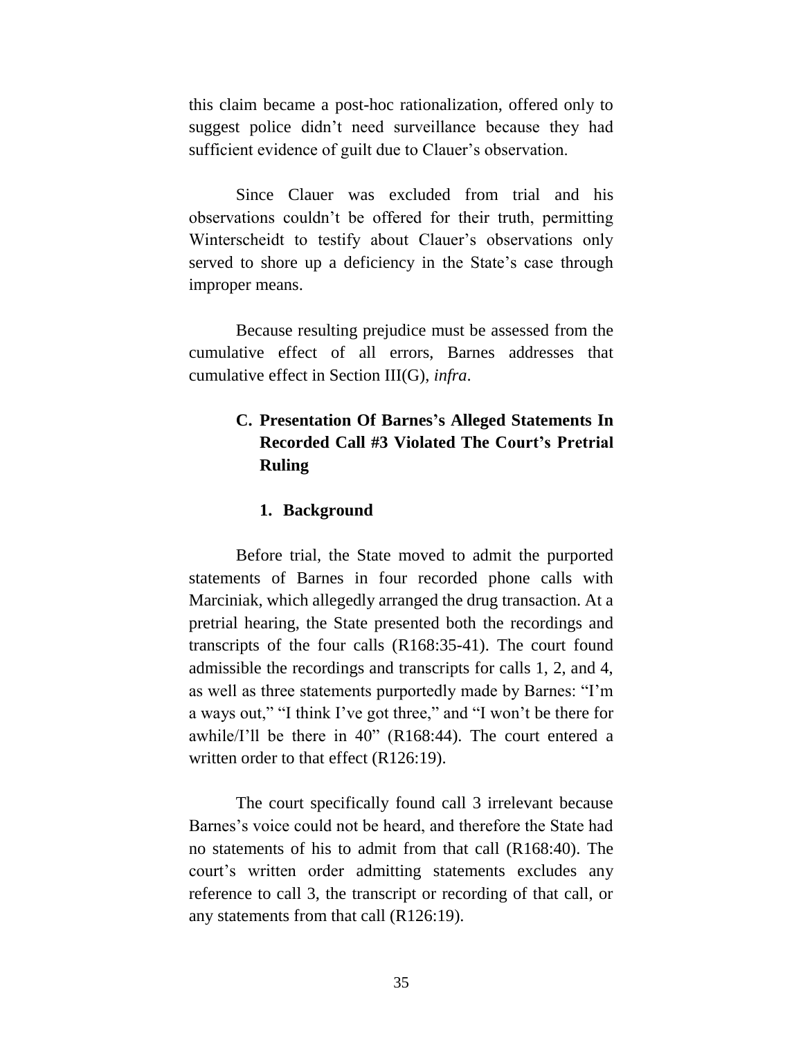this claim became a post-hoc rationalization, offered only to suggest police didn't need surveillance because they had sufficient evidence of guilt due to Clauer's observation.

Since Clauer was excluded from trial and his observations couldn't be offered for their truth, permitting Winterscheidt to testify about Clauer's observations only served to shore up a deficiency in the State's case through improper means.

Because resulting prejudice must be assessed from the cumulative effect of all errors, Barnes addresses that cumulative effect in Section III(G), *infra*.

# **C. Presentation Of Barnes's Alleged Statements In Recorded Call #3 Violated The Court's Pretrial Ruling**

#### **1. Background**

Before trial, the State moved to admit the purported statements of Barnes in four recorded phone calls with Marciniak, which allegedly arranged the drug transaction. At a pretrial hearing, the State presented both the recordings and transcripts of the four calls (R168:35-41). The court found admissible the recordings and transcripts for calls 1, 2, and 4, as well as three statements purportedly made by Barnes: "I'm a ways out," "I think I've got three," and "I won't be there for awhile/I'll be there in 40" (R168:44). The court entered a written order to that effect (R126:19).

The court specifically found call 3 irrelevant because Barnes's voice could not be heard, and therefore the State had no statements of his to admit from that call (R168:40). The court's written order admitting statements excludes any reference to call 3, the transcript or recording of that call, or any statements from that call (R126:19).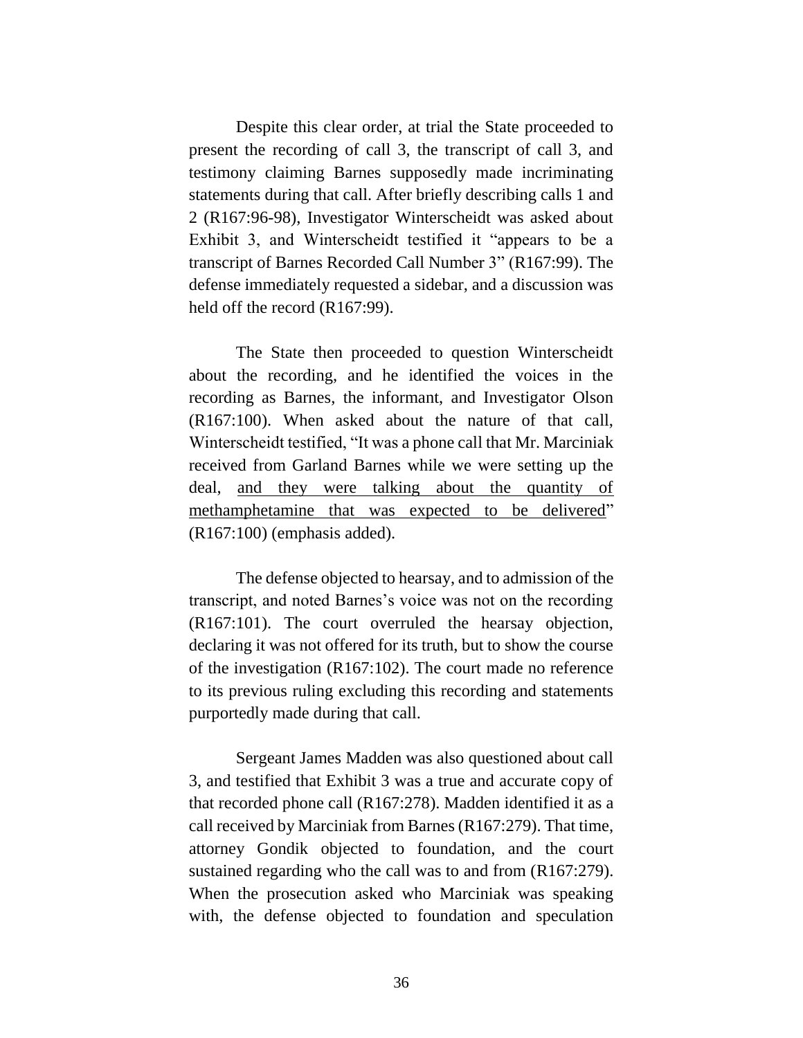Despite this clear order, at trial the State proceeded to present the recording of call 3, the transcript of call 3, and testimony claiming Barnes supposedly made incriminating statements during that call. After briefly describing calls 1 and 2 (R167:96-98), Investigator Winterscheidt was asked about Exhibit 3, and Winterscheidt testified it "appears to be a transcript of Barnes Recorded Call Number 3" (R167:99). The defense immediately requested a sidebar, and a discussion was held off the record (R167:99).

The State then proceeded to question Winterscheidt about the recording, and he identified the voices in the recording as Barnes, the informant, and Investigator Olson (R167:100). When asked about the nature of that call, Winterscheidt testified, "It was a phone call that Mr. Marciniak received from Garland Barnes while we were setting up the deal, and they were talking about the quantity of methamphetamine that was expected to be delivered" (R167:100) (emphasis added).

The defense objected to hearsay, and to admission of the transcript, and noted Barnes's voice was not on the recording (R167:101). The court overruled the hearsay objection, declaring it was not offered for its truth, but to show the course of the investigation (R167:102). The court made no reference to its previous ruling excluding this recording and statements purportedly made during that call.

Sergeant James Madden was also questioned about call 3, and testified that Exhibit 3 was a true and accurate copy of that recorded phone call (R167:278). Madden identified it as a call received by Marciniak from Barnes (R167:279). That time, attorney Gondik objected to foundation, and the court sustained regarding who the call was to and from (R167:279). When the prosecution asked who Marciniak was speaking with, the defense objected to foundation and speculation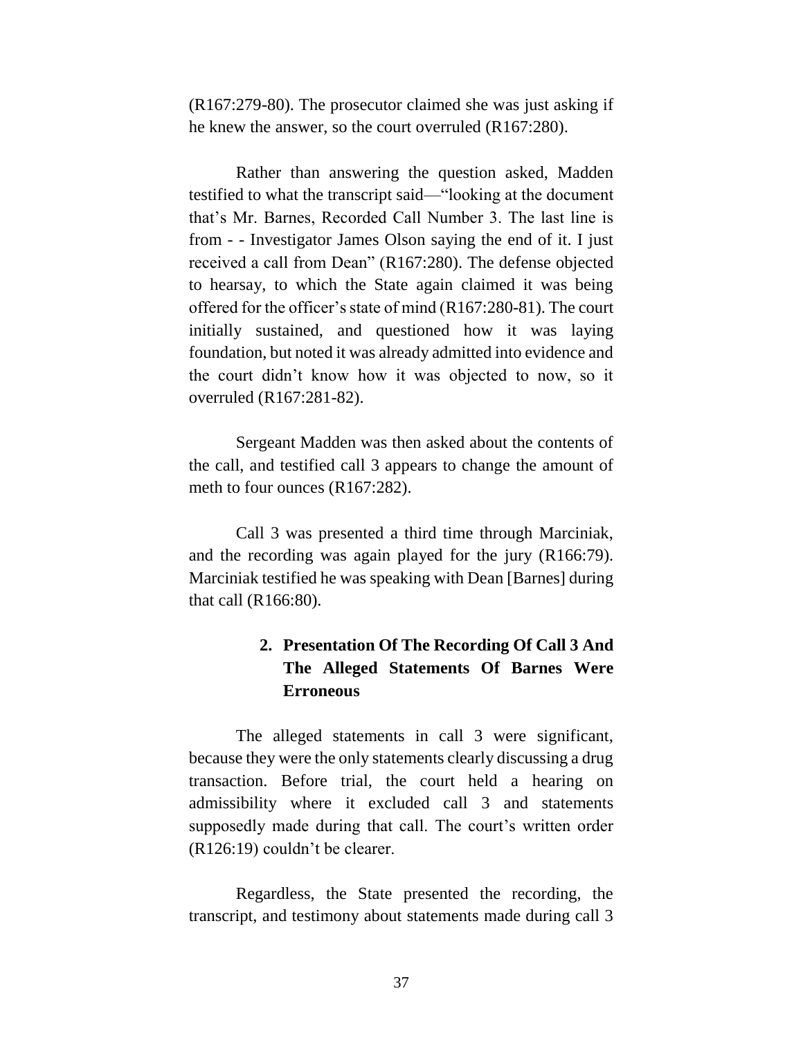(R167:279-80). The prosecutor claimed she was just asking if he knew the answer, so the court overruled (R167:280).

Rather than answering the question asked, Madden testified to what the transcript said—"looking at the document that's Mr. Barnes, Recorded Call Number 3. The last line is from - - Investigator James Olson saying the end of it. I just received a call from Dean" (R167:280). The defense objected to hearsay, to which the State again claimed it was being offered for the officer's state of mind (R167:280-81). The court initially sustained, and questioned how it was laying foundation, but noted it was already admitted into evidence and the court didn't know how it was objected to now, so it overruled (R167:281-82).

Sergeant Madden was then asked about the contents of the call, and testified call 3 appears to change the amount of meth to four ounces (R167:282).

Call 3 was presented a third time through Marciniak, and the recording was again played for the jury (R166:79). Marciniak testified he was speaking with Dean [Barnes] during that call (R166:80).

# **2. Presentation Of The Recording Of Call 3 And The Alleged Statements Of Barnes Were Erroneous**

The alleged statements in call 3 were significant, because they were the only statements clearly discussing a drug transaction. Before trial, the court held a hearing on admissibility where it excluded call 3 and statements supposedly made during that call. The court's written order (R126:19) couldn't be clearer.

Regardless, the State presented the recording, the transcript, and testimony about statements made during call 3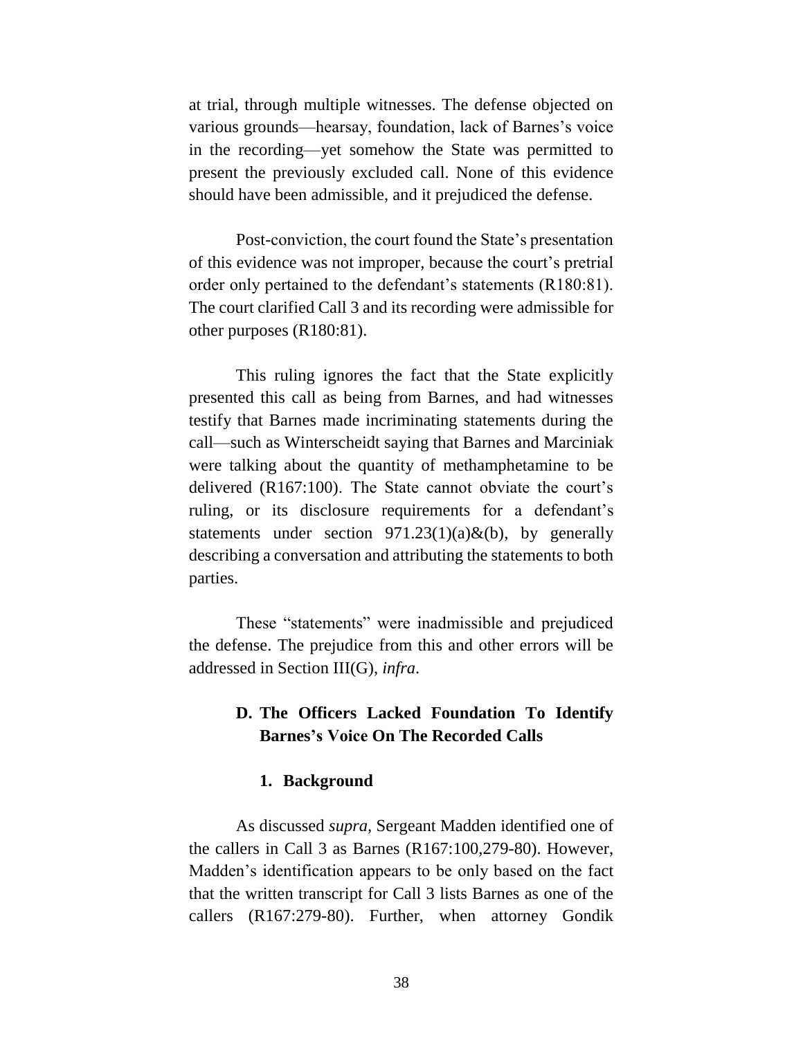at trial, through multiple witnesses. The defense objected on various grounds—hearsay, foundation, lack of Barnes's voice in the recording—yet somehow the State was permitted to present the previously excluded call. None of this evidence should have been admissible, and it prejudiced the defense.

Post-conviction, the court found the State's presentation of this evidence was not improper, because the court's pretrial order only pertained to the defendant's statements (R180:81). The court clarified Call 3 and its recording were admissible for other purposes (R180:81).

This ruling ignores the fact that the State explicitly presented this call as being from Barnes, and had witnesses testify that Barnes made incriminating statements during the call—such as Winterscheidt saying that Barnes and Marciniak were talking about the quantity of methamphetamine to be delivered (R167:100). The State cannot obviate the court's ruling, or its disclosure requirements for a defendant's statements under section  $971.23(1)(a) \& (b)$ , by generally describing a conversation and attributing the statements to both parties.

These "statements" were inadmissible and prejudiced the defense. The prejudice from this and other errors will be addressed in Section III(G), *infra*.

### **D. The Officers Lacked Foundation To Identify Barnes's Voice On The Recorded Calls**

#### **1. Background**

As discussed *supra,* Sergeant Madden identified one of the callers in Call 3 as Barnes (R167:100,279-80). However, Madden's identification appears to be only based on the fact that the written transcript for Call 3 lists Barnes as one of the callers (R167:279-80). Further, when attorney Gondik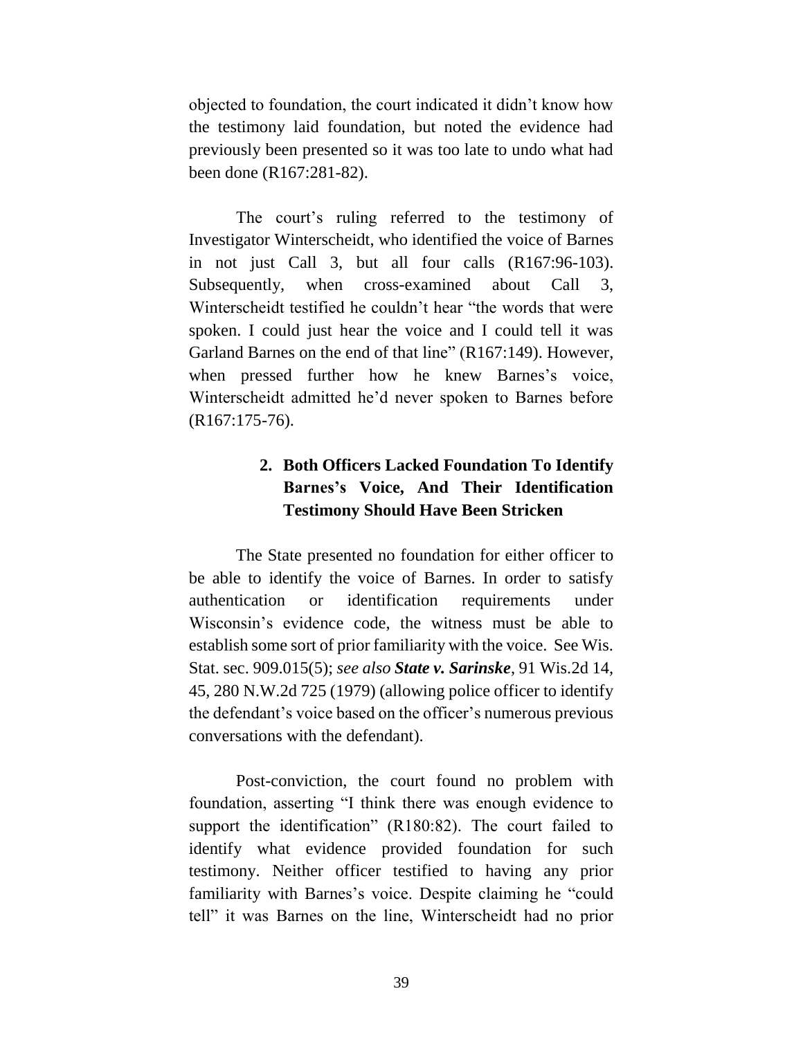objected to foundation, the court indicated it didn't know how the testimony laid foundation, but noted the evidence had previously been presented so it was too late to undo what had been done (R167:281-82).

The court's ruling referred to the testimony of Investigator Winterscheidt, who identified the voice of Barnes in not just Call 3, but all four calls (R167:96-103). Subsequently, when cross-examined about Call 3, Winterscheidt testified he couldn't hear "the words that were spoken. I could just hear the voice and I could tell it was Garland Barnes on the end of that line" (R167:149). However, when pressed further how he knew Barnes's voice, Winterscheidt admitted he'd never spoken to Barnes before (R167:175-76).

# **2. Both Officers Lacked Foundation To Identify Barnes's Voice, And Their Identification Testimony Should Have Been Stricken**

The State presented no foundation for either officer to be able to identify the voice of Barnes. In order to satisfy authentication or identification requirements under Wisconsin's evidence code, the witness must be able to establish some sort of prior familiarity with the voice. See Wis. Stat. sec. 909.015(5); *see also State v. Sarinske*, 91 Wis.2d 14, 45, 280 N.W.2d 725 (1979) (allowing police officer to identify the defendant's voice based on the officer's numerous previous conversations with the defendant).

Post-conviction, the court found no problem with foundation, asserting "I think there was enough evidence to support the identification" (R180:82). The court failed to identify what evidence provided foundation for such testimony. Neither officer testified to having any prior familiarity with Barnes's voice. Despite claiming he "could tell" it was Barnes on the line, Winterscheidt had no prior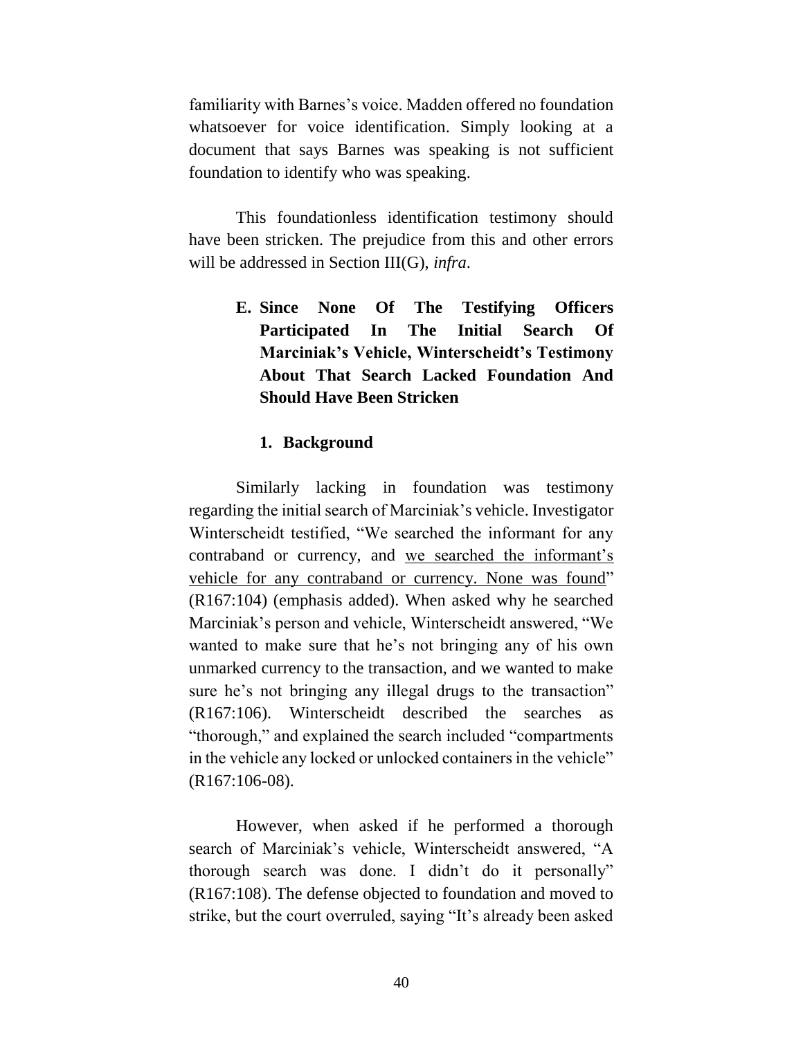familiarity with Barnes's voice. Madden offered no foundation whatsoever for voice identification. Simply looking at a document that says Barnes was speaking is not sufficient foundation to identify who was speaking.

This foundationless identification testimony should have been stricken. The prejudice from this and other errors will be addressed in Section III(G), *infra*.

> **E. Since None Of The Testifying Officers Participated In The Initial Search Of Marciniak's Vehicle, Winterscheidt's Testimony About That Search Lacked Foundation And Should Have Been Stricken**

### **1. Background**

Similarly lacking in foundation was testimony regarding the initial search of Marciniak's vehicle. Investigator Winterscheidt testified, "We searched the informant for any contraband or currency, and we searched the informant's vehicle for any contraband or currency. None was found" (R167:104) (emphasis added). When asked why he searched Marciniak's person and vehicle, Winterscheidt answered, "We wanted to make sure that he's not bringing any of his own unmarked currency to the transaction, and we wanted to make sure he's not bringing any illegal drugs to the transaction" (R167:106). Winterscheidt described the searches as "thorough," and explained the search included "compartments in the vehicle any locked or unlocked containers in the vehicle" (R167:106-08).

However, when asked if he performed a thorough search of Marciniak's vehicle, Winterscheidt answered, "A thorough search was done. I didn't do it personally" (R167:108). The defense objected to foundation and moved to strike, but the court overruled, saying "It's already been asked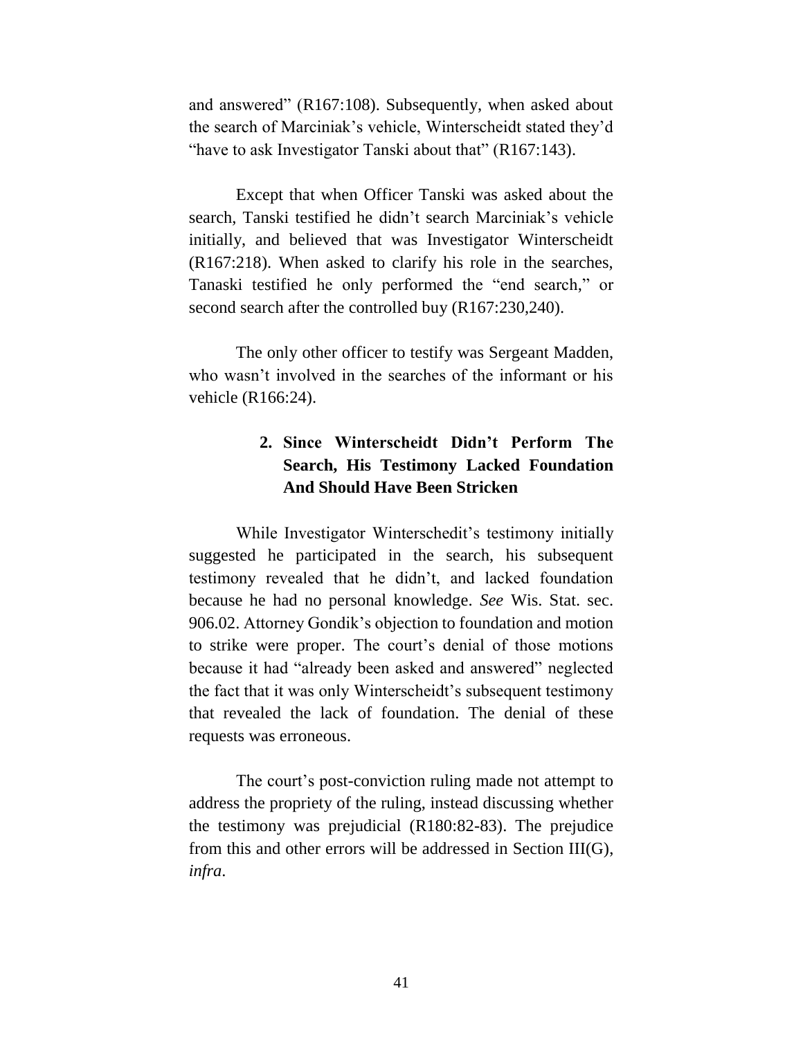and answered" (R167:108). Subsequently, when asked about the search of Marciniak's vehicle, Winterscheidt stated they'd "have to ask Investigator Tanski about that" (R167:143).

Except that when Officer Tanski was asked about the search, Tanski testified he didn't search Marciniak's vehicle initially, and believed that was Investigator Winterscheidt (R167:218). When asked to clarify his role in the searches, Tanaski testified he only performed the "end search," or second search after the controlled buy (R167:230,240).

The only other officer to testify was Sergeant Madden, who wasn't involved in the searches of the informant or his vehicle (R166:24).

# **2. Since Winterscheidt Didn't Perform The Search, His Testimony Lacked Foundation And Should Have Been Stricken**

While Investigator Winterschedit's testimony initially suggested he participated in the search, his subsequent testimony revealed that he didn't, and lacked foundation because he had no personal knowledge. *See* Wis. Stat. sec. 906.02. Attorney Gondik's objection to foundation and motion to strike were proper. The court's denial of those motions because it had "already been asked and answered" neglected the fact that it was only Winterscheidt's subsequent testimony that revealed the lack of foundation. The denial of these requests was erroneous.

The court's post-conviction ruling made not attempt to address the propriety of the ruling, instead discussing whether the testimony was prejudicial (R180:82-83). The prejudice from this and other errors will be addressed in Section III(G), *infra*.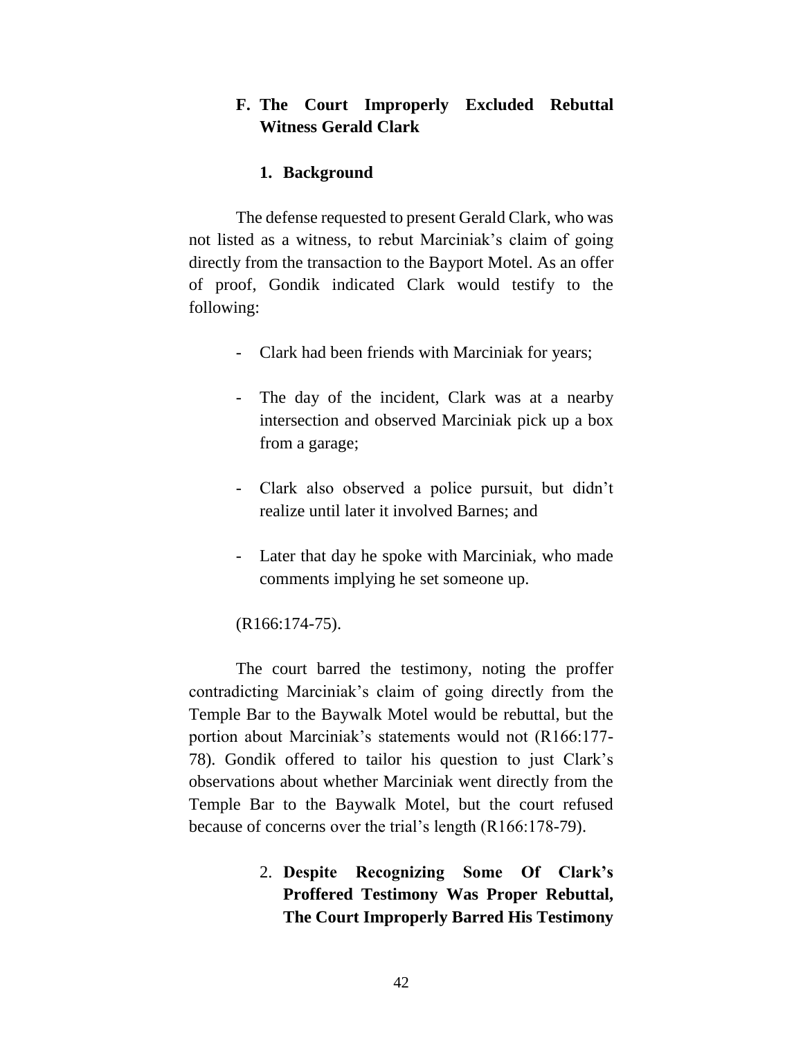### **F. The Court Improperly Excluded Rebuttal Witness Gerald Clark**

#### **1. Background**

The defense requested to present Gerald Clark, who was not listed as a witness, to rebut Marciniak's claim of going directly from the transaction to the Bayport Motel. As an offer of proof, Gondik indicated Clark would testify to the following:

- Clark had been friends with Marciniak for years;
- The day of the incident, Clark was at a nearby intersection and observed Marciniak pick up a box from a garage;
- Clark also observed a police pursuit, but didn't realize until later it involved Barnes; and
- Later that day he spoke with Marciniak, who made comments implying he set someone up.

(R166:174-75).

The court barred the testimony, noting the proffer contradicting Marciniak's claim of going directly from the Temple Bar to the Baywalk Motel would be rebuttal, but the portion about Marciniak's statements would not (R166:177- 78). Gondik offered to tailor his question to just Clark's observations about whether Marciniak went directly from the Temple Bar to the Baywalk Motel, but the court refused because of concerns over the trial's length (R166:178-79).

> 2. **Despite Recognizing Some Of Clark's Proffered Testimony Was Proper Rebuttal, The Court Improperly Barred His Testimony**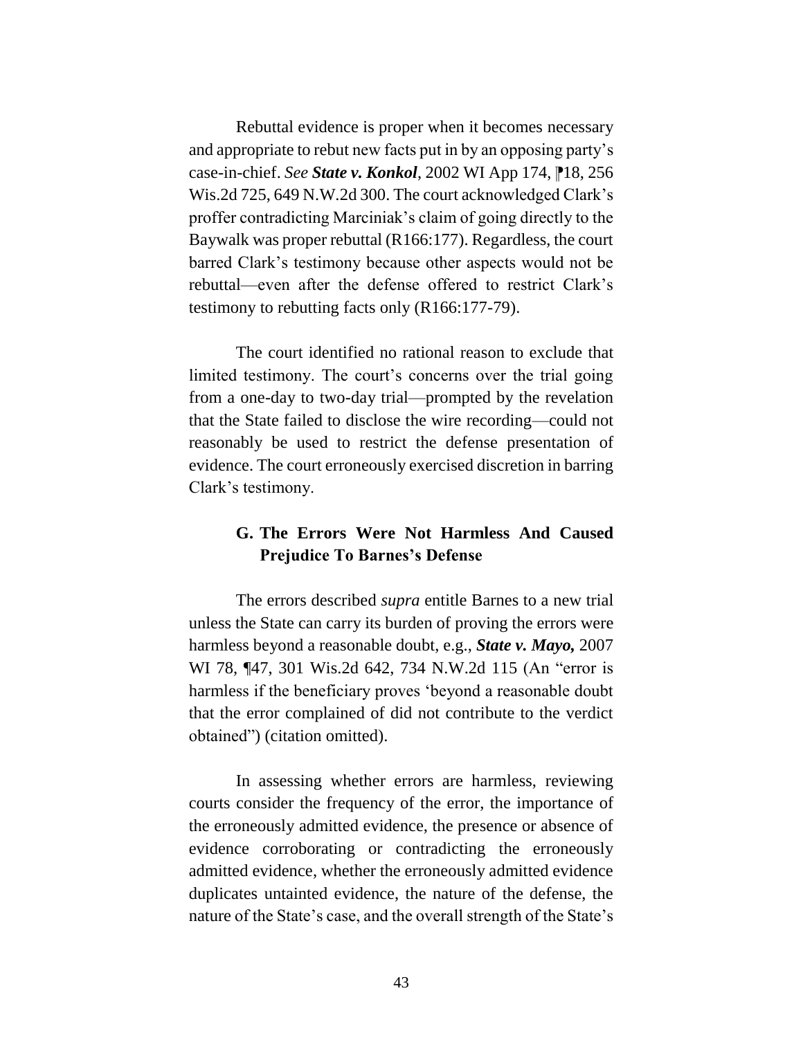Rebuttal evidence is proper when it becomes necessary and appropriate to rebut new facts put in by an opposing party's case-in-chief. *See State v. Konkol*, 2002 WI App 174, ⁋18, 256 Wis.2d 725, 649 N.W.2d 300. The court acknowledged Clark's proffer contradicting Marciniak's claim of going directly to the Baywalk was proper rebuttal (R166:177). Regardless, the court barred Clark's testimony because other aspects would not be rebuttal—even after the defense offered to restrict Clark's testimony to rebutting facts only (R166:177-79).

The court identified no rational reason to exclude that limited testimony. The court's concerns over the trial going from a one-day to two-day trial—prompted by the revelation that the State failed to disclose the wire recording—could not reasonably be used to restrict the defense presentation of evidence. The court erroneously exercised discretion in barring Clark's testimony.

# **G. The Errors Were Not Harmless And Caused Prejudice To Barnes's Defense**

The errors described *supra* entitle Barnes to a new trial unless the State can carry its burden of proving the errors were harmless beyond a reasonable doubt, e.g., *State v. Mayo,* 2007 WI 78, ¶47, 301 Wis.2d 642, 734 N.W.2d 115 (An "error is harmless if the beneficiary proves 'beyond a reasonable doubt that the error complained of did not contribute to the verdict obtained") (citation omitted).

In assessing whether errors are harmless, reviewing courts consider the frequency of the error, the importance of the erroneously admitted evidence, the presence or absence of evidence corroborating or contradicting the erroneously admitted evidence, whether the erroneously admitted evidence duplicates untainted evidence, the nature of the defense, the nature of the State's case, and the overall strength of the State's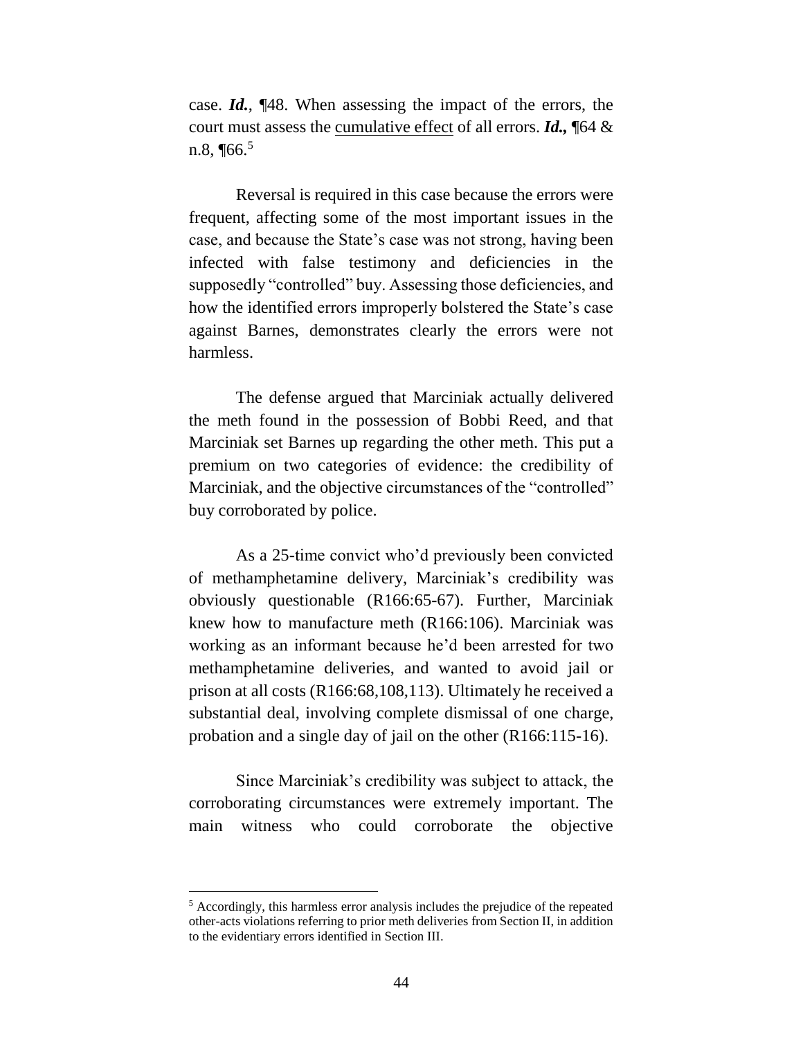case. *Id.*, ¶48. When assessing the impact of the errors, the court must assess the cumulative effect of all errors. *Id.,* ¶64 & n.8,  $\P$ 66.<sup>5</sup>

Reversal is required in this case because the errors were frequent, affecting some of the most important issues in the case, and because the State's case was not strong, having been infected with false testimony and deficiencies in the supposedly "controlled" buy. Assessing those deficiencies, and how the identified errors improperly bolstered the State's case against Barnes, demonstrates clearly the errors were not harmless.

The defense argued that Marciniak actually delivered the meth found in the possession of Bobbi Reed, and that Marciniak set Barnes up regarding the other meth. This put a premium on two categories of evidence: the credibility of Marciniak, and the objective circumstances of the "controlled" buy corroborated by police.

As a 25-time convict who'd previously been convicted of methamphetamine delivery, Marciniak's credibility was obviously questionable (R166:65-67). Further, Marciniak knew how to manufacture meth (R166:106). Marciniak was working as an informant because he'd been arrested for two methamphetamine deliveries, and wanted to avoid jail or prison at all costs (R166:68,108,113). Ultimately he received a substantial deal, involving complete dismissal of one charge, probation and a single day of jail on the other (R166:115-16).

Since Marciniak's credibility was subject to attack, the corroborating circumstances were extremely important. The main witness who could corroborate the objective

 $\overline{a}$ 

<sup>5</sup> Accordingly, this harmless error analysis includes the prejudice of the repeated other-acts violations referring to prior meth deliveries from Section II, in addition to the evidentiary errors identified in Section III.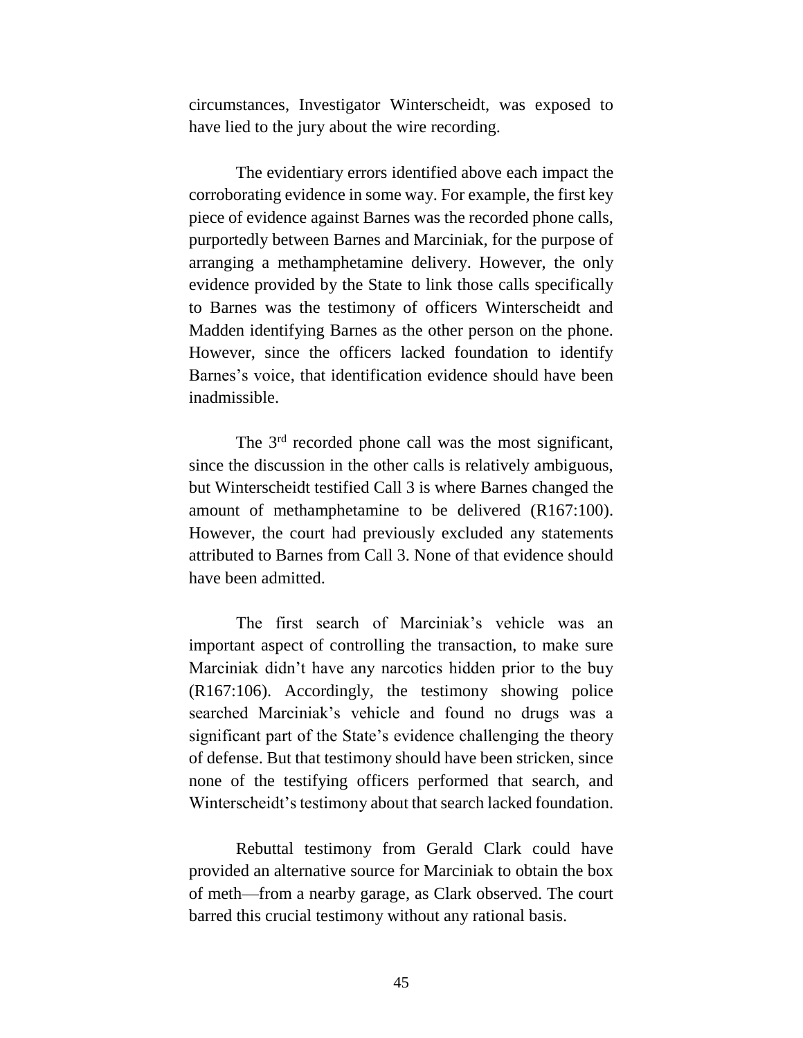circumstances, Investigator Winterscheidt, was exposed to have lied to the jury about the wire recording.

The evidentiary errors identified above each impact the corroborating evidence in some way. For example, the first key piece of evidence against Barnes was the recorded phone calls, purportedly between Barnes and Marciniak, for the purpose of arranging a methamphetamine delivery. However, the only evidence provided by the State to link those calls specifically to Barnes was the testimony of officers Winterscheidt and Madden identifying Barnes as the other person on the phone. However, since the officers lacked foundation to identify Barnes's voice, that identification evidence should have been inadmissible.

The 3rd recorded phone call was the most significant, since the discussion in the other calls is relatively ambiguous, but Winterscheidt testified Call 3 is where Barnes changed the amount of methamphetamine to be delivered (R167:100). However, the court had previously excluded any statements attributed to Barnes from Call 3. None of that evidence should have been admitted.

The first search of Marciniak's vehicle was an important aspect of controlling the transaction, to make sure Marciniak didn't have any narcotics hidden prior to the buy (R167:106). Accordingly, the testimony showing police searched Marciniak's vehicle and found no drugs was a significant part of the State's evidence challenging the theory of defense. But that testimony should have been stricken, since none of the testifying officers performed that search, and Winterscheidt's testimony about that search lacked foundation.

Rebuttal testimony from Gerald Clark could have provided an alternative source for Marciniak to obtain the box of meth—from a nearby garage, as Clark observed. The court barred this crucial testimony without any rational basis.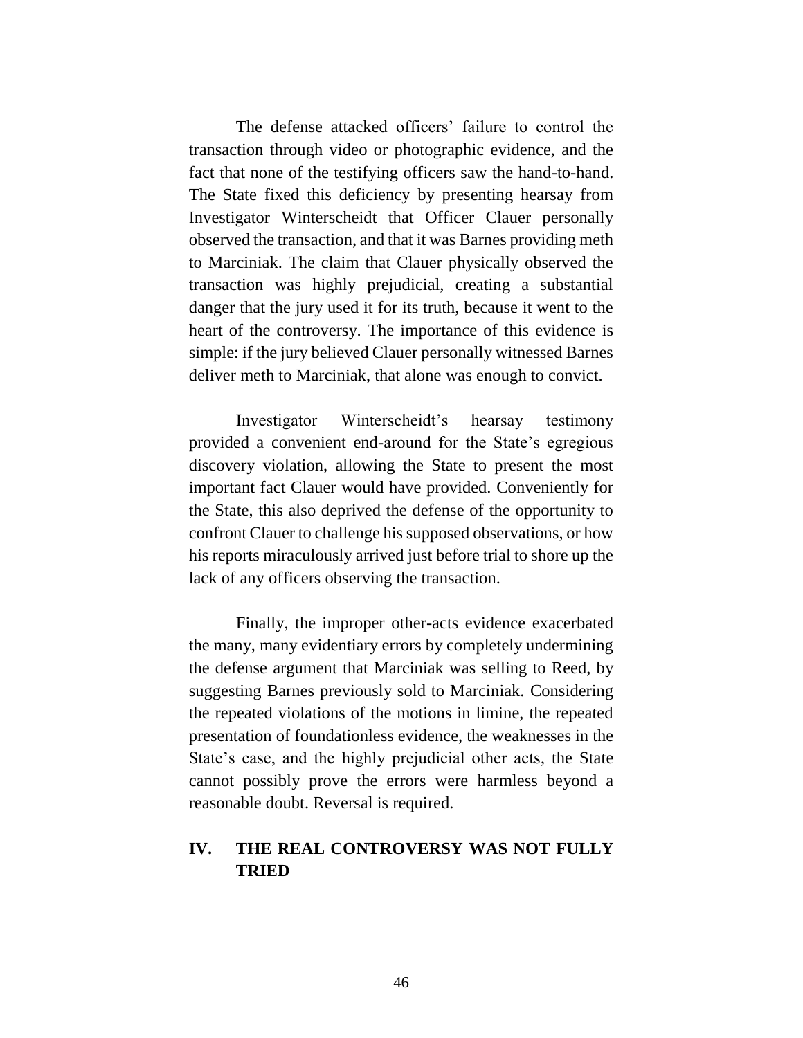The defense attacked officers' failure to control the transaction through video or photographic evidence, and the fact that none of the testifying officers saw the hand-to-hand. The State fixed this deficiency by presenting hearsay from Investigator Winterscheidt that Officer Clauer personally observed the transaction, and that it was Barnes providing meth to Marciniak. The claim that Clauer physically observed the transaction was highly prejudicial, creating a substantial danger that the jury used it for its truth, because it went to the heart of the controversy. The importance of this evidence is simple: if the jury believed Clauer personally witnessed Barnes deliver meth to Marciniak, that alone was enough to convict.

Investigator Winterscheidt's hearsay testimony provided a convenient end-around for the State's egregious discovery violation, allowing the State to present the most important fact Clauer would have provided. Conveniently for the State, this also deprived the defense of the opportunity to confront Clauer to challenge his supposed observations, or how his reports miraculously arrived just before trial to shore up the lack of any officers observing the transaction.

Finally, the improper other-acts evidence exacerbated the many, many evidentiary errors by completely undermining the defense argument that Marciniak was selling to Reed, by suggesting Barnes previously sold to Marciniak. Considering the repeated violations of the motions in limine, the repeated presentation of foundationless evidence, the weaknesses in the State's case, and the highly prejudicial other acts, the State cannot possibly prove the errors were harmless beyond a reasonable doubt. Reversal is required.

## **IV. THE REAL CONTROVERSY WAS NOT FULLY TRIED**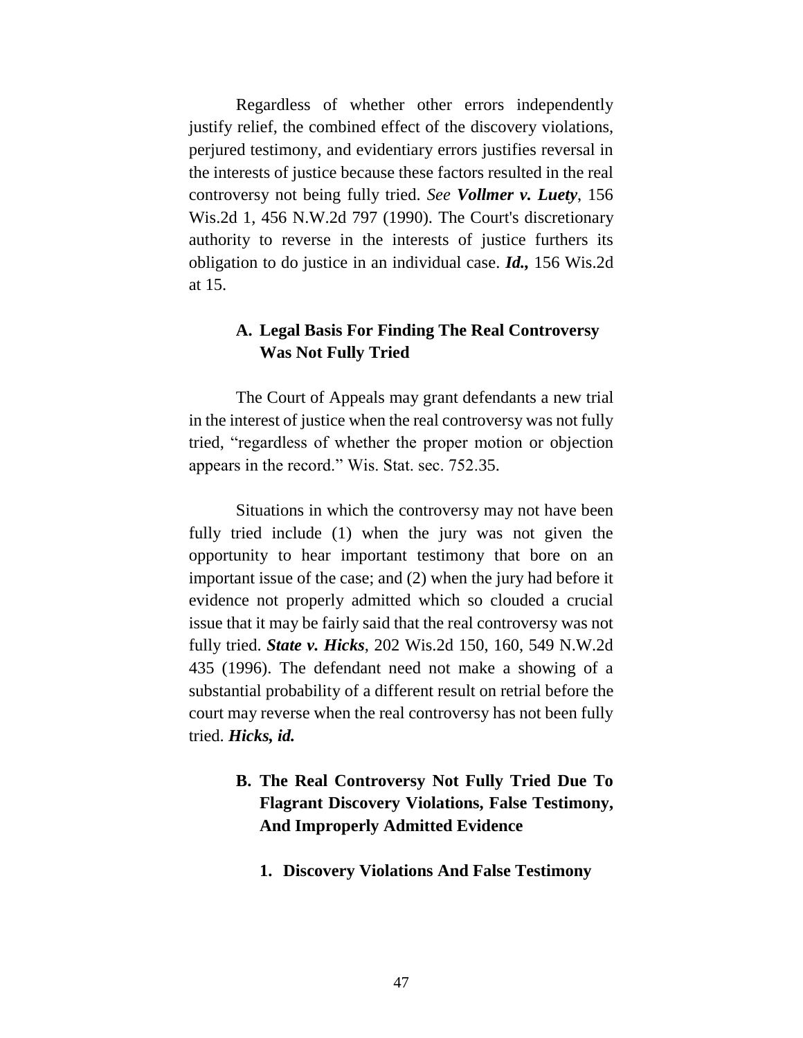Regardless of whether other errors independently justify relief, the combined effect of the discovery violations, perjured testimony, and evidentiary errors justifies reversal in the interests of justice because these factors resulted in the real controversy not being fully tried. *See Vollmer v. Luety*, 156 Wis.2d 1, 456 N.W.2d 797 (1990). The Court's discretionary authority to reverse in the interests of justice furthers its obligation to do justice in an individual case. *Id.,* 156 Wis.2d at 15.

### **A. Legal Basis For Finding The Real Controversy Was Not Fully Tried**

The Court of Appeals may grant defendants a new trial in the interest of justice when the real controversy was not fully tried, "regardless of whether the proper motion or objection appears in the record." Wis. Stat. sec. 752.35.

Situations in which the controversy may not have been fully tried include (1) when the jury was not given the opportunity to hear important testimony that bore on an important issue of the case; and (2) when the jury had before it evidence not properly admitted which so clouded a crucial issue that it may be fairly said that the real controversy was not fully tried. *State v. Hicks*, 202 Wis.2d 150, 160, 549 N.W.2d 435 (1996). The defendant need not make a showing of a substantial probability of a different result on retrial before the court may reverse when the real controversy has not been fully tried. *Hicks, id.* 

# **B. The Real Controversy Not Fully Tried Due To Flagrant Discovery Violations, False Testimony, And Improperly Admitted Evidence**

**1. Discovery Violations And False Testimony**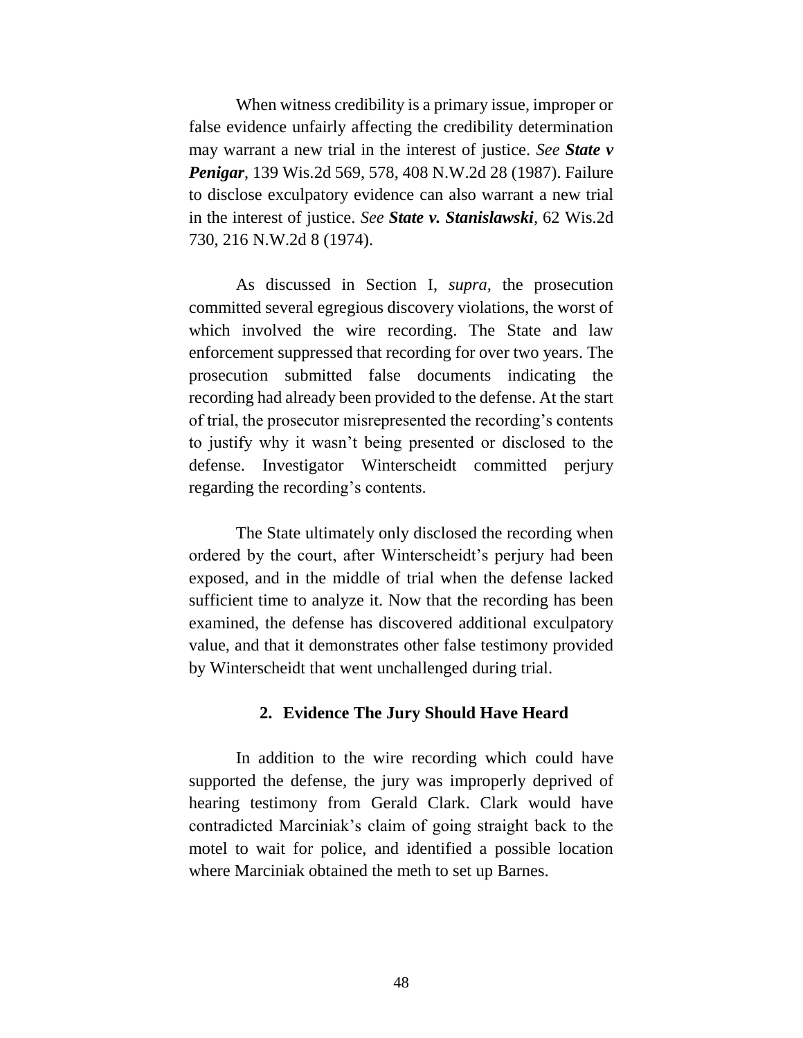When witness credibility is a primary issue, improper or false evidence unfairly affecting the credibility determination may warrant a new trial in the interest of justice. *See State v Penigar*, 139 Wis.2d 569, 578, 408 N.W.2d 28 (1987). Failure to disclose exculpatory evidence can also warrant a new trial in the interest of justice. *See State v. Stanislawski,* 62 Wis.2d 730, 216 N.W.2d 8 (1974).

As discussed in Section I, *supra,* the prosecution committed several egregious discovery violations, the worst of which involved the wire recording. The State and law enforcement suppressed that recording for over two years. The prosecution submitted false documents indicating the recording had already been provided to the defense. At the start of trial, the prosecutor misrepresented the recording's contents to justify why it wasn't being presented or disclosed to the defense. Investigator Winterscheidt committed perjury regarding the recording's contents.

The State ultimately only disclosed the recording when ordered by the court, after Winterscheidt's perjury had been exposed, and in the middle of trial when the defense lacked sufficient time to analyze it. Now that the recording has been examined, the defense has discovered additional exculpatory value, and that it demonstrates other false testimony provided by Winterscheidt that went unchallenged during trial.

#### **2. Evidence The Jury Should Have Heard**

In addition to the wire recording which could have supported the defense, the jury was improperly deprived of hearing testimony from Gerald Clark. Clark would have contradicted Marciniak's claim of going straight back to the motel to wait for police, and identified a possible location where Marciniak obtained the meth to set up Barnes.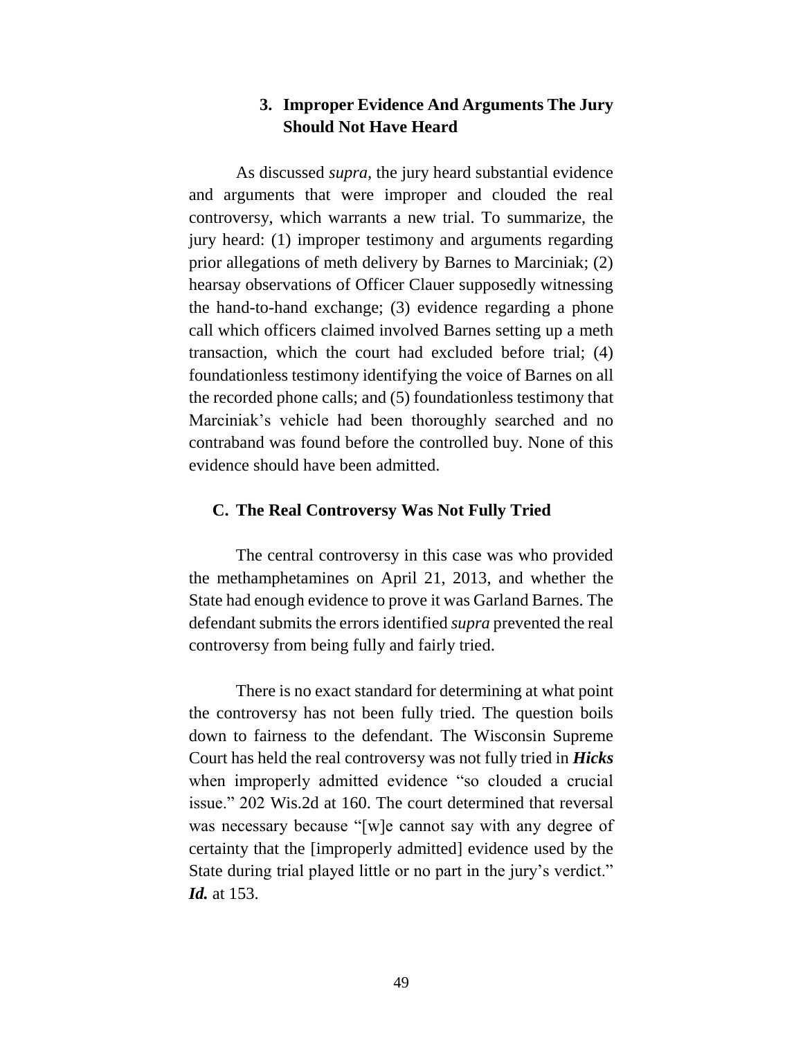### **3. Improper Evidence And Arguments The Jury Should Not Have Heard**

As discussed *supra,* the jury heard substantial evidence and arguments that were improper and clouded the real controversy, which warrants a new trial. To summarize, the jury heard: (1) improper testimony and arguments regarding prior allegations of meth delivery by Barnes to Marciniak; (2) hearsay observations of Officer Clauer supposedly witnessing the hand-to-hand exchange; (3) evidence regarding a phone call which officers claimed involved Barnes setting up a meth transaction, which the court had excluded before trial; (4) foundationless testimony identifying the voice of Barnes on all the recorded phone calls; and (5) foundationless testimony that Marciniak's vehicle had been thoroughly searched and no contraband was found before the controlled buy. None of this evidence should have been admitted.

#### **C. The Real Controversy Was Not Fully Tried**

The central controversy in this case was who provided the methamphetamines on April 21, 2013, and whether the State had enough evidence to prove it was Garland Barnes. The defendant submits the errors identified *supra* prevented the real controversy from being fully and fairly tried.

There is no exact standard for determining at what point the controversy has not been fully tried. The question boils down to fairness to the defendant. The Wisconsin Supreme Court has held the real controversy was not fully tried in *Hicks*  when improperly admitted evidence "so clouded a crucial issue." 202 Wis.2d at 160. The court determined that reversal was necessary because "[w]e cannot say with any degree of certainty that the [improperly admitted] evidence used by the State during trial played little or no part in the jury's verdict." *Id.* at 153.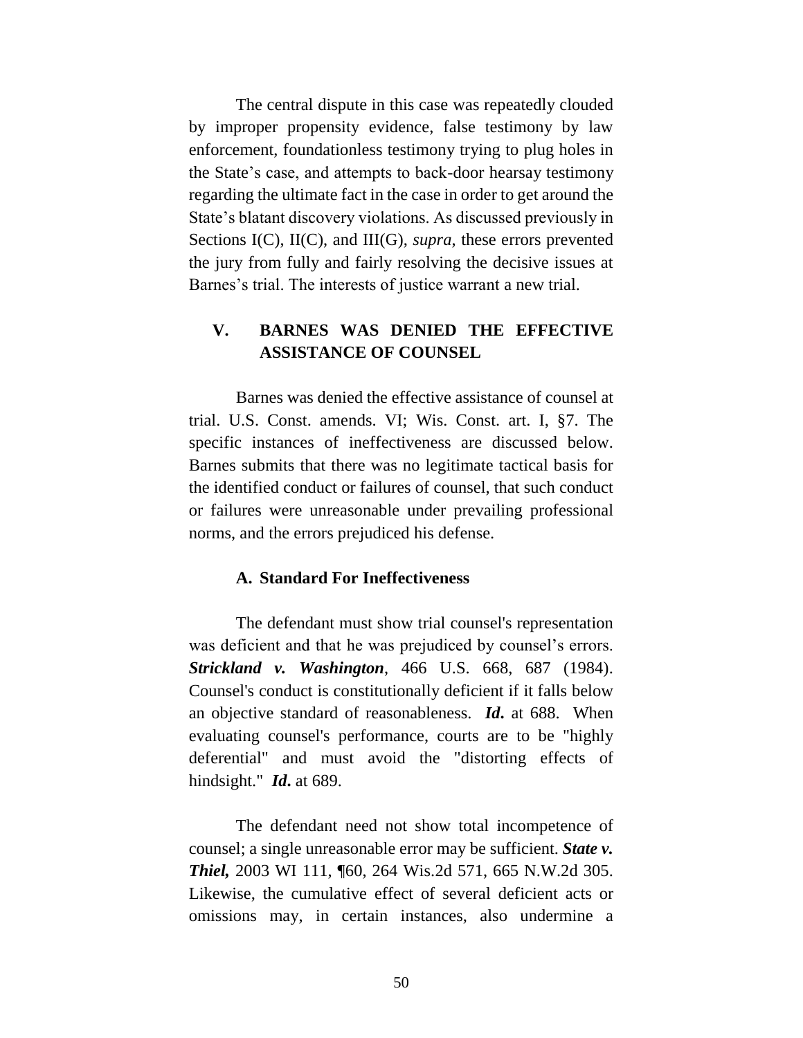The central dispute in this case was repeatedly clouded by improper propensity evidence, false testimony by law enforcement, foundationless testimony trying to plug holes in the State's case, and attempts to back-door hearsay testimony regarding the ultimate fact in the case in order to get around the State's blatant discovery violations. As discussed previously in Sections I(C), II(C), and III(G), *supra*, these errors prevented the jury from fully and fairly resolving the decisive issues at Barnes's trial. The interests of justice warrant a new trial.

### **V. BARNES WAS DENIED THE EFFECTIVE ASSISTANCE OF COUNSEL**

Barnes was denied the effective assistance of counsel at trial. U.S. Const. amends. VI; Wis. Const. art. I, §7. The specific instances of ineffectiveness are discussed below. Barnes submits that there was no legitimate tactical basis for the identified conduct or failures of counsel, that such conduct or failures were unreasonable under prevailing professional norms, and the errors prejudiced his defense.

#### **A. Standard For Ineffectiveness**

The defendant must show trial counsel's representation was deficient and that he was prejudiced by counsel's errors. *Strickland v. Washington*, 466 U.S. 668, 687 (1984). Counsel's conduct is constitutionally deficient if it falls below an objective standard of reasonableness. *Id***.** at 688. When evaluating counsel's performance, courts are to be "highly deferential" and must avoid the "distorting effects of hindsight." *Id***.** at 689.

The defendant need not show total incompetence of counsel; a single unreasonable error may be sufficient. *State v. Thiel,* 2003 WI 111, ¶60, 264 Wis.2d 571, 665 N.W.2d 305. Likewise, the cumulative effect of several deficient acts or omissions may, in certain instances, also undermine a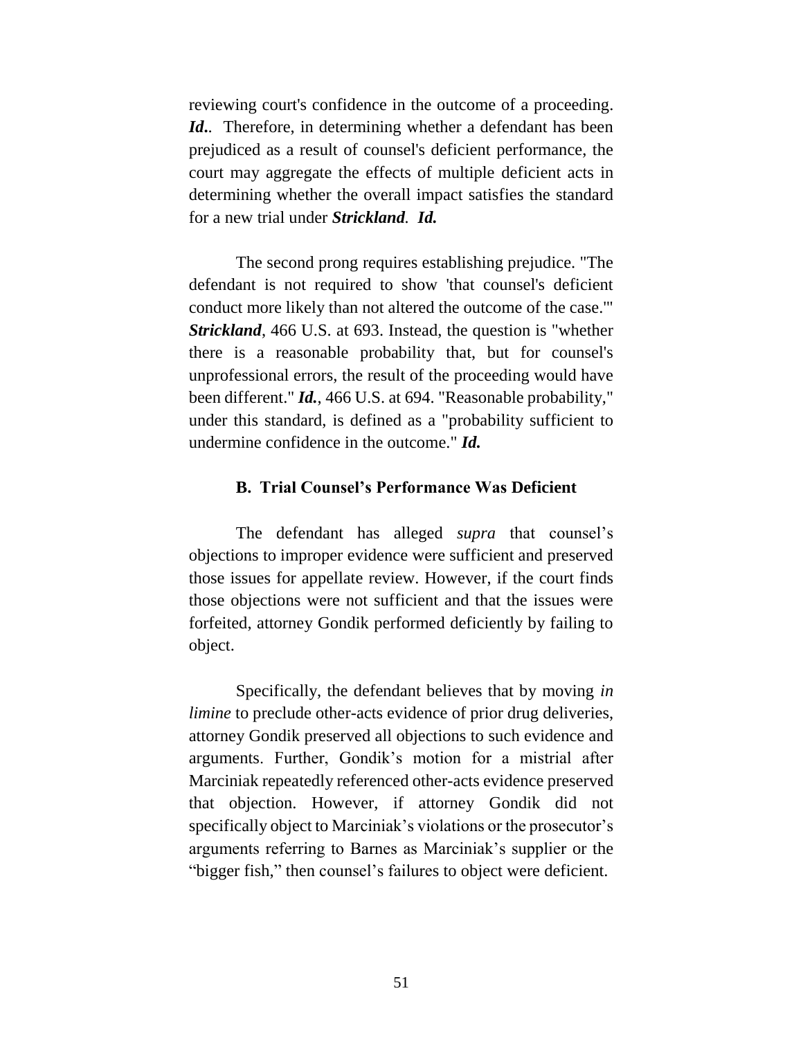reviewing court's confidence in the outcome of a proceeding. *Id***.**. Therefore, in determining whether a defendant has been prejudiced as a result of counsel's deficient performance, the court may aggregate the effects of multiple deficient acts in determining whether the overall impact satisfies the standard for a new trial under *Strickland. Id.*

The second prong requires establishing prejudice. "The defendant is not required to show 'that counsel's deficient conduct more likely than not altered the outcome of the case.'" *Strickland*, 466 U.S. at 693. Instead, the question is "whether there is a reasonable probability that, but for counsel's unprofessional errors, the result of the proceeding would have been different." *Id.*, 466 U.S. at 694. "Reasonable probability," under this standard, is defined as a "probability sufficient to undermine confidence in the outcome." *Id.*

#### **B. Trial Counsel's Performance Was Deficient**

The defendant has alleged *supra* that counsel's objections to improper evidence were sufficient and preserved those issues for appellate review. However, if the court finds those objections were not sufficient and that the issues were forfeited, attorney Gondik performed deficiently by failing to object.

Specifically, the defendant believes that by moving *in limine* to preclude other-acts evidence of prior drug deliveries, attorney Gondik preserved all objections to such evidence and arguments. Further, Gondik's motion for a mistrial after Marciniak repeatedly referenced other-acts evidence preserved that objection. However, if attorney Gondik did not specifically object to Marciniak's violations or the prosecutor's arguments referring to Barnes as Marciniak's supplier or the "bigger fish," then counsel's failures to object were deficient.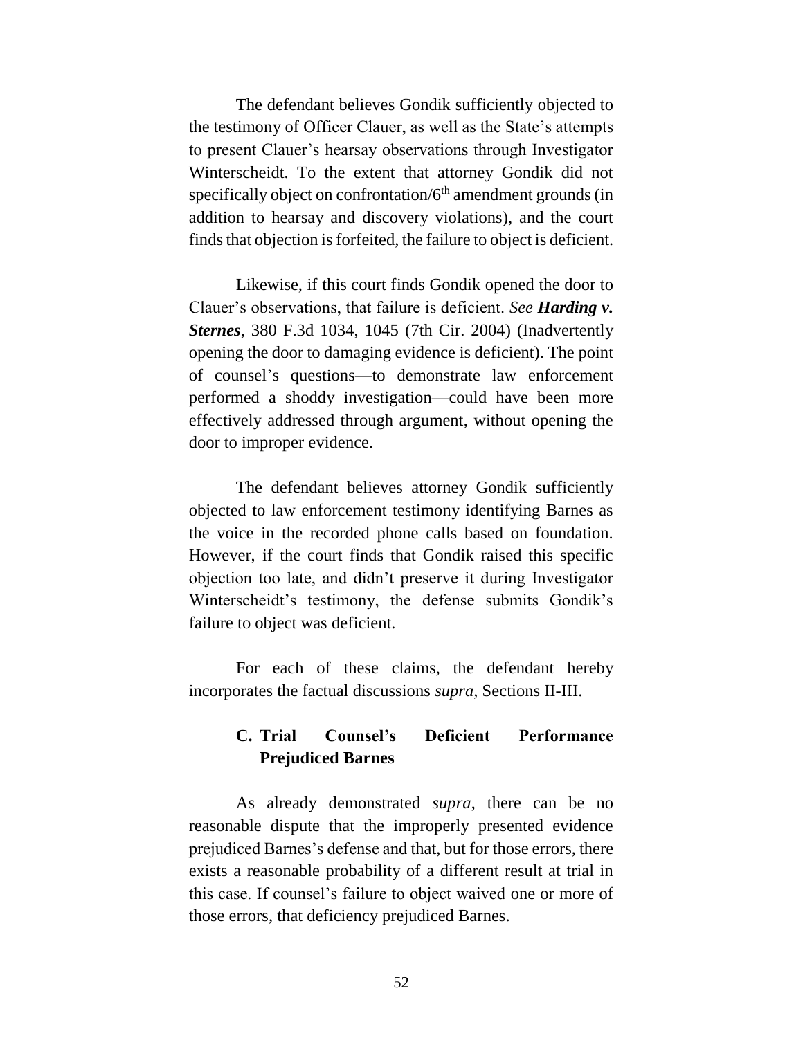The defendant believes Gondik sufficiently objected to the testimony of Officer Clauer, as well as the State's attempts to present Clauer's hearsay observations through Investigator Winterscheidt. To the extent that attorney Gondik did not specifically object on confrontation/ $6<sup>th</sup>$  amendment grounds (in addition to hearsay and discovery violations), and the court finds that objection is forfeited, the failure to object is deficient.

Likewise, if this court finds Gondik opened the door to Clauer's observations, that failure is deficient. *See Harding v. Sternes,* 380 F.3d 1034, 1045 (7th Cir. 2004) (Inadvertently opening the door to damaging evidence is deficient). The point of counsel's questions—to demonstrate law enforcement performed a shoddy investigation—could have been more effectively addressed through argument, without opening the door to improper evidence.

The defendant believes attorney Gondik sufficiently objected to law enforcement testimony identifying Barnes as the voice in the recorded phone calls based on foundation. However, if the court finds that Gondik raised this specific objection too late, and didn't preserve it during Investigator Winterscheidt's testimony, the defense submits Gondik's failure to object was deficient.

For each of these claims, the defendant hereby incorporates the factual discussions *supra,* Sections II-III.

### **C. Trial Counsel's Deficient Performance Prejudiced Barnes**

As already demonstrated *supra*, there can be no reasonable dispute that the improperly presented evidence prejudiced Barnes's defense and that, but for those errors, there exists a reasonable probability of a different result at trial in this case. If counsel's failure to object waived one or more of those errors, that deficiency prejudiced Barnes.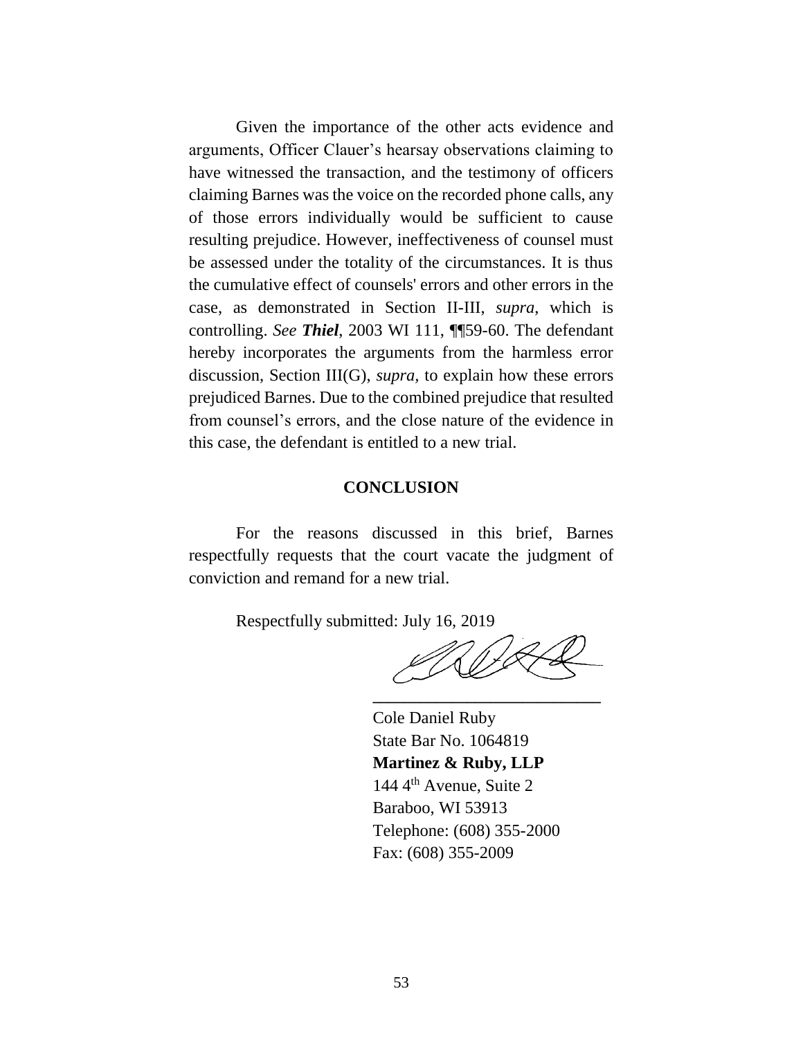Given the importance of the other acts evidence and arguments, Officer Clauer's hearsay observations claiming to have witnessed the transaction, and the testimony of officers claiming Barnes was the voice on the recorded phone calls, any of those errors individually would be sufficient to cause resulting prejudice. However, ineffectiveness of counsel must be assessed under the totality of the circumstances. It is thus the cumulative effect of counsels' errors and other errors in the case, as demonstrated in Section II-III, *supra*, which is controlling. *See Thiel*, 2003 WI 111, ¶¶59-60. The defendant hereby incorporates the arguments from the harmless error discussion, Section III(G), *supra,* to explain how these errors prejudiced Barnes. Due to the combined prejudice that resulted from counsel's errors, and the close nature of the evidence in this case, the defendant is entitled to a new trial.

#### **CONCLUSION**

For the reasons discussed in this brief, Barnes respectfully requests that the court vacate the judgment of conviction and remand for a new trial.

Respectfully submitted: July 16, 2019

**\_\_\_\_\_\_\_\_\_\_\_\_\_\_\_\_\_\_\_\_\_\_\_\_\_\_\_\_\_**

Cole Daniel Ruby State Bar No. 1064819 **Martinez & Ruby, LLP** 144 4<sup>th</sup> Avenue, Suite 2 Baraboo, WI 53913 Telephone: (608) 355-2000 Fax: (608) 355-2009